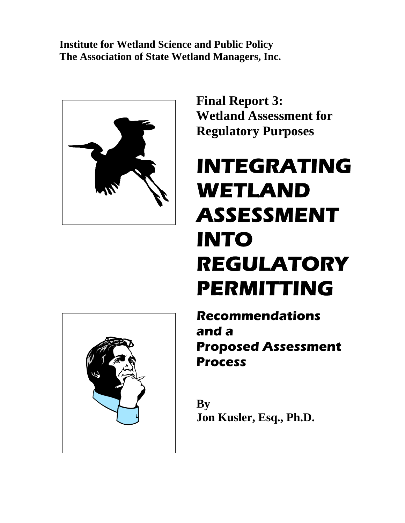**Institute for Wetland Science and Public Policy The Association of State Wetland Managers, Inc.** 



**Final Report 3: Wetland Assessment for Regulatory Purposes** 

# **INTEGRATING WETLAND ASSESSMENT INTO REGULATORY PERMITTING**

**Recommendations and a Proposed Assessment Process**

**By Jon Kusler, Esq., Ph.D.** 

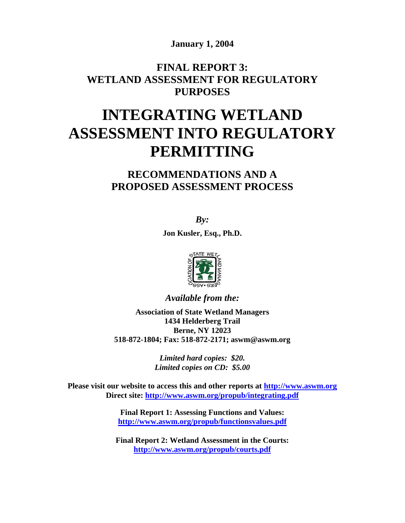**January 1, 2004** 

## **FINAL REPORT 3: WETLAND ASSESSMENT FOR REGULATORY PURPOSES**

## **INTEGRATING WETLAND ASSESSMENT INTO REGULATORY PERMITTING**

## **RECOMMENDATIONS AND A PROPOSED ASSESSMENT PROCESS**

*By:* 

**Jon Kusler, Esq., Ph.D.** 



*Available from the:* 

**Association of State Wetland Managers 1434 Helderberg Trail Berne, NY 12023 518-872-1804; Fax: 518-872-2171; aswm@aswm.org** 

> *Limited hard copies: \$20. Limited copies on CD: \$5.00*

**Please visit our website to access this and other reports at [http://www.aswm.org](http://www.aswm.org/) Direct site: <http://www.aswm.org/propub/integrating.pdf>**

> **Final Report 1: Assessing Functions and Values: <http://www.aswm.org/propub/functionsvalues.pdf>**

**Final Report 2: Wetland Assessment in the Courts: <http://www.aswm.org/propub/courts.pdf>**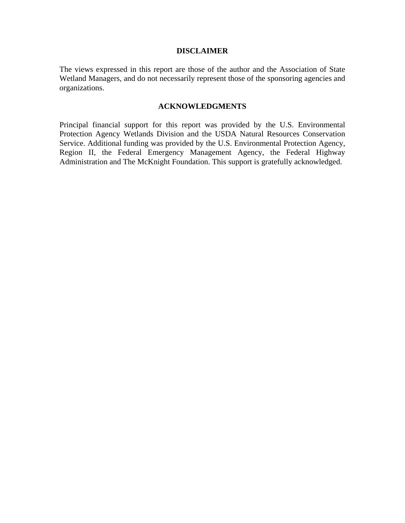#### **DISCLAIMER**

The views expressed in this report are those of the author and the Association of State Wetland Managers, and do not necessarily represent those of the sponsoring agencies and organizations.

#### **ACKNOWLEDGMENTS**

Principal financial support for this report was provided by the U.S. Environmental Protection Agency Wetlands Division and the USDA Natural Resources Conservation Service. Additional funding was provided by the U.S. Environmental Protection Agency, Region II, the Federal Emergency Management Agency, the Federal Highway Administration and The McKnight Foundation. This support is gratefully acknowledged.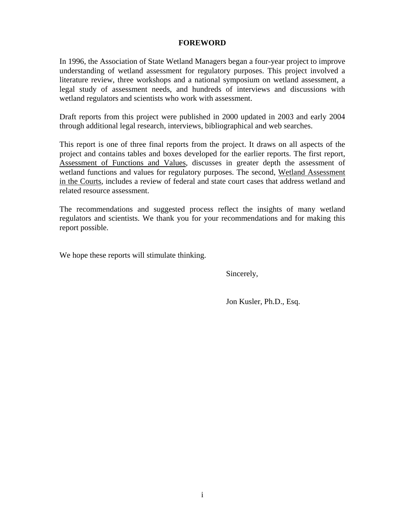#### **FOREWORD**

In 1996, the Association of State Wetland Managers began a four-year project to improve understanding of wetland assessment for regulatory purposes. This project involved a literature review, three workshops and a national symposium on wetland assessment, a legal study of assessment needs, and hundreds of interviews and discussions with wetland regulators and scientists who work with assessment.

Draft reports from this project were published in 2000 updated in 2003 and early 2004 through additional legal research, interviews, bibliographical and web searches.

This report is one of three final reports from the project. It draws on all aspects of the project and contains tables and boxes developed for the earlier reports. The first report, Assessment of Functions and Values, discusses in greater depth the assessment of wetland functions and values for regulatory purposes. The second, Wetland Assessment in the Courts, includes a review of federal and state court cases that address wetland and related resource assessment.

The recommendations and suggested process reflect the insights of many wetland regulators and scientists. We thank you for your recommendations and for making this report possible.

We hope these reports will stimulate thinking.

Sincerely,

Jon Kusler, Ph.D., Esq.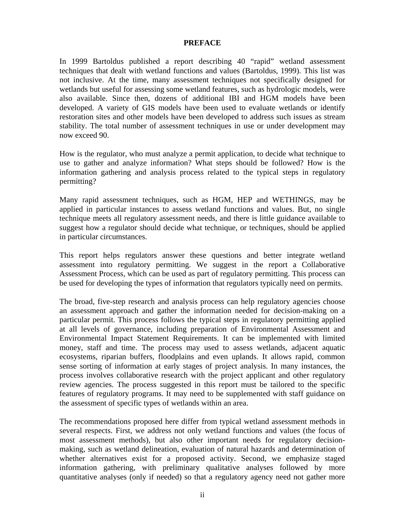#### **PREFACE**

In 1999 Bartoldus published a report describing 40 "rapid" wetland assessment techniques that dealt with wetland functions and values (Bartoldus, 1999). This list was not inclusive. At the time, many assessment techniques not specifically designed for wetlands but useful for assessing some wetland features, such as hydrologic models, were also available. Since then, dozens of additional IBI and HGM models have been developed. A variety of GIS models have been used to evaluate wetlands or identify restoration sites and other models have been developed to address such issues as stream stability. The total number of assessment techniques in use or under development may now exceed 90.

How is the regulator, who must analyze a permit application, to decide what technique to use to gather and analyze information? What steps should be followed? How is the information gathering and analysis process related to the typical steps in regulatory permitting?

Many rapid assessment techniques, such as HGM, HEP and WETHINGS, may be applied in particular instances to assess wetland functions and values. But, no single technique meets all regulatory assessment needs, and there is little guidance available to suggest how a regulator should decide what technique, or techniques, should be applied in particular circumstances.

This report helps regulators answer these questions and better integrate wetland assessment into regulatory permitting. We suggest in the report a Collaborative Assessment Process, which can be used as part of regulatory permitting. This process can be used for developing the types of information that regulators typically need on permits.

The broad, five-step research and analysis process can help regulatory agencies choose an assessment approach and gather the information needed for decision-making on a particular permit. This process follows the typical steps in regulatory permitting applied at all levels of governance, including preparation of Environmental Assessment and Environmental Impact Statement Requirements. It can be implemented with limited money, staff and time. The process may used to assess wetlands, adjacent aquatic ecosystems, riparian buffers, floodplains and even uplands. It allows rapid, common sense sorting of information at early stages of project analysis. In many instances, the process involves collaborative research with the project applicant and other regulatory review agencies. The process suggested in this report must be tailored to the specific features of regulatory programs. It may need to be supplemented with staff guidance on the assessment of specific types of wetlands within an area.

The recommendations proposed here differ from typical wetland assessment methods in several respects. First, we address not only wetland functions and values (the focus of most assessment methods), but also other important needs for regulatory decisionmaking, such as wetland delineation, evaluation of natural hazards and determination of whether alternatives exist for a proposed activity. Second, we emphasize staged information gathering, with preliminary qualitative analyses followed by more quantitative analyses (only if needed) so that a regulatory agency need not gather more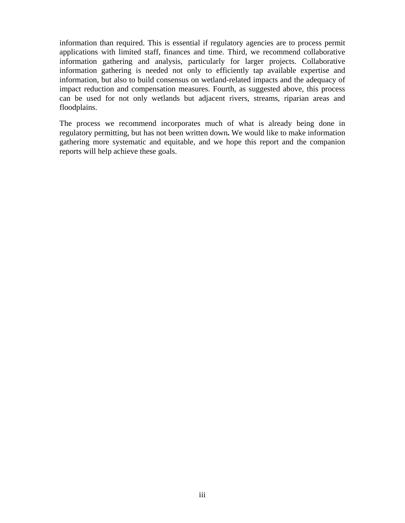information than required. This is essential if regulatory agencies are to process permit applications with limited staff, finances and time. Third, we recommend collaborative information gathering and analysis, particularly for larger projects. Collaborative information gathering is needed not only to efficiently tap available expertise and information, but also to build consensus on wetland-related impacts and the adequacy of impact reduction and compensation measures. Fourth, as suggested above, this process can be used for not only wetlands but adjacent rivers, streams, riparian areas and floodplains.

The process we recommend incorporates much of what is already being done in regulatory permitting, but has not been written down**.** We would like to make information gathering more systematic and equitable, and we hope this report and the companion reports will help achieve these goals.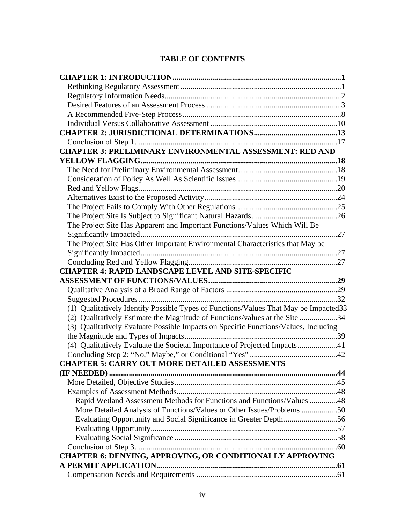### **TABLE OF CONTENTS**

| <b>CHAPTER 3: PRELIMINARY ENVIRONMENTAL ASSESSMENT: RED AND</b>                       |
|---------------------------------------------------------------------------------------|
|                                                                                       |
|                                                                                       |
|                                                                                       |
|                                                                                       |
|                                                                                       |
|                                                                                       |
|                                                                                       |
| The Project Site Has Apparent and Important Functions/Values Which Will Be            |
|                                                                                       |
| The Project Site Has Other Important Environmental Characteristics that May be        |
|                                                                                       |
|                                                                                       |
| <b>CHAPTER 4: RAPID LANDSCAPE LEVEL AND SITE-SPECIFIC</b>                             |
|                                                                                       |
|                                                                                       |
|                                                                                       |
| (1) Qualitatively Identify Possible Types of Functions/Values That May be Impacted 33 |
| (2) Qualitatively Estimate the Magnitude of Functions/values at the Site 34           |
| (3) Qualitatively Evaluate Possible Impacts on Specific Functions/Values, Including   |
|                                                                                       |
| (4) Qualitatively Evaluate the Societal Importance of Projected Impacts41             |
| <b>CHAPTER 5: CARRY OUT MORE DETAILED ASSESSMENTS</b>                                 |
|                                                                                       |
|                                                                                       |
|                                                                                       |
| Rapid Wetland Assessment Methods for Functions and Functions/Values 48                |
| More Detailed Analysis of Functions/Values or Other Issues/Problems 50                |
| Evaluating Opportunity and Social Significance in Greater Depth56                     |
|                                                                                       |
|                                                                                       |
|                                                                                       |
| CHAPTER 6: DENYING, APPROVING, OR CONDITIONALLY APPROVING                             |
|                                                                                       |
|                                                                                       |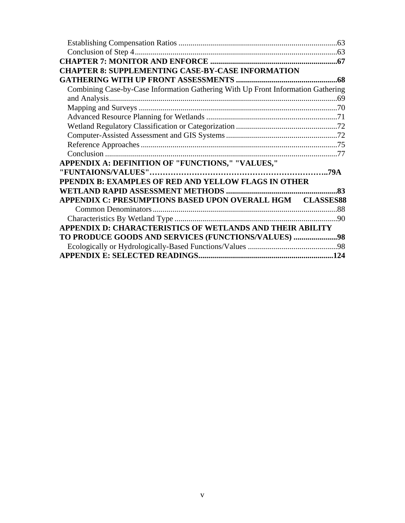| <b>CHAPTER 8: SUPPLEMENTING CASE-BY-CASE INFORMATION</b>                         |     |
|----------------------------------------------------------------------------------|-----|
|                                                                                  |     |
| Combining Case-by-Case Information Gathering With Up Front Information Gathering |     |
|                                                                                  |     |
|                                                                                  |     |
|                                                                                  |     |
|                                                                                  |     |
|                                                                                  |     |
|                                                                                  |     |
|                                                                                  |     |
| APPENDIX A: DEFINITION OF "FUNCTIONS," "VALUES,"                                 |     |
|                                                                                  |     |
| PPENDIX B: EXAMPLES OF RED AND YELLOW FLAGS IN OTHER                             |     |
|                                                                                  |     |
| APPENDIX C: PRESUMPTIONS BASED UPON OVERALL HGM CLASSES88                        |     |
|                                                                                  |     |
|                                                                                  | -90 |
| APPENDIX D: CHARACTERISTICS OF WETLANDS AND THEIR ABILITY                        |     |
| TO PRODUCE GOODS AND SERVICES (FUNCTIONS/VALUES) 98                              |     |
|                                                                                  |     |
|                                                                                  |     |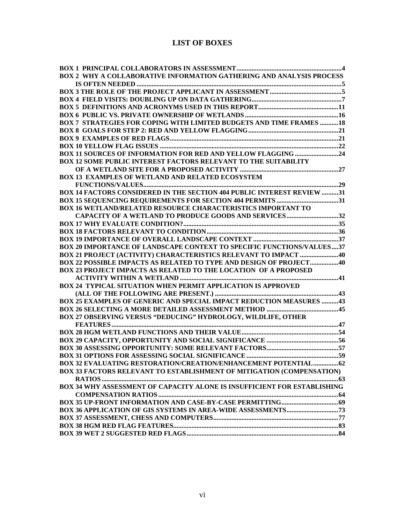#### **LIST OF BOXES**

| BOX 2 WHY A COLLABORATIVE INFORMATION GATHERING AND ANALYSIS PROCESS            |  |
|---------------------------------------------------------------------------------|--|
|                                                                                 |  |
|                                                                                 |  |
|                                                                                 |  |
|                                                                                 |  |
|                                                                                 |  |
| <b>BOX 7 STRATEGIES FOR COPING WITH LIMITED BUDGETS AND TIME FRAMES 18</b>      |  |
|                                                                                 |  |
|                                                                                 |  |
|                                                                                 |  |
|                                                                                 |  |
| <b>BOX 11 SOURCES OF INFORMATION FOR RED AND YELLOW FLAGGING 24</b>             |  |
| <b>BOX 12 SOME PUBLIC INTEREST FACTORS RELEVANT TO THE SUITABILITY</b>          |  |
|                                                                                 |  |
| <b>BOX 13 EXAMPLES OF WETLAND AND RELATED ECOSYSTEM</b>                         |  |
|                                                                                 |  |
| BOX 14 FACTORS CONSIDERED IN THE SECTION 404 PUBLIC INTEREST REVIEW 31          |  |
|                                                                                 |  |
| BOX 16 WETLAND/RELATED RESOURCE CHARACTERISTICS IMPORTANT TO                    |  |
| CAPACITY OF A WETLAND TO PRODUCE GOODS AND SERVICES32                           |  |
|                                                                                 |  |
|                                                                                 |  |
|                                                                                 |  |
| BOX 20 IMPORTANCE OF LANDSCAPE CONTEXT TO SPECIFIC FUNCTIONS/VALUES37           |  |
|                                                                                 |  |
| <b>BOX 21 PROJECT (ACTIVITY) CHARACTERISTICS RELEVANT TO IMPACT  40</b>         |  |
| <b>BOX 22 POSSIBLE IMPACTS AS RELATED TO TYPE AND DESIGN OF PROJECT 40</b>      |  |
| <b>BOX 23 PROJECT IMPACTS AS RELATED TO THE LOCATION OF A PROPOSED</b>          |  |
|                                                                                 |  |
| BOX 24 TYPICAL SITUATION WHEN PERMIT APPLICATION IS APPROVED                    |  |
|                                                                                 |  |
| BOX 25 EXAMPLES OF GENERIC AND SPECIAL IMPACT REDUCTION MEASURES 43             |  |
|                                                                                 |  |
| BOX 27 OBSERVING VERSUS "DEDUCING" HYDROLOGY, WILDLIFE, OTHER                   |  |
|                                                                                 |  |
|                                                                                 |  |
|                                                                                 |  |
|                                                                                 |  |
|                                                                                 |  |
|                                                                                 |  |
| <b>BOX 33 FACTORS RELEVANT TO ESTABLISHMENT OF MITIGATION (COMPENSATION)</b>    |  |
|                                                                                 |  |
| <b>BOX 34 WHY ASSESSMENT OF CAPACITY ALONE IS INSUFFICIENT FOR ESTABLISHING</b> |  |
|                                                                                 |  |
|                                                                                 |  |
|                                                                                 |  |
|                                                                                 |  |
|                                                                                 |  |
|                                                                                 |  |
|                                                                                 |  |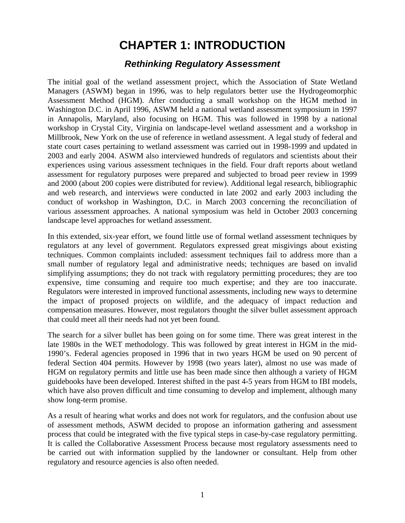## **CHAPTER 1: INTRODUCTION**

## *Rethinking Regulatory Assessment*

<span id="page-9-0"></span>The initial goal of the wetland assessment project, which the Association of State Wetland Managers (ASWM) began in 1996, was to help regulators better use the Hydrogeomorphic Assessment Method (HGM). After conducting a small workshop on the HGM method in Washington D.C. in April 1996, ASWM held a national wetland assessment symposium in 1997 in Annapolis, Maryland, also focusing on HGM. This was followed in 1998 by a national workshop in Crystal City, Virginia on landscape-level wetland assessment and a workshop in Millbrook, New York on the use of reference in wetland assessment. A legal study of federal and state court cases pertaining to wetland assessment was carried out in 1998-1999 and updated in 2003 and early 2004. ASWM also interviewed hundreds of regulators and scientists about their experiences using various assessment techniques in the field. Four draft reports about wetland assessment for regulatory purposes were prepared and subjected to broad peer review in 1999 and 2000 (about 200 copies were distributed for review). Additional legal research, bibliographic and web research, and interviews were conducted in late 2002 and early 2003 including the conduct of workshop in Washington, D.C. in March 2003 concerning the reconciliation of various assessment approaches. A national symposium was held in October 2003 concerning landscape level approaches for wetland assessment.

In this extended, six-year effort, we found little use of formal wetland assessment techniques by regulators at any level of government. Regulators expressed great misgivings about existing techniques. Common complaints included: assessment techniques fail to address more than a small number of regulatory legal and administrative needs; techniques are based on invalid simplifying assumptions; they do not track with regulatory permitting procedures; they are too expensive, time consuming and require too much expertise; and they are too inaccurate. Regulators were interested in improved functional assessments, including new ways to determine the impact of proposed projects on wildlife, and the adequacy of impact reduction and compensation measures. However, most regulators thought the silver bullet assessment approach that could meet all their needs had not yet been found.

The search for a silver bullet has been going on for some time. There was great interest in the late 1980s in the WET methodology. This was followed by great interest in HGM in the mid-1990's. Federal agencies proposed in 1996 that in two years HGM be used on 90 percent of federal Section 404 permits. However by 1998 (two years later), almost no use was made of HGM on regulatory permits and little use has been made since then although a variety of HGM guidebooks have been developed. Interest shifted in the past 4-5 years from HGM to IBI models, which have also proven difficult and time consuming to develop and implement, although many show long-term promise.

As a result of hearing what works and does not work for regulators, and the confusion about use of assessment methods, ASWM decided to propose an information gathering and assessment process that could be integrated with the five typical steps in case-by-case regulatory permitting. It is called the Collaborative Assessment Process because most regulatory assessments need to be carried out with information supplied by the landowner or consultant. Help from other regulatory and resource agencies is also often needed.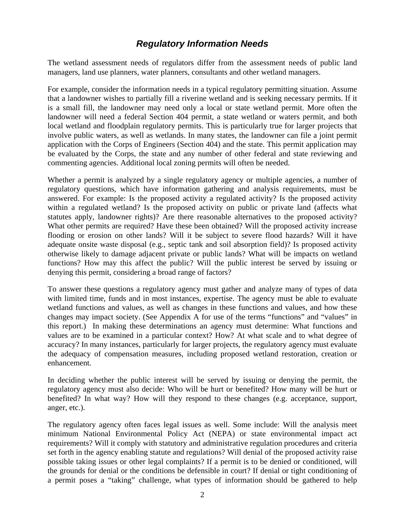## *Regulatory Information Needs*

<span id="page-10-0"></span>The wetland assessment needs of regulators differ from the assessment needs of public land managers, land use planners, water planners, consultants and other wetland managers.

For example, consider the information needs in a typical regulatory permitting situation. Assume that a landowner wishes to partially fill a riverine wetland and is seeking necessary permits. If it is a small fill, the landowner may need only a local or state wetland permit. More often the landowner will need a federal Section 404 permit, a state wetland or waters permit, and both local wetland and floodplain regulatory permits. This is particularly true for larger projects that involve public waters, as well as wetlands. In many states, the landowner can file a joint permit application with the Corps of Engineers (Section 404) and the state. This permit application may be evaluated by the Corps, the state and any number of other federal and state reviewing and commenting agencies. Additional local zoning permits will often be needed.

Whether a permit is analyzed by a single regulatory agency or multiple agencies, a number of regulatory questions, which have information gathering and analysis requirements, must be answered. For example: Is the proposed activity a regulated activity? Is the proposed activity within a regulated wetland? Is the proposed activity on public or private land (affects what statutes apply, landowner rights)? Are there reasonable alternatives to the proposed activity? What other permits are required? Have these been obtained? Will the proposed activity increase flooding or erosion on other lands? Will it be subject to severe flood hazards? Will it have adequate onsite waste disposal (e.g., septic tank and soil absorption field)? Is proposed activity otherwise likely to damage adjacent private or public lands? What will be impacts on wetland functions? How may this affect the public? Will the public interest be served by issuing or denying this permit, considering a broad range of factors?

To answer these questions a regulatory agency must gather and analyze many of types of data with limited time, funds and in most instances, expertise. The agency must be able to evaluate wetland functions and values, as well as changes in these functions and values, and how these changes may impact society. (See Appendix A for use of the terms "functions" and "values" in this report.) In making these determinations an agency must determine: What functions and values are to be examined in a particular context? How? At what scale and to what degree of accuracy? In many instances, particularly for larger projects, the regulatory agency must evaluate the adequacy of compensation measures, including proposed wetland restoration, creation or enhancement.

In deciding whether the public interest will be served by issuing or denying the permit, the regulatory agency must also decide: Who will be hurt or benefited? How many will be hurt or benefited? In what way? How will they respond to these changes (e.g. acceptance, support, anger, etc.).

The regulatory agency often faces legal issues as well. Some include: Will the analysis meet minimum National Environmental Policy Act (NEPA) or state environmental impact act requirements? Will it comply with statutory and administrative regulation procedures and criteria set forth in the agency enabling statute and regulations? Will denial of the proposed activity raise possible taking issues or other legal complaints? If a permit is to be denied or conditioned, will the grounds for denial or the conditions be defensible in court? If denial or tight conditioning of a permit poses a "taking" challenge, what types of information should be gathered to help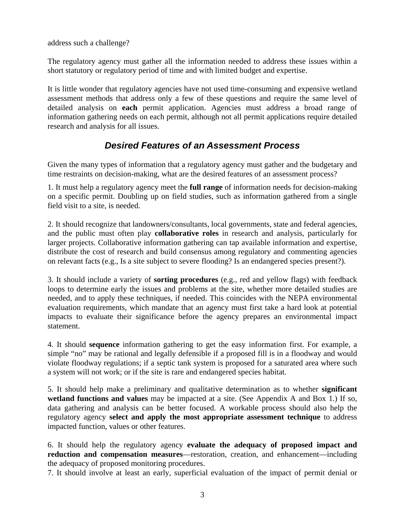<span id="page-11-0"></span>address such a challenge?

The regulatory agency must gather all the information needed to address these issues within a short statutory or regulatory period of time and with limited budget and expertise.

It is little wonder that regulatory agencies have not used time-consuming and expensive wetland assessment methods that address only a few of these questions and require the same level of detailed analysis on **each** permit application. Agencies must address a broad range of information gathering needs on each permit, although not all permit applications require detailed research and analysis for all issues.

## *Desired Features of an Assessment Process*

Given the many types of information that a regulatory agency must gather and the budgetary and time restraints on decision-making, what are the desired features of an assessment process?

1. It must help a regulatory agency meet the **full range** of information needs for decision-making on a specific permit. Doubling up on field studies, such as information gathered from a single field visit to a site, is needed.

2. It should recognize that landowners/consultants, local governments, state and federal agencies, and the public must often play **collaborative roles** in research and analysis, particularly for larger projects. Collaborative information gathering can tap available information and expertise, distribute the cost of research and build consensus among regulatory and commenting agencies on relevant facts (e.g., Is a site subject to severe flooding? Is an endangered species present?).

3. It should include a variety of **sorting procedures** (e.g., red and yellow flags) with feedback loops to determine early the issues and problems at the site, whether more detailed studies are needed, and to apply these techniques, if needed. This coincides with the NEPA environmental evaluation requirements, which mandate that an agency must first take a hard look at potential impacts to evaluate their significance before the agency prepares an environmental impact statement.

4. It should **sequence** information gathering to get the easy information first. For example, a simple "no" may be rational and legally defensible if a proposed fill is in a floodway and would violate floodway regulations; if a septic tank system is proposed for a saturated area where such a system will not work; or if the site is rare and endangered species habitat.

5. It should help make a preliminary and qualitative determination as to whether **significant wetland functions and values** may be impacted at a site. (See Appendix A and Box 1.) If so, data gathering and analysis can be better focused. A workable process should also help the regulatory agency **select and apply the most appropriate assessment technique** to address impacted function, values or other features.

6. It should help the regulatory agency **evaluate the adequacy of proposed impact and reduction and compensation measures**—restoration, creation, and enhancement—including the adequacy of proposed monitoring procedures.

7. It should involve at least an early, superficial evaluation of the impact of permit denial or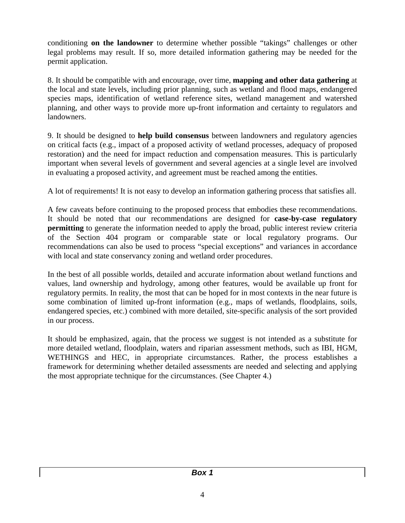conditioning **on the landowner** to determine whether possible "takings" challenges or other legal problems may result. If so, more detailed information gathering may be needed for the permit application.

8. It should be compatible with and encourage, over time, **mapping and other data gathering** at the local and state levels, including prior planning, such as wetland and flood maps, endangered species maps, identification of wetland reference sites, wetland management and watershed planning, and other ways to provide more up-front information and certainty to regulators and landowners.

9. It should be designed to **help build consensus** between landowners and regulatory agencies on critical facts (e.g., impact of a proposed activity of wetland processes, adequacy of proposed restoration) and the need for impact reduction and compensation measures. This is particularly important when several levels of government and several agencies at a single level are involved in evaluating a proposed activity, and agreement must be reached among the entities.

A lot of requirements! It is not easy to develop an information gathering process that satisfies all.

A few caveats before continuing to the proposed process that embodies these recommendations. It should be noted that our recommendations are designed for **case-by-case regulatory permitting** to generate the information needed to apply the broad, public interest review criteria of the Section 404 program or comparable state or local regulatory programs. Our recommendations can also be used to process "special exceptions" and variances in accordance with local and state conservancy zoning and wetland order procedures.

In the best of all possible worlds, detailed and accurate information about wetland functions and values, land ownership and hydrology, among other features, would be available up front for regulatory permits. In reality, the most that can be hoped for in most contexts in the near future is some combination of limited up-front information (e.g., maps of wetlands, floodplains, soils, endangered species, etc.) combined with more detailed, site-specific analysis of the sort provided in our process.

It should be emphasized, again, that the process we suggest is not intended as a substitute for more detailed wetland, floodplain, waters and riparian assessment methods, such as IBI, HGM, WETHINGS and HEC, in appropriate circumstances. Rather, the process establishes a framework for determining whether detailed assessments are needed and selecting and applying the most appropriate technique for the circumstances. (See Chapter 4.)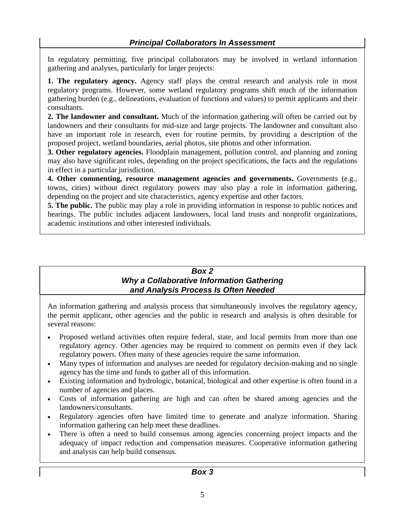<span id="page-13-0"></span>In regulatory permitting, five principal collaborators may be involved in wetland information gathering and analyses, particularly for larger projects:

**1. The regulatory agency.** Agency staff plays the central research and analysis role in most regulatory programs. However, some wetland regulatory programs shift much of the information gathering burden (e.g., delineations, evaluation of functions and values) to permit applicants and their consultants.

**2. The landowner and consultant.** Much of the information gathering will often be carried out by landowners and their consultants for mid-size and large projects. The landowner and consultant also have an important role in research, even for routine permits, by providing a description of the proposed project, wetland boundaries, aerial photos, site photos and other information.

**3. Other regulatory agencies.** Floodplain management, pollution control, and planning and zoning may also have significant roles, depending on the project specifications, the facts and the regulations in effect in a particular jurisdiction.

**4. Other commenting, resource management agencies and governments.** Governments (e.g., towns, cities) without direct regulatory powers may also play a role in information gathering, depending on the project and site characteristics, agency expertise and other factors.

**5. The public.** The public may play a role in providing information in response to public notices and hearings. The public includes adjacent landowners, local land trusts and nonprofit organizations, academic institutions and other interested individuals.

#### *Box 2 Why a Collaborative Information Gathering and Analysis Process Is Often Needed*

An information gathering and analysis process that simultaneously involves the regulatory agency, the permit applicant, other agencies and the public in research and analysis is often desirable for several reasons:

- Proposed wetland activities often require federal, state, and local permits from more than one regulatory agency. Other agencies may be required to comment on permits even if they lack regulatory powers. Often many of these agencies require the same information.
- Many types of information and analyses are needed for regulatory decision-making and no single agency has the time and funds to gather all of this information.
- Existing information and hydrologic, botanical, biological and other expertise is often found in a number of agencies and places.
- Costs of information gathering are high and can often be shared among agencies and the landowners/consultants.
- Regulatory agencies often have limited time to generate and analyze information. Sharing information gathering can help meet these deadlines.
- There is often a need to build consensus among agencies concerning project impacts and the adequacy of impact reduction and compensation measures. Cooperative information gathering and analysis can help build consensus.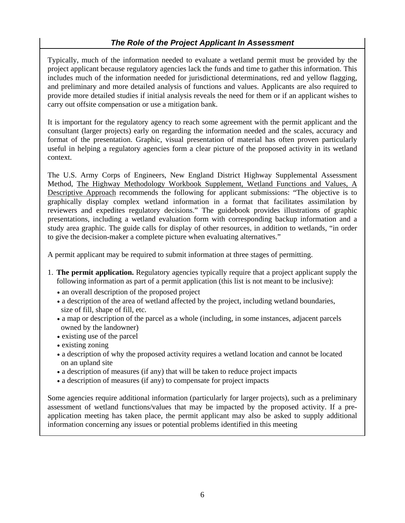#### *The Role of the Project Applicant In Assessment*

<span id="page-14-0"></span>Typically, much of the information needed to evaluate a wetland permit must be provided by the project applicant because regulatory agencies lack the funds and time to gather this information. This includes much of the information needed for jurisdictional determinations, red and yellow flagging, and preliminary and more detailed analysis of functions and values. Applicants are also required to provide more detailed studies if initial analysis reveals the need for them or if an applicant wishes to carry out offsite compensation or use a mitigation bank.

It is important for the regulatory agency to reach some agreement with the permit applicant and the consultant (larger projects) early on regarding the information needed and the scales, accuracy and format of the presentation. Graphic, visual presentation of material has often proven particularly useful in helping a regulatory agencies form a clear picture of the proposed activity in its wetland context.

The U.S. Army Corps of Engineers, New England District Highway Supplemental Assessment Method, The Highway Methodology Workbook Supplement, Wetland Functions and Values, A Descriptive Approach recommends the following for applicant submissions: "The objective is to graphically display complex wetland information in a format that facilitates assimilation by reviewers and expedites regulatory decisions." The guidebook provides illustrations of graphic presentations, including a wetland evaluation form with corresponding backup information and a study area graphic. The guide calls for display of other resources, in addition to wetlands, "in order to give the decision-maker a complete picture when evaluating alternatives."

A permit applicant may be required to submit information at three stages of permitting.

- 1. **The permit application.** Regulatory agencies typically require that a project applicant supply the following information as part of a permit application (this list is not meant to be inclusive):
	- an overall description of the proposed project
	- a description of the area of wetland affected by the project, including wetland boundaries, size of fill, shape of fill, etc.
	- a map or description of the parcel as a whole (including, in some instances, adjacent parcels owned by the landowner)
	- existing use of the parcel
	- existing zoning
	- a description of why the proposed activity requires a wetland location and cannot be located on an upland site
	- a description of measures (if any) that will be taken to reduce project impacts
	- a description of measures (if any) to compensate for project impacts

Some agencies require additional information (particularly for larger projects), such as a preliminary assessment of wetland functions/values that may be impacted by the proposed activity. If a preapplication meeting has taken place, the permit applicant may also be asked to supply additional information concerning any issues or potential problems identified in this meeting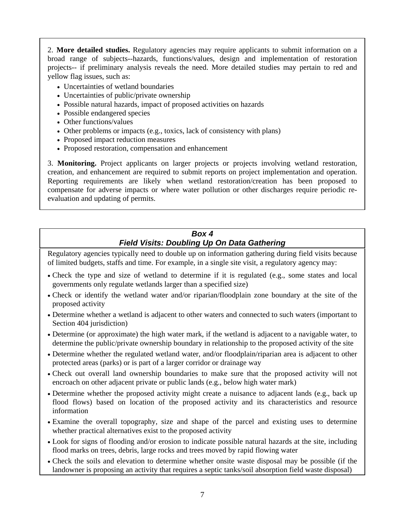<span id="page-15-0"></span>2. **More detailed studies.** Regulatory agencies may require applicants to submit information on a broad range of subjects--hazards, functions/values, design and implementation of restoration projects-- if preliminary analysis reveals the need. More detailed studies may pertain to red and yellow flag issues, such as:

- Uncertainties of wetland boundaries
- Uncertainties of public/private ownership
- Possible natural hazards, impact of proposed activities on hazards
- Possible endangered species
- Other functions/values
- Other problems or impacts (e.g., toxics, lack of consistency with plans)
- Proposed impact reduction measures
- Proposed restoration, compensation and enhancement

3. **Monitoring.** Project applicants on larger projects or projects involving wetland restoration, creation, and enhancement are required to submit reports on project implementation and operation. Reporting requirements are likely when wetland restoration/creation has been proposed to compensate for adverse impacts or where water pollution or other discharges require periodic reevaluation and updating of permits.

#### *Box 4 Field Visits: Doubling Up On Data Gathering*

Regulatory agencies typically need to double up on information gathering during field visits because of limited budgets, staffs and time. For example, in a single site visit, a regulatory agency may:

- Check the type and size of wetland to determine if it is regulated (e.g., some states and local governments only regulate wetlands larger than a specified size)
- Check or identify the wetland water and/or riparian/floodplain zone boundary at the site of the proposed activity
- Determine whether a wetland is adjacent to other waters and connected to such waters (important to Section 404 jurisdiction)
- Determine (or approximate) the high water mark, if the wetland is adjacent to a navigable water, to determine the public/private ownership boundary in relationship to the proposed activity of the site
- Determine whether the regulated wetland water, and/or floodplain/riparian area is adjacent to other protected areas (parks) or is part of a larger corridor or drainage way
- Check out overall land ownership boundaries to make sure that the proposed activity will not encroach on other adjacent private or public lands (e.g., below high water mark)
- Determine whether the proposed activity might create a nuisance to adjacent lands (e.g., back up flood flows) based on location of the proposed activity and its characteristics and resource information
- Examine the overall topography, size and shape of the parcel and existing uses to determine whether practical alternatives exist to the proposed activity
- Look for signs of flooding and/or erosion to indicate possible natural hazards at the site, including flood marks on trees, debris, large rocks and trees moved by rapid flowing water
- Check the soils and elevation to determine whether onsite waste disposal may be possible (if the landowner is proposing an activity that requires a septic tanks/soil absorption field waste disposal)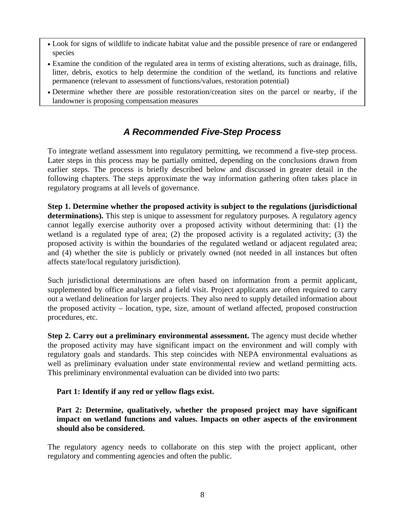- <span id="page-16-0"></span>• Look for signs of wildlife to indicate habitat value and the possible presence of rare or endangered species
- Examine the condition of the regulated area in terms of existing alterations, such as drainage, fills, litter, debris, exotics to help determine the condition of the wetland, its functions and relative permanence (relevant to assessment of functions/values, restoration potential)
- Determine whether there are possible restoration/creation sites on the parcel or nearby, if the landowner is proposing compensation measures

## *A Recommended Five-Step Process*

To integrate wetland assessment into regulatory permitting, we recommend a five-step process. Later steps in this process may be partially omitted, depending on the conclusions drawn from earlier steps. The process is briefly described below and discussed in greater detail in the following chapters. The steps approximate the way information gathering often takes place in regulatory programs at all levels of governance.

**Step 1. Determine whether the proposed activity is subject to the regulations (jurisdictional**  determinations). This step is unique to assessment for regulatory purposes. A regulatory agency cannot legally exercise authority over a proposed activity without determining that: (1) the wetland is a regulated type of area; (2) the proposed activity is a regulated activity; (3) the proposed activity is within the boundaries of the regulated wetland or adjacent regulated area; and (4) whether the site is publicly or privately owned (not needed in all instances but often affects state/local regulatory jurisdiction).

Such jurisdictional determinations are often based on information from a permit applicant, supplemented by office analysis and a field visit. Project applicants are often required to carry out a wetland delineation for larger projects. They also need to supply detailed information about the proposed activity – location, type, size, amount of wetland affected, proposed construction procedures, etc.

**Step 2. Carry out a preliminary environmental assessment.** The agency must decide whether the proposed activity may have significant impact on the environment and will comply with regulatory goals and standards. This step coincides with NEPA environmental evaluations as well as preliminary evaluation under state environmental review and wetland permitting acts. This preliminary environmental evaluation can be divided into two parts:

#### **Part 1: Identify if any red or yellow flags exist.**

**Part 2: Determine, qualitatively, whether the proposed project may have significant impact on wetland functions and values. Impacts on other aspects of the environment should also be considered.** 

The regulatory agency needs to collaborate on this step with the project applicant, other regulatory and commenting agencies and often the public.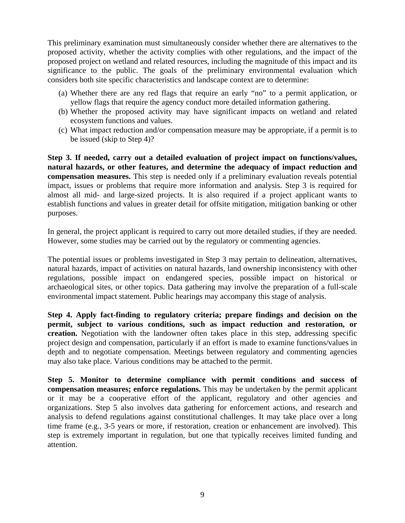This preliminary examination must simultaneously consider whether there are alternatives to the proposed activity, whether the activity complies with other regulations, and the impact of the proposed project on wetland and related resources, including the magnitude of this impact and its significance to the public. The goals of the preliminary environmental evaluation which considers both site specific characteristics and landscape context are to determine:

- (a) Whether there are any red flags that require an early "no" to a permit application, or yellow flags that require the agency conduct more detailed information gathering.
- (b) Whether the proposed activity may have significant impacts on wetland and related ecosystem functions and values.
- (c) What impact reduction and/or compensation measure may be appropriate, if a permit is to be issued (skip to Step 4)?

**Step 3. If needed, carry out a detailed evaluation of project impact on functions/values, natural hazards, or other features, and determine the adequacy of impact reduction and compensation measures.** This step is needed only if a preliminary evaluation reveals potential impact, issues or problems that require more information and analysis. Step 3 is required for almost all mid- and large-sized projects. It is also required if a project applicant wants to establish functions and values in greater detail for offsite mitigation, mitigation banking or other purposes.

In general, the project applicant is required to carry out more detailed studies, if they are needed. However, some studies may be carried out by the regulatory or commenting agencies.

The potential issues or problems investigated in Step 3 may pertain to delineation, alternatives, natural hazards, impact of activities on natural hazards, land ownership inconsistency with other regulations, possible impact on endangered species, possible impact on historical or archaeological sites, or other topics. Data gathering may involve the preparation of a full-scale environmental impact statement. Public hearings may accompany this stage of analysis.

**Step 4. Apply fact-finding to regulatory criteria; prepare findings and decision on the permit, subject to various conditions, such as impact reduction and restoration, or creation.** Negotiation with the landowner often takes place in this step, addressing specific project design and compensation, particularly if an effort is made to examine functions/values in depth and to negotiate compensation. Meetings between regulatory and commenting agencies may also take place. Various conditions may be attached to the permit.

**Step 5. Monitor to determine compliance with permit conditions and success of compensation measures; enforce regulations.** This may be undertaken by the permit applicant or it may be a cooperative effort of the applicant, regulatory and other agencies and organizations. Step 5 also involves data gathering for enforcement actions, and research and analysis to defend regulations against constitutional challenges. It may take place over a long time frame (e.g., 3-5 years or more, if restoration, creation or enhancement are involved). This step is extremely important in regulation, but one that typically receives limited funding and attention.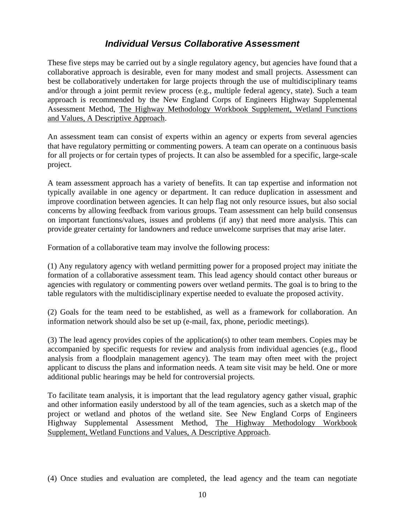### *Individual Versus Collaborative Assessment*

<span id="page-18-0"></span>These five steps may be carried out by a single regulatory agency, but agencies have found that a collaborative approach is desirable, even for many modest and small projects. Assessment can best be collaboratively undertaken for large projects through the use of multidisciplinary teams and/or through a joint permit review process (e.g., multiple federal agency, state). Such a team approach is recommended by the New England Corps of Engineers Highway Supplemental Assessment Method, The Highway Methodology Workbook Supplement, Wetland Functions and Values, A Descriptive Approach.

An assessment team can consist of experts within an agency or experts from several agencies that have regulatory permitting or commenting powers. A team can operate on a continuous basis for all projects or for certain types of projects. It can also be assembled for a specific, large-scale project.

A team assessment approach has a variety of benefits. It can tap expertise and information not typically available in one agency or department. It can reduce duplication in assessment and improve coordination between agencies. It can help flag not only resource issues, but also social concerns by allowing feedback from various groups. Team assessment can help build consensus on important functions/values, issues and problems (if any) that need more analysis. This can provide greater certainty for landowners and reduce unwelcome surprises that may arise later.

Formation of a collaborative team may involve the following process:

(1) Any regulatory agency with wetland permitting power for a proposed project may initiate the formation of a collaborative assessment team. This lead agency should contact other bureaus or agencies with regulatory or commenting powers over wetland permits. The goal is to bring to the table regulators with the multidisciplinary expertise needed to evaluate the proposed activity.

(2) Goals for the team need to be established, as well as a framework for collaboration. An information network should also be set up (e-mail, fax, phone, periodic meetings).

(3) The lead agency provides copies of the application(s) to other team members. Copies may be accompanied by specific requests for review and analysis from individual agencies (e.g., flood analysis from a floodplain management agency). The team may often meet with the project applicant to discuss the plans and information needs. A team site visit may be held. One or more additional public hearings may be held for controversial projects.

To facilitate team analysis, it is important that the lead regulatory agency gather visual, graphic and other information easily understood by all of the team agencies, such as a sketch map of the project or wetland and photos of the wetland site. See New England Corps of Engineers Highway Supplemental Assessment Method, The Highway Methodology Workbook Supplement, Wetland Functions and Values, A Descriptive Approach.

(4) Once studies and evaluation are completed, the lead agency and the team can negotiate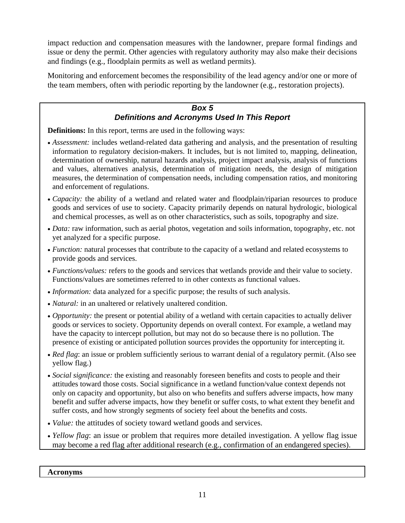<span id="page-19-0"></span>impact reduction and compensation measures with the landowner, prepare formal findings and issue or deny the permit. Other agencies with regulatory authority may also make their decisions and findings (e.g., floodplain permits as well as wetland permits).

Monitoring and enforcement becomes the responsibility of the lead agency and/or one or more of the team members, often with periodic reporting by the landowner (e.g., restoration projects).

#### *Box 5 Definitions and Acronyms Used In This Report*

**Definitions:** In this report, terms are used in the following ways:

- *Assessment:* includes wetland-related data gathering and analysis, and the presentation of resulting information to regulatory decision-makers. It includes, but is not limited to, mapping, delineation, determination of ownership, natural hazards analysis, project impact analysis, analysis of functions and values, alternatives analysis, determination of mitigation needs, the design of mitigation measures, the determination of compensation needs, including compensation ratios, and monitoring and enforcement of regulations.
- *Capacity:* the ability of a wetland and related water and floodplain/riparian resources to produce goods and services of use to society. Capacity primarily depends on natural hydrologic, biological and chemical processes, as well as on other characteristics, such as soils, topography and size.
- *Data:* raw information, such as aerial photos, vegetation and soils information, topography, etc. not yet analyzed for a specific purpose.
- *Function:* natural processes that contribute to the capacity of a wetland and related ecosystems to provide goods and services.
- *Functions/values:* refers to the goods and services that wetlands provide and their value to society. Functions/values are sometimes referred to in other contexts as functional values.
- *Information:* data analyzed for a specific purpose; the results of such analysis.
- *Natural:* in an unaltered or relatively unaltered condition.
- *Opportunity:* the present or potential ability of a wetland with certain capacities to actually deliver goods or services to society. Opportunity depends on overall context. For example, a wetland may have the capacity to intercept pollution, but may not do so because there is no pollution. The presence of existing or anticipated pollution sources provides the opportunity for intercepting it.
- *Red flag*: an issue or problem sufficiently serious to warrant denial of a regulatory permit. (Also see yellow flag.)
- *Social significance:* the existing and reasonably foreseen benefits and costs to people and their attitudes toward those costs. Social significance in a wetland function/value context depends not only on capacity and opportunity, but also on who benefits and suffers adverse impacts, how many benefit and suffer adverse impacts, how they benefit or suffer costs, to what extent they benefit and suffer costs, and how strongly segments of society feel about the benefits and costs.
- *Value:* the attitudes of society toward wetland goods and services.
- *Yellow flag*: an issue or problem that requires more detailed investigation. A yellow flag issue may become a red flag after additional research (e.g., confirmation of an endangered species).

**Acronyms**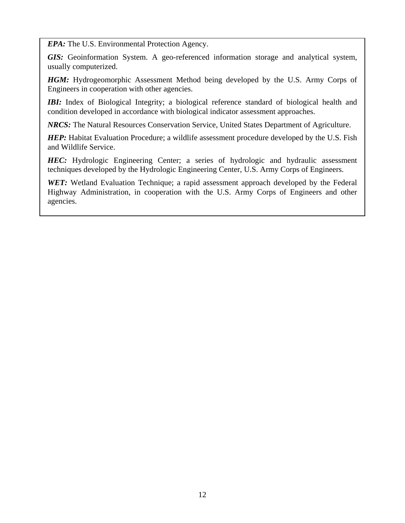*EPA:* The U.S. Environmental Protection Agency.

*GIS:* Geoinformation System. A geo-referenced information storage and analytical system, usually computerized.

*HGM:* Hydrogeomorphic Assessment Method being developed by the U.S. Army Corps of Engineers in cooperation with other agencies.

*IBI:* Index of Biological Integrity; a biological reference standard of biological health and condition developed in accordance with biological indicator assessment approaches.

*NRCS:* The Natural Resources Conservation Service, United States Department of Agriculture.

*HEP*: Habitat Evaluation Procedure; a wildlife assessment procedure developed by the U.S. Fish and Wildlife Service.

*HEC:* Hydrologic Engineering Center; a series of hydrologic and hydraulic assessment techniques developed by the Hydrologic Engineering Center, U.S. Army Corps of Engineers.

**WET:** Wetland Evaluation Technique; a rapid assessment approach developed by the Federal Highway Administration, in cooperation with the U.S. Army Corps of Engineers and other agencies.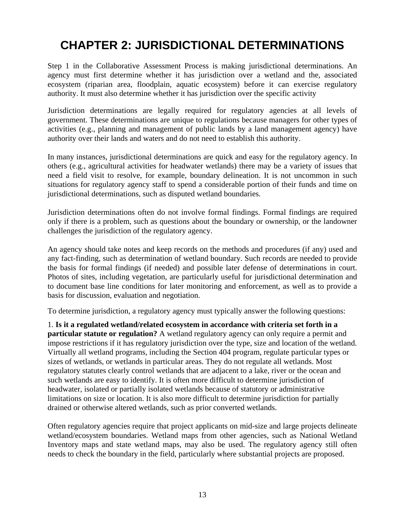## <span id="page-21-0"></span>**CHAPTER 2: JURISDICTIONAL DETERMINATIONS**

Step 1 in the Collaborative Assessment Process is making jurisdictional determinations. An agency must first determine whether it has jurisdiction over a wetland and the, associated ecosystem (riparian area, floodplain, aquatic ecosystem) before it can exercise regulatory authority. It must also determine whether it has jurisdiction over the specific activity

Jurisdiction determinations are legally required for regulatory agencies at all levels of government. These determinations are unique to regulations because managers for other types of activities (e.g., planning and management of public lands by a land management agency) have authority over their lands and waters and do not need to establish this authority.

In many instances, jurisdictional determinations are quick and easy for the regulatory agency. In others (e.g., agricultural activities for headwater wetlands) there may be a variety of issues that need a field visit to resolve, for example, boundary delineation. It is not uncommon in such situations for regulatory agency staff to spend a considerable portion of their funds and time on jurisdictional determinations, such as disputed wetland boundaries.

Jurisdiction determinations often do not involve formal findings. Formal findings are required only if there is a problem, such as questions about the boundary or ownership, or the landowner challenges the jurisdiction of the regulatory agency.

An agency should take notes and keep records on the methods and procedures (if any) used and any fact-finding, such as determination of wetland boundary. Such records are needed to provide the basis for formal findings (if needed) and possible later defense of determinations in court. Photos of sites, including vegetation, are particularly useful for jurisdictional determination and to document base line conditions for later monitoring and enforcement, as well as to provide a basis for discussion, evaluation and negotiation.

To determine jurisdiction, a regulatory agency must typically answer the following questions:

1. **Is it a regulated wetland/related ecosystem in accordance with criteria set forth in a particular statute or regulation?** A wetland regulatory agency can only require a permit and impose restrictions if it has regulatory jurisdiction over the type, size and location of the wetland. Virtually all wetland programs, including the Section 404 program, regulate particular types or sizes of wetlands, or wetlands in particular areas. They do not regulate all wetlands. Most regulatory statutes clearly control wetlands that are adjacent to a lake, river or the ocean and such wetlands are easy to identify. It is often more difficult to determine jurisdiction of headwater, isolated or partially isolated wetlands because of statutory or administrative limitations on size or location. It is also more difficult to determine jurisdiction for partially drained or otherwise altered wetlands, such as prior converted wetlands.

Often regulatory agencies require that project applicants on mid-size and large projects delineate wetland/ecosystem boundaries. Wetland maps from other agencies, such as National Wetland Inventory maps and state wetland maps, may also be used. The regulatory agency still often needs to check the boundary in the field, particularly where substantial projects are proposed.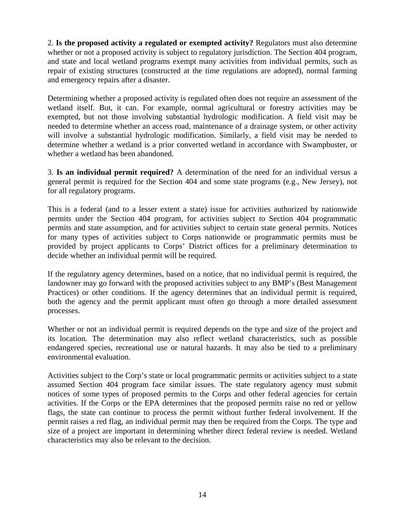2. **Is the proposed activity a regulated or exempted activity?** Regulators must also determine whether or not a proposed activity is subject to regulatory jurisdiction. The Section 404 program, and state and local wetland programs exempt many activities from individual permits, such as repair of existing structures (constructed at the time regulations are adopted), normal farming and emergency repairs after a disaster.

Determining whether a proposed activity is regulated often does not require an assessment of the wetland itself. But, it can. For example, normal agricultural or forestry activities may be exempted, but not those involving substantial hydrologic modification. A field visit may be needed to determine whether an access road, maintenance of a drainage system, or other activity will involve a substantial hydrologic modification. Similarly, a field visit may be needed to determine whether a wetland is a prior converted wetland in accordance with Swampbuster, or whether a wetland has been abandoned.

3. **Is an individual permit required?** A determination of the need for an individual versus a general permit is required for the Section 404 and some state programs (e.g., New Jersey), not for all regulatory programs.

This is a federal (and to a lesser extent a state) issue for activities authorized by nationwide permits under the Section 404 program, for activities subject to Section 404 programmatic permits and state assumption, and for activities subject to certain state general permits. Notices for many types of activities subject to Corps nationwide or programmatic permits must be provided by project applicants to Corps' District offices for a preliminary determination to decide whether an individual permit will be required.

If the regulatory agency determines, based on a notice, that no individual permit is required, the landowner may go forward with the proposed activities subject to any BMP's (Best Management Practices) or other conditions. If the agency determines that an individual permit is required, both the agency and the permit applicant must often go through a more detailed assessment processes.

Whether or not an individual permit is required depends on the type and size of the project and its location. The determination may also reflect wetland characteristics, such as possible endangered species, recreational use or natural hazards. It may also be tied to a preliminary environmental evaluation.

Activities subject to the Corp's state or local programmatic permits or activities subject to a state assumed Section 404 program face similar issues. The state regulatory agency must submit notices of some types of proposed permits to the Corps and other federal agencies for certain activities. If the Corps or the EPA determines that the proposed permits raise no red or yellow flags, the state can continue to process the permit without further federal involvement. If the permit raises a red flag, an individual permit may then be required from the Corps. The type and size of a project are important in determining whether direct federal review is needed. Wetland characteristics may also be relevant to the decision.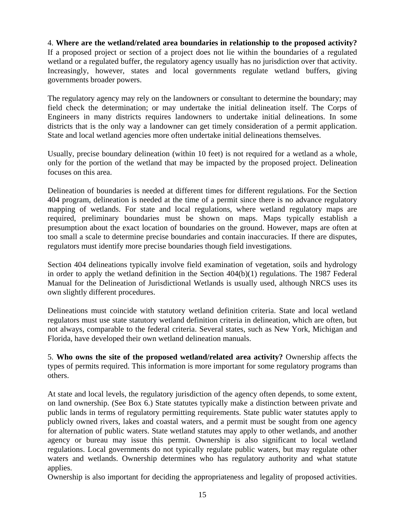4. **Where are the wetland/related area boundaries in relationship to the proposed activity?**  If a proposed project or section of a project does not lie within the boundaries of a regulated wetland or a regulated buffer, the regulatory agency usually has no jurisdiction over that activity. Increasingly, however, states and local governments regulate wetland buffers, giving governments broader powers.

The regulatory agency may rely on the landowners or consultant to determine the boundary; may field check the determination; or may undertake the initial delineation itself. The Corps of Engineers in many districts requires landowners to undertake initial delineations. In some districts that is the only way a landowner can get timely consideration of a permit application. State and local wetland agencies more often undertake initial delineations themselves.

Usually, precise boundary delineation (within 10 feet) is not required for a wetland as a whole, only for the portion of the wetland that may be impacted by the proposed project. Delineation focuses on this area.

Delineation of boundaries is needed at different times for different regulations. For the Section 404 program, delineation is needed at the time of a permit since there is no advance regulatory mapping of wetlands. For state and local regulations, where wetland regulatory maps are required, preliminary boundaries must be shown on maps. Maps typically establish a presumption about the exact location of boundaries on the ground. However, maps are often at too small a scale to determine precise boundaries and contain inaccuracies. If there are disputes, regulators must identify more precise boundaries though field investigations.

Section 404 delineations typically involve field examination of vegetation, soils and hydrology in order to apply the wetland definition in the Section 404(b)(1) regulations. The 1987 Federal Manual for the Delineation of Jurisdictional Wetlands is usually used, although NRCS uses its own slightly different procedures.

Delineations must coincide with statutory wetland definition criteria. State and local wetland regulators must use state statutory wetland definition criteria in delineation, which are often, but not always, comparable to the federal criteria. Several states, such as New York, Michigan and Florida, have developed their own wetland delineation manuals.

5. **Who owns the site of the proposed wetland/related area activity?** Ownership affects the types of permits required. This information is more important for some regulatory programs than others.

At state and local levels, the regulatory jurisdiction of the agency often depends, to some extent, on land ownership. (See Box 6.) State statutes typically make a distinction between private and public lands in terms of regulatory permitting requirements. State public water statutes apply to publicly owned rivers, lakes and coastal waters, and a permit must be sought from one agency for alternation of public waters. State wetland statutes may apply to other wetlands, and another agency or bureau may issue this permit. Ownership is also significant to local wetland regulations. Local governments do not typically regulate public waters, but may regulate other waters and wetlands. Ownership determines who has regulatory authority and what statute applies.

Ownership is also important for deciding the appropriateness and legality of proposed activities.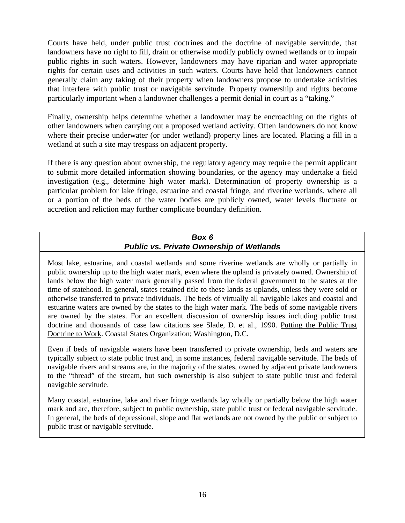<span id="page-24-0"></span>Courts have held, under public trust doctrines and the doctrine of navigable servitude, that landowners have no right to fill, drain or otherwise modify publicly owned wetlands or to impair public rights in such waters. However, landowners may have riparian and water appropriate rights for certain uses and activities in such waters. Courts have held that landowners cannot generally claim any taking of their property when landowners propose to undertake activities that interfere with public trust or navigable servitude. Property ownership and rights become particularly important when a landowner challenges a permit denial in court as a "taking."

Finally, ownership helps determine whether a landowner may be encroaching on the rights of other landowners when carrying out a proposed wetland activity. Often landowners do not know where their precise underwater (or under wetland) property lines are located. Placing a fill in a wetland at such a site may trespass on adjacent property.

If there is any question about ownership, the regulatory agency may require the permit applicant to submit more detailed information showing boundaries, or the agency may undertake a field investigation (e.g., determine high water mark). Determination of property ownership is a particular problem for lake fringe, estuarine and coastal fringe, and riverine wetlands, where all or a portion of the beds of the water bodies are publicly owned, water levels fluctuate or accretion and reliction may further complicate boundary definition.

### *Box 6 Public vs. Private Ownership of Wetlands*

Most lake, estuarine, and coastal wetlands and some riverine wetlands are wholly or partially in public ownership up to the high water mark, even where the upland is privately owned. Ownership of lands below the high water mark generally passed from the federal government to the states at the time of statehood. In general, states retained title to these lands as uplands, unless they were sold or otherwise transferred to private individuals. The beds of virtually all navigable lakes and coastal and estuarine waters are owned by the states to the high water mark. The beds of some navigable rivers are owned by the states. For an excellent discussion of ownership issues including public trust doctrine and thousands of case law citations see Slade, D. et al., 1990. Putting the Public Trust Doctrine to Work. Coastal States Organization; Washington, D.C.

Even if beds of navigable waters have been transferred to private ownership, beds and waters are typically subject to state public trust and, in some instances, federal navigable servitude. The beds of navigable rivers and streams are, in the majority of the states, owned by adjacent private landowners to the "thread" of the stream, but such ownership is also subject to state public trust and federal navigable servitude.

Many coastal, estuarine, lake and river fringe wetlands lay wholly or partially below the high water mark and are, therefore, subject to public ownership, state public trust or federal navigable servitude. In general, the beds of depressional, slope and flat wetlands are not owned by the public or subject to public trust or navigable servitude.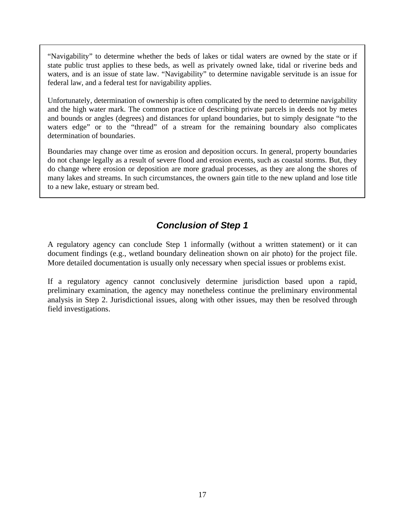<span id="page-25-0"></span>"Navigability" to determine whether the beds of lakes or tidal waters are owned by the state or if state public trust applies to these beds, as well as privately owned lake, tidal or riverine beds and waters, and is an issue of state law. "Navigability" to determine navigable servitude is an issue for federal law, and a federal test for navigability applies.

Unfortunately, determination of ownership is often complicated by the need to determine navigability and the high water mark. The common practice of describing private parcels in deeds not by metes and bounds or angles (degrees) and distances for upland boundaries, but to simply designate "to the waters edge" or to the "thread" of a stream for the remaining boundary also complicates determination of boundaries.

Boundaries may change over time as erosion and deposition occurs. In general, property boundaries do not change legally as a result of severe flood and erosion events, such as coastal storms. But, they do change where erosion or deposition are more gradual processes, as they are along the shores of many lakes and streams. In such circumstances, the owners gain title to the new upland and lose title to a new lake, estuary or stream bed.

## *Conclusion of Step 1*

A regulatory agency can conclude Step 1 informally (without a written statement) or it can document findings (e.g., wetland boundary delineation shown on air photo) for the project file. More detailed documentation is usually only necessary when special issues or problems exist.

If a regulatory agency cannot conclusively determine jurisdiction based upon a rapid, preliminary examination, the agency may nonetheless continue the preliminary environmental analysis in Step 2. Jurisdictional issues, along with other issues, may then be resolved through field investigations.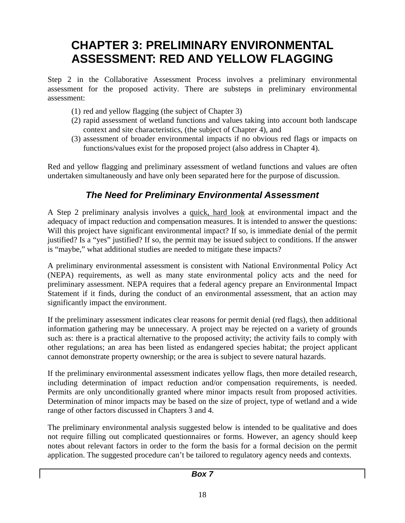## <span id="page-26-0"></span>**CHAPTER 3: PRELIMINARY ENVIRONMENTAL ASSESSMENT: RED AND YELLOW FLAGGING**

Step 2 in the Collaborative Assessment Process involves a preliminary environmental assessment for the proposed activity. There are substeps in preliminary environmental assessment:

- (1) red and yellow flagging (the subject of Chapter 3)
- (2) rapid assessment of wetland functions and values taking into account both landscape context and site characteristics, (the subject of Chapter 4), and
- (3) assessment of broader environmental impacts if no obvious red flags or impacts on functions/values exist for the proposed project (also address in Chapter 4).

Red and yellow flagging and preliminary assessment of wetland functions and values are often undertaken simultaneously and have only been separated here for the purpose of discussion.

## *The Need for Preliminary Environmental Assessment*

A Step 2 preliminary analysis involves a quick, hard look at environmental impact and the adequacy of impact reduction and compensation measures. It is intended to answer the questions: Will this project have significant environmental impact? If so, is immediate denial of the permit justified? Is a "yes" justified? If so, the permit may be issued subject to conditions. If the answer is "maybe," what additional studies are needed to mitigate these impacts?

A preliminary environmental assessment is consistent with National Environmental Policy Act (NEPA) requirements, as well as many state environmental policy acts and the need for preliminary assessment. NEPA requires that a federal agency prepare an Environmental Impact Statement if it finds, during the conduct of an environmental assessment, that an action may significantly impact the environment.

If the preliminary assessment indicates clear reasons for permit denial (red flags), then additional information gathering may be unnecessary. A project may be rejected on a variety of grounds such as: there is a practical alternative to the proposed activity; the activity fails to comply with other regulations; an area has been listed as endangered species habitat; the project applicant cannot demonstrate property ownership; or the area is subject to severe natural hazards.

If the preliminary environmental assessment indicates yellow flags, then more detailed research, including determination of impact reduction and/or compensation requirements, is needed. Permits are only unconditionally granted where minor impacts result from proposed activities. Determination of minor impacts may be based on the size of project, type of wetland and a wide range of other factors discussed in Chapters 3 and 4.

The preliminary environmental analysis suggested below is intended to be qualitative and does not require filling out complicated questionnaires or forms. However, an agency should keep notes about relevant factors in order to the form the basis for a formal decision on the permit application. The suggested procedure can't be tailored to regulatory agency needs and contexts.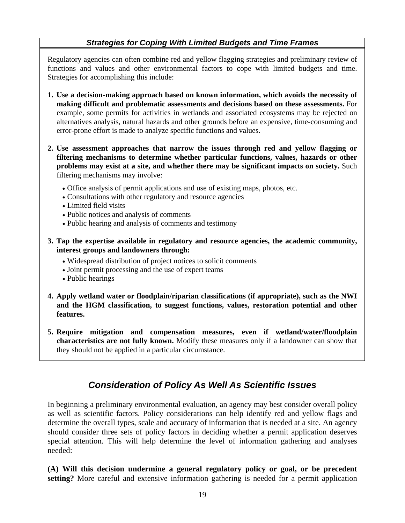### *Strategies for Coping With Limited Budgets and Time Frames*

<span id="page-27-0"></span>Regulatory agencies can often combine red and yellow flagging strategies and preliminary review of functions and values and other environmental factors to cope with limited budgets and time. Strategies for accomplishing this include:

- **1. Use a decision-making approach based on known information, which avoids the necessity of making difficult and problematic assessments and decisions based on these assessments.** For example, some permits for activities in wetlands and associated ecosystems may be rejected on alternatives analysis, natural hazards and other grounds before an expensive, time-consuming and error-prone effort is made to analyze specific functions and values.
- **2. Use assessment approaches that narrow the issues through red and yellow flagging or filtering mechanisms to determine whether particular functions, values, hazards or other problems may exist at a site, and whether there may be significant impacts on society.** Such filtering mechanisms may involve:
	- Office analysis of permit applications and use of existing maps, photos, etc.
	- Consultations with other regulatory and resource agencies
	- Limited field visits
	- Public notices and analysis of comments
	- Public hearing and analysis of comments and testimony
- **3. Tap the expertise available in regulatory and resource agencies, the academic community, interest groups and landowners through:** 
	- Widespread distribution of project notices to solicit comments
	- Joint permit processing and the use of expert teams
	- Public hearings
- **4. Apply wetland water or floodplain/riparian classifications (if appropriate), such as the NWI and the HGM classification, to suggest functions, values, restoration potential and other features.**
- **5. Require mitigation and compensation measures, even if wetland/water/floodplain characteristics are not fully known.** Modify these measures only if a landowner can show that they should not be applied in a particular circumstance.

## *Consideration of Policy As Well As Scientific Issues*

In beginning a preliminary environmental evaluation, an agency may best consider overall policy as well as scientific factors. Policy considerations can help identify red and yellow flags and determine the overall types, scale and accuracy of information that is needed at a site. An agency should consider three sets of policy factors in deciding whether a permit application deserves special attention. This will help determine the level of information gathering and analyses needed:

**(A) Will this decision undermine a general regulatory policy or goal, or be precedent setting?** More careful and extensive information gathering is needed for a permit application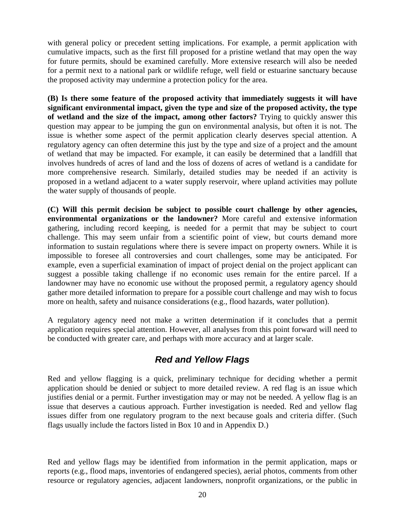<span id="page-28-0"></span>with general policy or precedent setting implications. For example, a permit application with cumulative impacts, such as the first fill proposed for a pristine wetland that may open the way for future permits, should be examined carefully. More extensive research will also be needed for a permit next to a national park or wildlife refuge, well field or estuarine sanctuary because the proposed activity may undermine a protection policy for the area.

**(B) Is there some feature of the proposed activity that immediately suggests it will have significant environmental impact, given the type and size of the proposed activity, the type of wetland and the size of the impact, among other factors?** Trying to quickly answer this question may appear to be jumping the gun on environmental analysis, but often it is not. The issue is whether some aspect of the permit application clearly deserves special attention. A regulatory agency can often determine this just by the type and size of a project and the amount of wetland that may be impacted. For example, it can easily be determined that a landfill that involves hundreds of acres of land and the loss of dozens of acres of wetland is a candidate for more comprehensive research. Similarly, detailed studies may be needed if an activity is proposed in a wetland adjacent to a water supply reservoir, where upland activities may pollute the water supply of thousands of people.

**(C) Will this permit decision be subject to possible court challenge by other agencies, environmental organizations or the landowner?** More careful and extensive information gathering, including record keeping, is needed for a permit that may be subject to court challenge. This may seem unfair from a scientific point of view, but courts demand more information to sustain regulations where there is severe impact on property owners. While it is impossible to foresee all controversies and court challenges, some may be anticipated. For example, even a superficial examination of impact of project denial on the project applicant can suggest a possible taking challenge if no economic uses remain for the entire parcel. If a landowner may have no economic use without the proposed permit, a regulatory agency should gather more detailed information to prepare for a possible court challenge and may wish to focus more on health, safety and nuisance considerations (e.g., flood hazards, water pollution).

A regulatory agency need not make a written determination if it concludes that a permit application requires special attention. However, all analyses from this point forward will need to be conducted with greater care, and perhaps with more accuracy and at larger scale.

## *Red and Yellow Flags*

Red and yellow flagging is a quick, preliminary technique for deciding whether a permit application should be denied or subject to more detailed review. A red flag is an issue which justifies denial or a permit. Further investigation may or may not be needed. A yellow flag is an issue that deserves a cautious approach. Further investigation is needed. Red and yellow flag issues differ from one regulatory program to the next because goals and criteria differ. (Such flags usually include the factors listed in Box 10 and in Appendix D.)

Red and yellow flags may be identified from information in the permit application, maps or reports (e.g., flood maps, inventories of endangered species), aerial photos, comments from other resource or regulatory agencies, adjacent landowners, nonprofit organizations, or the public in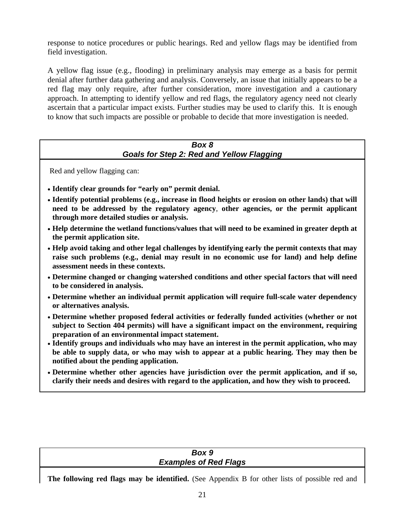<span id="page-29-0"></span>response to notice procedures or public hearings. Red and yellow flags may be identified from field investigation.

A yellow flag issue (e.g., flooding) in preliminary analysis may emerge as a basis for permit denial after further data gathering and analysis. Conversely, an issue that initially appears to be a red flag may only require, after further consideration, more investigation and a cautionary approach. In attempting to identify yellow and red flags, the regulatory agency need not clearly ascertain that a particular impact exists. Further studies may be used to clarify this. It is enough to know that such impacts are possible or probable to decide that more investigation is needed.

#### *Box 8 Goals for Step 2: Red and Yellow Flagging*

Red and yellow flagging can:

- **Identify clear grounds for "early on" permit denial.**
- **Identify potential problems (e.g., increase in flood heights or erosion on other lands) that will need to be addressed by the regulatory agency**, **other agencies, or the permit applicant through more detailed studies or analysis.**
- **Help determine the wetland functions/values that will need to be examined in greater depth at the permit application site.**
- **Help avoid taking and other legal challenges by identifying early the permit contexts that may raise such problems (e.g., denial may result in no economic use for land) and help define assessment needs in these contexts.**
- **Determine changed or changing watershed conditions and other special factors that will need to be considered in analysis.**
- **Determine whether an individual permit application will require full-scale water dependency or alternatives analysis.**
- **Determine whether proposed federal activities or federally funded activities (whether or not subject to Section 404 permits) will have a significant impact on the environment, requiring preparation of an environmental impact statement.**
- **Identify groups and individuals who may have an interest in the permit application, who may be able to supply data, or who may wish to appear at a public hearing. They may then be notified about the pending application.**
- **Determine whether other agencies have jurisdiction over the permit application, and if so, clarify their needs and desires with regard to the application, and how they wish to proceed.**

| Box 9                        |
|------------------------------|
| <b>Examples of Red Flags</b> |
|                              |

**The following red flags may be identified.** (See Appendix B for other lists of possible red and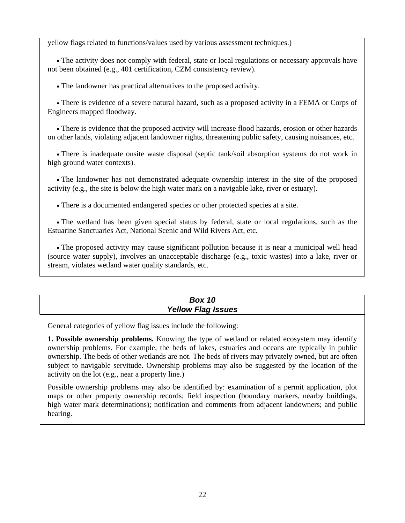<span id="page-30-0"></span>yellow flags related to functions/values used by various assessment techniques.)

• The activity does not comply with federal, state or local regulations or necessary approvals have not been obtained (e.g., 401 certification, CZM consistency review).

• The landowner has practical alternatives to the proposed activity.

• There is evidence of a severe natural hazard, such as a proposed activity in a FEMA or Corps of Engineers mapped floodway.

• There is evidence that the proposed activity will increase flood hazards, erosion or other hazards on other lands, violating adjacent landowner rights, threatening public safety, causing nuisances, etc.

• There is inadequate onsite waste disposal (septic tank/soil absorption systems do not work in high ground water contexts).

• The landowner has not demonstrated adequate ownership interest in the site of the proposed activity (e.g., the site is below the high water mark on a navigable lake, river or estuary).

• There is a documented endangered species or other protected species at a site.

• The wetland has been given special status by federal, state or local regulations, such as the Estuarine Sanctuaries Act, National Scenic and Wild Rivers Act, etc.

• The proposed activity may cause significant pollution because it is near a municipal well head (source water supply), involves an unacceptable discharge (e.g., toxic wastes) into a lake, river or stream, violates wetland water quality standards, etc.

#### *Box 10 Yellow Flag Issues*

General categories of yellow flag issues include the following:

**1. Possible ownership problems.** Knowing the type of wetland or related ecosystem may identify ownership problems. For example, the beds of lakes, estuaries and oceans are typically in public ownership. The beds of other wetlands are not. The beds of rivers may privately owned, but are often subject to navigable servitude. Ownership problems may also be suggested by the location of the activity on the lot (e.g., near a property line.)

Possible ownership problems may also be identified by: examination of a permit application, plot maps or other property ownership records; field inspection (boundary markers, nearby buildings, high water mark determinations); notification and comments from adjacent landowners; and public hearing.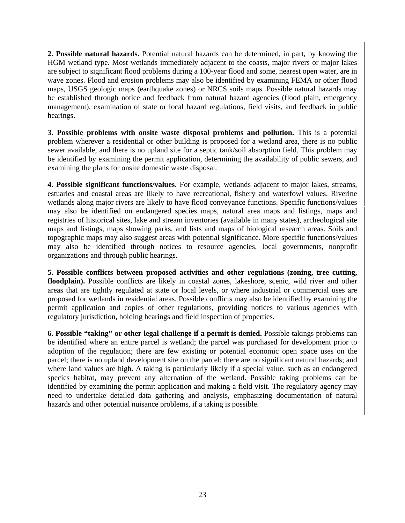**2. Possible natural hazards.** Potential natural hazards can be determined, in part, by knowing the HGM wetland type. Most wetlands immediately adjacent to the coasts, major rivers or major lakes are subject to significant flood problems during a 100-year flood and some, nearest open water, are in wave zones. Flood and erosion problems may also be identified by examining FEMA or other flood maps, USGS geologic maps (earthquake zones) or NRCS soils maps. Possible natural hazards may be established through notice and feedback from natural hazard agencies (flood plain, emergency management), examination of state or local hazard regulations, field visits, and feedback in public hearings.

**3. Possible problems with onsite waste disposal problems and pollution.** This is a potential problem wherever a residential or other building is proposed for a wetland area, there is no public sewer available, and there is no upland site for a septic tank/soil absorption field. This problem may be identified by examining the permit application, determining the availability of public sewers, and examining the plans for onsite domestic waste disposal.

**4. Possible significant functions/values.** For example, wetlands adjacent to major lakes, streams, estuaries and coastal areas are likely to have recreational, fishery and waterfowl values. Riverine wetlands along major rivers are likely to have flood conveyance functions. Specific functions/values may also be identified on endangered species maps, natural area maps and listings, maps and registries of historical sites, lake and stream inventories (available in many states), archeological site maps and listings, maps showing parks, and lists and maps of biological research areas. Soils and topographic maps may also suggest areas with potential significance. More specific functions/values may also be identified through notices to resource agencies, local governments, nonprofit organizations and through public hearings.

**5. Possible conflicts between proposed activities and other regulations (zoning, tree cutting, floodplain).** Possible conflicts are likely in coastal zones, lakeshore, scenic, wild river and other areas that are tightly regulated at state or local levels, or where industrial or commercial uses are proposed for wetlands in residential areas. Possible conflicts may also be identified by examining the permit application and copies of other regulations, providing notices to various agencies with regulatory jurisdiction, holding hearings and field inspection of properties.

**6. Possible "taking" or other legal challenge if a permit is denied.** Possible takings problems can be identified where an entire parcel is wetland; the parcel was purchased for development prior to adoption of the regulation; there are few existing or potential economic open space uses on the parcel; there is no upland development site on the parcel; there are no significant natural hazards; and where land values are high. A taking is particularly likely if a special value, such as an endangered species habitat, may prevent any alternation of the wetland. Possible taking problems can be identified by examining the permit application and making a field visit. The regulatory agency may need to undertake detailed data gathering and analysis, emphasizing documentation of natural hazards and other potential nuisance problems, if a taking is possible.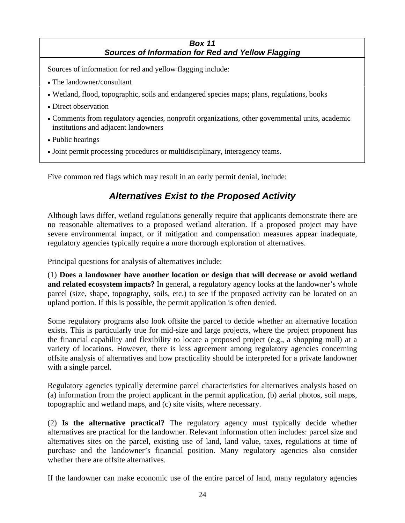#### *Box 11 Sources of Information for Red and Yellow Flagging*

<span id="page-32-0"></span>Sources of information for red and yellow flagging include:

- The landowner/consultant
- Wetland, flood, topographic, soils and endangered species maps; plans, regulations, books
- Direct observation
- Comments from regulatory agencies, nonprofit organizations, other governmental units, academic institutions and adjacent landowners
- Public hearings
- Joint permit processing procedures or multidisciplinary, interagency teams.

Five common red flags which may result in an early permit denial, include:

## *Alternatives Exist to the Proposed Activity*

Although laws differ, wetland regulations generally require that applicants demonstrate there are no reasonable alternatives to a proposed wetland alteration. If a proposed project may have severe environmental impact, or if mitigation and compensation measures appear inadequate, regulatory agencies typically require a more thorough exploration of alternatives.

Principal questions for analysis of alternatives include:

(1) **Does a landowner have another location or design that will decrease or avoid wetland and related ecosystem impacts?** In general, a regulatory agency looks at the landowner's whole parcel (size, shape, topography, soils, etc.) to see if the proposed activity can be located on an upland portion. If this is possible, the permit application is often denied.

Some regulatory programs also look offsite the parcel to decide whether an alternative location exists. This is particularly true for mid-size and large projects, where the project proponent has the financial capability and flexibility to locate a proposed project (e.g., a shopping mall) at a variety of locations. However, there is less agreement among regulatory agencies concerning offsite analysis of alternatives and how practicality should be interpreted for a private landowner with a single parcel.

Regulatory agencies typically determine parcel characteristics for alternatives analysis based on (a) information from the project applicant in the permit application, (b) aerial photos, soil maps, topographic and wetland maps, and (c) site visits, where necessary.

(2) **Is the alternative practical?** The regulatory agency must typically decide whether alternatives are practical for the landowner. Relevant information often includes: parcel size and alternatives sites on the parcel, existing use of land, land value, taxes, regulations at time of purchase and the landowner's financial position. Many regulatory agencies also consider whether there are offsite alternatives.

If the landowner can make economic use of the entire parcel of land, many regulatory agencies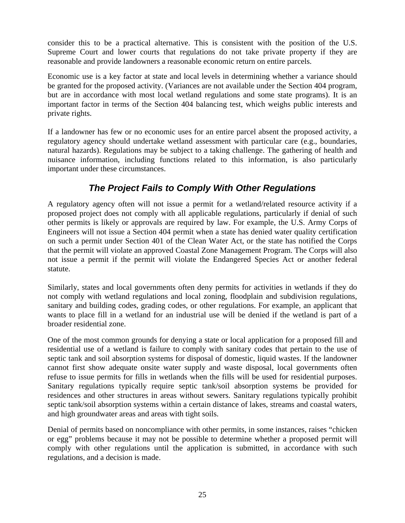<span id="page-33-0"></span>consider this to be a practical alternative. This is consistent with the position of the U.S. Supreme Court and lower courts that regulations do not take private property if they are reasonable and provide landowners a reasonable economic return on entire parcels.

Economic use is a key factor at state and local levels in determining whether a variance should be granted for the proposed activity. (Variances are not available under the Section 404 program, but are in accordance with most local wetland regulations and some state programs). It is an important factor in terms of the Section 404 balancing test, which weighs public interests and private rights.

If a landowner has few or no economic uses for an entire parcel absent the proposed activity, a regulatory agency should undertake wetland assessment with particular care (e.g., boundaries, natural hazards). Regulations may be subject to a taking challenge. The gathering of health and nuisance information, including functions related to this information, is also particularly important under these circumstances.

## *The Project Fails to Comply With Other Regulations*

A regulatory agency often will not issue a permit for a wetland/related resource activity if a proposed project does not comply with all applicable regulations, particularly if denial of such other permits is likely or approvals are required by law. For example, the U.S. Army Corps of Engineers will not issue a Section 404 permit when a state has denied water quality certification on such a permit under Section 401 of the Clean Water Act, or the state has notified the Corps that the permit will violate an approved Coastal Zone Management Program. The Corps will also not issue a permit if the permit will violate the Endangered Species Act or another federal statute.

Similarly, states and local governments often deny permits for activities in wetlands if they do not comply with wetland regulations and local zoning, floodplain and subdivision regulations, sanitary and building codes, grading codes, or other regulations. For example, an applicant that wants to place fill in a wetland for an industrial use will be denied if the wetland is part of a broader residential zone.

One of the most common grounds for denying a state or local application for a proposed fill and residential use of a wetland is failure to comply with sanitary codes that pertain to the use of septic tank and soil absorption systems for disposal of domestic, liquid wastes. If the landowner cannot first show adequate onsite water supply and waste disposal, local governments often refuse to issue permits for fills in wetlands when the fills will be used for residential purposes. Sanitary regulations typically require septic tank/soil absorption systems be provided for residences and other structures in areas without sewers. Sanitary regulations typically prohibit septic tank/soil absorption systems within a certain distance of lakes, streams and coastal waters, and high groundwater areas and areas with tight soils.

Denial of permits based on noncompliance with other permits, in some instances, raises "chicken or egg" problems because it may not be possible to determine whether a proposed permit will comply with other regulations until the application is submitted, in accordance with such regulations, and a decision is made.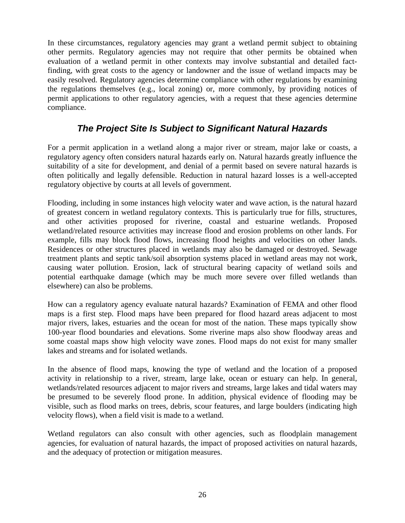<span id="page-34-0"></span>In these circumstances, regulatory agencies may grant a wetland permit subject to obtaining other permits. Regulatory agencies may not require that other permits be obtained when evaluation of a wetland permit in other contexts may involve substantial and detailed factfinding, with great costs to the agency or landowner and the issue of wetland impacts may be easily resolved. Regulatory agencies determine compliance with other regulations by examining the regulations themselves (e.g., local zoning) or, more commonly, by providing notices of permit applications to other regulatory agencies, with a request that these agencies determine compliance.

## *The Project Site Is Subject to Significant Natural Hazards*

For a permit application in a wetland along a major river or stream, major lake or coasts, a regulatory agency often considers natural hazards early on. Natural hazards greatly influence the suitability of a site for development, and denial of a permit based on severe natural hazards is often politically and legally defensible. Reduction in natural hazard losses is a well-accepted regulatory objective by courts at all levels of government.

Flooding, including in some instances high velocity water and wave action, is the natural hazard of greatest concern in wetland regulatory contexts. This is particularly true for fills, structures, and other activities proposed for riverine, coastal and estuarine wetlands. Proposed wetland/related resource activities may increase flood and erosion problems on other lands. For example, fills may block flood flows, increasing flood heights and velocities on other lands. Residences or other structures placed in wetlands may also be damaged or destroyed. Sewage treatment plants and septic tank/soil absorption systems placed in wetland areas may not work, causing water pollution. Erosion, lack of structural bearing capacity of wetland soils and potential earthquake damage (which may be much more severe over filled wetlands than elsewhere) can also be problems.

How can a regulatory agency evaluate natural hazards? Examination of FEMA and other flood maps is a first step. Flood maps have been prepared for flood hazard areas adjacent to most major rivers, lakes, estuaries and the ocean for most of the nation. These maps typically show 100-year flood boundaries and elevations. Some riverine maps also show floodway areas and some coastal maps show high velocity wave zones. Flood maps do not exist for many smaller lakes and streams and for isolated wetlands.

In the absence of flood maps, knowing the type of wetland and the location of a proposed activity in relationship to a river, stream, large lake, ocean or estuary can help. In general, wetlands/related resources adjacent to major rivers and streams, large lakes and tidal waters may be presumed to be severely flood prone. In addition, physical evidence of flooding may be visible, such as flood marks on trees, debris, scour features, and large boulders (indicating high velocity flows), when a field visit is made to a wetland.

Wetland regulators can also consult with other agencies, such as floodplain management agencies, for evaluation of natural hazards, the impact of proposed activities on natural hazards, and the adequacy of protection or mitigation measures.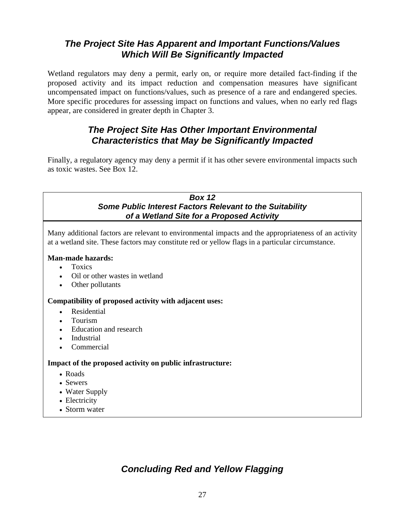## <span id="page-35-0"></span>*The Project Site Has Apparent and Important Functions/Values Which Will Be Significantly Impacted*

Wetland regulators may deny a permit, early on, or require more detailed fact-finding if the proposed activity and its impact reduction and compensation measures have significant uncompensated impact on functions/values, such as presence of a rare and endangered species. More specific procedures for assessing impact on functions and values, when no early red flags appear, are considered in greater depth in Chapter 3.

## *The Project Site Has Other Important Environmental Characteristics that May be Significantly Impacted*

Finally, a regulatory agency may deny a permit if it has other severe environmental impacts such as toxic wastes. See Box 12.

#### *Box 12 Some Public Interest Factors Relevant to the Suitability of a Wetland Site for a Proposed Activity*

Many additional factors are relevant to environmental impacts and the appropriateness of an activity at a wetland site. These factors may constitute red or yellow flags in a particular circumstance.

#### **Man-made hazards:**

- Toxics
- Oil or other wastes in wetland
- Other pollutants

#### **Compatibility of proposed activity with adjacent uses:**

- Residential
- Tourism
- Education and research
- Industrial
- **Commercial**

#### **Impact of the proposed activity on public infrastructure:**

- Roads
- Sewers
- Water Supply
- Electricity
- Storm water

## *Concluding Red and Yellow Flagging*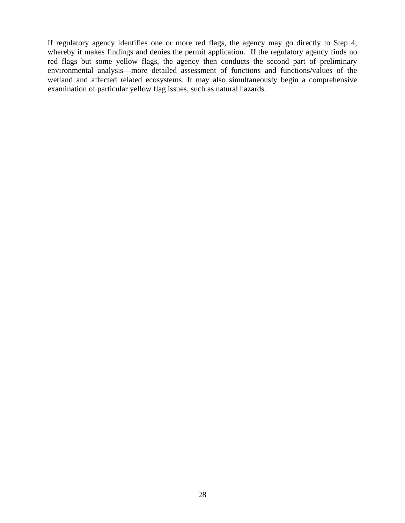If regulatory agency identifies one or more red flags, the agency may go directly to Step 4, whereby it makes findings and denies the permit application. If the regulatory agency finds no red flags but some yellow flags, the agency then conducts the second part of preliminary environmental analysis—more detailed assessment of functions and functions/values of the wetland and affected related ecosystems. It may also simultaneously begin a comprehensive examination of particular yellow flag issues, such as natural hazards.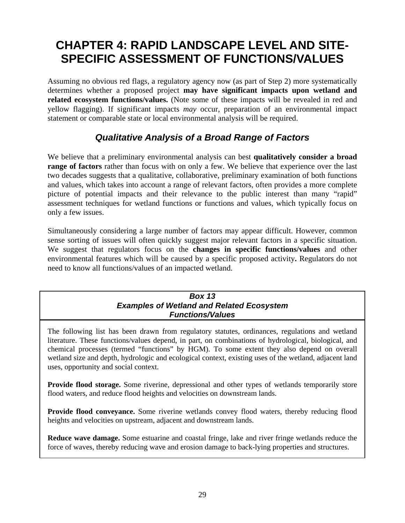# **CHAPTER 4: RAPID LANDSCAPE LEVEL AND SITE-SPECIFIC ASSESSMENT OF FUNCTIONS/VALUES**

Assuming no obvious red flags, a regulatory agency now (as part of Step 2) more systematically determines whether a proposed project **may have significant impacts upon wetland and related ecosystem functions/values.** (Note some of these impacts will be revealed in red and yellow flagging). If significant impacts *may* occur, preparation of an environmental impact statement or comparable state or local environmental analysis will be required.

# *Qualitative Analysis of a Broad Range of Factors*

We believe that a preliminary environmental analysis can best **qualitatively consider a broad range of factors** rather than focus with on only a few. We believe that experience over the last two decades suggests that a qualitative, collaborative, preliminary examination of both functions and values, which takes into account a range of relevant factors, often provides a more complete picture of potential impacts and their relevance to the public interest than many "rapid" assessment techniques for wetland functions or functions and values, which typically focus on only a few issues.

Simultaneously considering a large number of factors may appear difficult. However, common sense sorting of issues will often quickly suggest major relevant factors in a specific situation. We suggest that regulators focus on the **changes in specific functions/values** and other environmental features which will be caused by a specific proposed activity**.** Regulators do not need to know all functions/values of an impacted wetland.

#### *Box 13 Examples of Wetland and Related Ecosystem Functions/Values*

The following list has been drawn from regulatory statutes, ordinances, regulations and wetland literature. These functions/values depend, in part, on combinations of hydrological, biological, and chemical processes (termed "functions" by HGM). To some extent they also depend on overall wetland size and depth, hydrologic and ecological context, existing uses of the wetland, adjacent land uses, opportunity and social context.

**Provide flood storage.** Some riverine, depressional and other types of wetlands temporarily store flood waters, and reduce flood heights and velocities on downstream lands.

**Provide flood conveyance.** Some riverine wetlands convey flood waters, thereby reducing flood heights and velocities on upstream, adjacent and downstream lands.

**Reduce wave damage.** Some estuarine and coastal fringe, lake and river fringe wetlands reduce the force of waves, thereby reducing wave and erosion damage to back-lying properties and structures.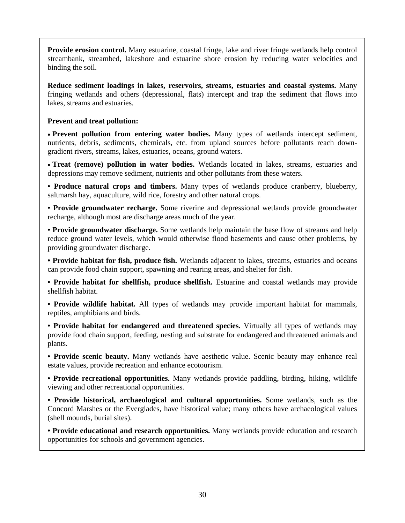**Provide erosion control.** Many estuarine, coastal fringe, lake and river fringe wetlands help control streambank, streambed, lakeshore and estuarine shore erosion by reducing water velocities and binding the soil.

**Reduce sediment loadings in lakes, reservoirs, streams, estuaries and coastal systems.** Many fringing wetlands and others (depressional, flats) intercept and trap the sediment that flows into lakes, streams and estuaries.

#### **Prevent and treat pollution:**

• **Prevent pollution from entering water bodies.** Many types of wetlands intercept sediment, nutrients, debris, sediments, chemicals, etc. from upland sources before pollutants reach downgradient rivers, streams, lakes, estuaries, oceans, ground waters.

• **Treat (remove) pollution in water bodies.** Wetlands located in lakes, streams, estuaries and depressions may remove sediment, nutrients and other pollutants from these waters.

**• Produce natural crops and timbers.** Many types of wetlands produce cranberry, blueberry, saltmarsh hay, aquaculture, wild rice, forestry and other natural crops.

**• Provide groundwater recharge.** Some riverine and depressional wetlands provide groundwater recharge, although most are discharge areas much of the year.

**• Provide groundwater discharge.** Some wetlands help maintain the base flow of streams and help reduce ground water levels, which would otherwise flood basements and cause other problems, by providing groundwater discharge.

**• Provide habitat for fish, produce fish.** Wetlands adjacent to lakes, streams, estuaries and oceans can provide food chain support, spawning and rearing areas, and shelter for fish.

**• Provide habitat for shellfish, produce shellfish.** Estuarine and coastal wetlands may provide shellfish habitat.

**• Provide wildlife habitat.** All types of wetlands may provide important habitat for mammals, reptiles, amphibians and birds.

**• Provide habitat for endangered and threatened species.** Virtually all types of wetlands may provide food chain support, feeding, nesting and substrate for endangered and threatened animals and plants.

**• Provide scenic beauty.** Many wetlands have aesthetic value. Scenic beauty may enhance real estate values, provide recreation and enhance ecotourism.

**• Provide recreational opportunities.** Many wetlands provide paddling, birding, hiking, wildlife viewing and other recreational opportunities.

**• Provide historical, archaeological and cultural opportunities.** Some wetlands, such as the Concord Marshes or the Everglades, have historical value; many others have archaeological values (shell mounds, burial sites).

**• Provide educational and research opportunities.** Many wetlands provide education and research opportunities for schools and government agencies.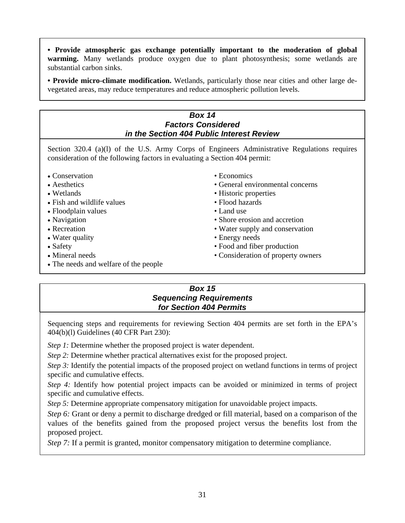**• Provide atmospheric gas exchange potentially important to the moderation of global warming.** Many wetlands produce oxygen due to plant photosynthesis; some wetlands are substantial carbon sinks.

**• Provide micro-climate modification.** Wetlands, particularly those near cities and other large devegetated areas, may reduce temperatures and reduce atmospheric pollution levels.

### *Box 14 Factors Considered in the Section 404 Public Interest Review*  Section 320.4 (a)(l) of the U.S. Army Corps of Engineers Administrative Regulations requires consideration of the following factors in evaluating a Section 404 permit: • Conservation • Economics • Aesthetics • General environmental concerns • Wetlands • Historic properties • Fish and wildlife values • Flood hazards • Floodplain values • Land use • Navigation • Shore erosion and accretion • Recreation • Water supply and conservation • Water quality • Energy needs • Safety • Food and fiber production • Mineral needs • Consideration of property owners • The needs and welfare of the people

# *Box 15 Sequencing Requirements for Section 404 Permits*

Sequencing steps and requirements for reviewing Section 404 permits are set forth in the EPA's 404(b)(l) Guidelines (40 CFR Part 230):

*Step 1:* Determine whether the proposed project is water dependent.

*Step 2:* Determine whether practical alternatives exist for the proposed project.

*Step 3:* Identify the potential impacts of the proposed project on wetland functions in terms of project specific and cumulative effects.

*Step 4:* Identify how potential project impacts can be avoided or minimized in terms of project specific and cumulative effects.

*Step 5:* Determine appropriate compensatory mitigation for unavoidable project impacts.

*Step 6:* Grant or deny a permit to discharge dredged or fill material, based on a comparison of the values of the benefits gained from the proposed project versus the benefits lost from the proposed project.

*Step 7:* If a permit is granted, monitor compensatory mitigation to determine compliance.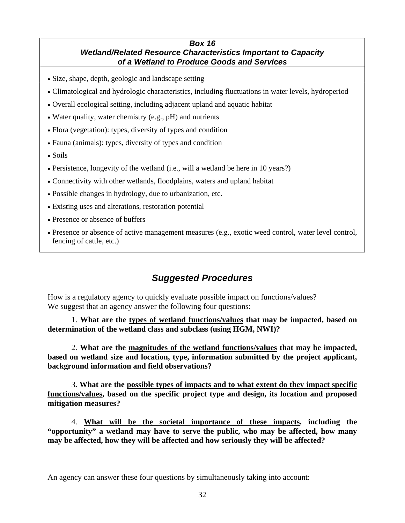#### *Box 16 Wetland/Related Resource Characteristics Important to Capacity of a Wetland to Produce Goods and Services*

- Size, shape, depth, geologic and landscape setting
- Climatological and hydrologic characteristics, including fluctuations in water levels, hydroperiod
- Overall ecological setting, including adjacent upland and aquatic habitat
- Water quality, water chemistry (e.g., pH) and nutrients
- Flora (vegetation): types, diversity of types and condition
- Fauna (animals): types, diversity of types and condition
- Soils
- Persistence, longevity of the wetland (i.e., will a wetland be here in 10 years?)
- Connectivity with other wetlands, floodplains, waters and upland habitat
- Possible changes in hydrology, due to urbanization, etc.
- Existing uses and alterations, restoration potential
- Presence or absence of buffers
- Presence or absence of active management measures (e.g., exotic weed control, water level control, fencing of cattle, etc.)

# *Suggested Procedures*

How is a regulatory agency to quickly evaluate possible impact on functions/values? We suggest that an agency answer the following four questions:

 1. **What are the types of wetland functions/values that may be impacted, based on determination of the wetland class and subclass (using HGM, NWI)?** 

2. **What are the magnitudes of the wetland functions/values that may be impacted, based on wetland size and location, type, information submitted by the project applicant, background information and field observations?**

3**. What are the possible types of impacts and to what extent do they impact specific functions/values, based on the specific project type and design, its location and proposed mitigation measures?** 

4. **What will be the societal importance of these impacts, including the "opportunity" a wetland may have to serve the public, who may be affected, how many may be affected, how they will be affected and how seriously they will be affected?** 

An agency can answer these four questions by simultaneously taking into account: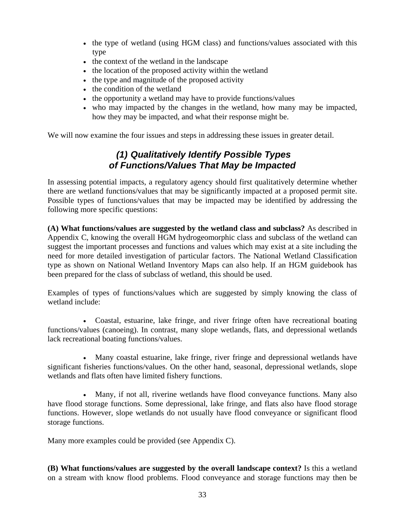- the type of wetland (using HGM class) and functions/values associated with this type
- the context of the wetland in the landscape
- the location of the proposed activity within the wetland
- the type and magnitude of the proposed activity
- the condition of the wetland
- the opportunity a wetland may have to provide functions/values
- who may impacted by the changes in the wetland, how many may be impacted, how they may be impacted, and what their response might be.

We will now examine the four issues and steps in addressing these issues in greater detail.

## *(1) Qualitatively Identify Possible Types of Functions/Values That May be Impacted*

In assessing potential impacts, a regulatory agency should first qualitatively determine whether there are wetland functions/values that may be significantly impacted at a proposed permit site. Possible types of functions/values that may be impacted may be identified by addressing the following more specific questions:

**(A) What functions/values are suggested by the wetland class and subclass?** As described in Appendix C, knowing the overall HGM hydrogeomorphic class and subclass of the wetland can suggest the important processes and functions and values which may exist at a site including the need for more detailed investigation of particular factors. The National Wetland Classification type as shown on National Wetland Inventory Maps can also help. If an HGM guidebook has been prepared for the class of subclass of wetland, this should be used.

Examples of types of functions/values which are suggested by simply knowing the class of wetland include:

• Coastal, estuarine, lake fringe, and river fringe often have recreational boating functions/values (canoeing). In contrast, many slope wetlands, flats, and depressional wetlands lack recreational boating functions/values.

• Many coastal estuarine, lake fringe, river fringe and depressional wetlands have significant fisheries functions/values. On the other hand, seasonal, depressional wetlands, slope wetlands and flats often have limited fishery functions.

• Many, if not all, riverine wetlands have flood conveyance functions. Many also have flood storage functions. Some depressional, lake fringe, and flats also have flood storage functions. However, slope wetlands do not usually have flood conveyance or significant flood storage functions.

Many more examples could be provided (see Appendix C).

**(B) What functions/values are suggested by the overall landscape context?** Is this a wetland on a stream with know flood problems. Flood conveyance and storage functions may then be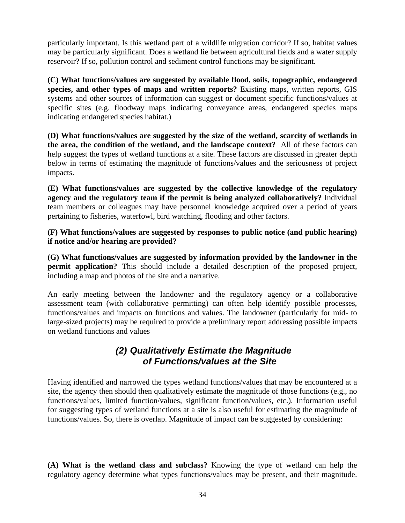particularly important. Is this wetland part of a wildlife migration corridor? If so, habitat values may be particularly significant. Does a wetland lie between agricultural fields and a water supply reservoir? If so, pollution control and sediment control functions may be significant.

**(C) What functions/values are suggested by available flood, soils, topographic, endangered species, and other types of maps and written reports?** Existing maps, written reports, GIS systems and other sources of information can suggest or document specific functions/values at specific sites (e.g. floodway maps indicating conveyance areas, endangered species maps indicating endangered species habitat.)

**(D) What functions/values are suggested by the size of the wetland, scarcity of wetlands in the area, the condition of the wetland, and the landscape context?** All of these factors can help suggest the types of wetland functions at a site. These factors are discussed in greater depth below in terms of estimating the magnitude of functions/values and the seriousness of project impacts.

**(E) What functions/values are suggested by the collective knowledge of the regulatory agency and the regulatory team if the permit is being analyzed collaboratively?** Individual team members or colleagues may have personnel knowledge acquired over a period of years pertaining to fisheries, waterfowl, bird watching, flooding and other factors.

**(F) What functions/values are suggested by responses to public notice (and public hearing) if notice and/or hearing are provided?** 

**(G) What functions/values are suggested by information provided by the landowner in the permit application?** This should include a detailed description of the proposed project, including a map and photos of the site and a narrative.

An early meeting between the landowner and the regulatory agency or a collaborative assessment team (with collaborative permitting) can often help identify possible processes, functions/values and impacts on functions and values. The landowner (particularly for mid- to large-sized projects) may be required to provide a preliminary report addressing possible impacts on wetland functions and values

# *(2) Qualitatively Estimate the Magnitude of Functions/values at the Site*

Having identified and narrowed the types wetland functions/values that may be encountered at a site, the agency then should then qualitatively estimate the magnitude of those functions (e.g., no functions/values, limited function/values, significant function/values, etc.). Information useful for suggesting types of wetland functions at a site is also useful for estimating the magnitude of functions/values. So, there is overlap. Magnitude of impact can be suggested by considering:

**(A) What is the wetland class and subclass?** Knowing the type of wetland can help the regulatory agency determine what types functions/values may be present, and their magnitude.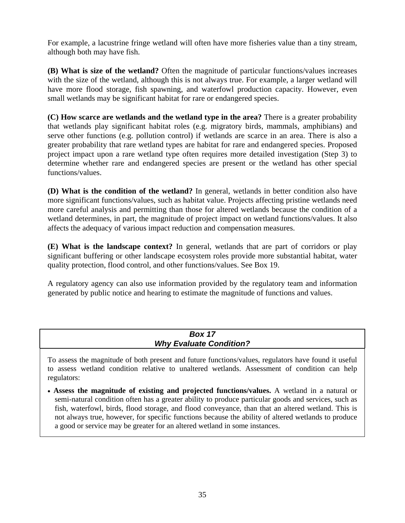For example, a lacustrine fringe wetland will often have more fisheries value than a tiny stream, although both may have fish.

**(B) What is size of the wetland?** Often the magnitude of particular functions/values increases with the size of the wetland, although this is not always true. For example, a larger wetland will have more flood storage, fish spawning, and waterfowl production capacity. However, even small wetlands may be significant habitat for rare or endangered species.

**(C) How scarce are wetlands and the wetland type in the area?** There is a greater probability that wetlands play significant habitat roles (e.g. migratory birds, mammals, amphibians) and serve other functions (e.g. pollution control) if wetlands are scarce in an area. There is also a greater probability that rare wetland types are habitat for rare and endangered species. Proposed project impact upon a rare wetland type often requires more detailed investigation (Step 3) to determine whether rare and endangered species are present or the wetland has other special functions/values.

**(D) What is the condition of the wetland?** In general, wetlands in better condition also have more significant functions/values, such as habitat value. Projects affecting pristine wetlands need more careful analysis and permitting than those for altered wetlands because the condition of a wetland determines, in part, the magnitude of project impact on wetland functions/values. It also affects the adequacy of various impact reduction and compensation measures.

**(E) What is the landscape context?** In general, wetlands that are part of corridors or play significant buffering or other landscape ecosystem roles provide more substantial habitat, water quality protection, flood control, and other functions/values. See Box 19.

A regulatory agency can also use information provided by the regulatory team and information generated by public notice and hearing to estimate the magnitude of functions and values.

| <b>Box 17</b>                  |  |
|--------------------------------|--|
| <b>Why Evaluate Condition?</b> |  |
|                                |  |

To assess the magnitude of both present and future functions/values, regulators have found it useful to assess wetland condition relative to unaltered wetlands. Assessment of condition can help regulators:

• **Assess the magnitude of existing and projected functions/values.** A wetland in a natural or semi-natural condition often has a greater ability to produce particular goods and services, such as fish, waterfowl, birds, flood storage, and flood conveyance, than that an altered wetland. This is not always true, however, for specific functions because the ability of altered wetlands to produce a good or service may be greater for an altered wetland in some instances.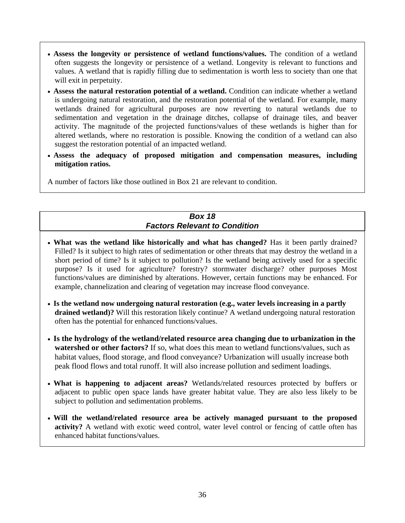- **Assess the longevity or persistence of wetland functions/values.** The condition of a wetland often suggests the longevity or persistence of a wetland. Longevity is relevant to functions and values. A wetland that is rapidly filling due to sedimentation is worth less to society than one that will exit in perpetuity.
- **Assess the natural restoration potential of a wetland.** Condition can indicate whether a wetland is undergoing natural restoration, and the restoration potential of the wetland. For example, many wetlands drained for agricultural purposes are now reverting to natural wetlands due to sedimentation and vegetation in the drainage ditches, collapse of drainage tiles, and beaver activity. The magnitude of the projected functions/values of these wetlands is higher than for altered wetlands, where no restoration is possible. Knowing the condition of a wetland can also suggest the restoration potential of an impacted wetland.
- **Assess the adequacy of proposed mitigation and compensation measures, including mitigation ratios.**

A number of factors like those outlined in Box 21 are relevant to condition.

#### *Box 18 Factors Relevant to Condition*

- What was the wetland like historically and what has changed? Has it been partly drained? Filled? Is it subject to high rates of sedimentation or other threats that may destroy the wetland in a short period of time? Is it subject to pollution? Is the wetland being actively used for a specific purpose? Is it used for agriculture? forestry? stormwater discharge? other purposes Most functions/values are diminished by alterations. However, certain functions may be enhanced. For example, channelization and clearing of vegetation may increase flood conveyance.
- **Is the wetland now undergoing natural restoration (e.g., water levels increasing in a partly drained wetland)?** Will this restoration likely continue? A wetland undergoing natural restoration often has the potential for enhanced functions/values.
- **Is the hydrology of the wetland/related resource area changing due to urbanization in the watershed or other factors?** If so, what does this mean to wetland functions/values, such as habitat values, flood storage, and flood conveyance? Urbanization will usually increase both peak flood flows and total runoff. It will also increase pollution and sediment loadings.
- **What is happening to adjacent areas?** Wetlands/related resources protected by buffers or adjacent to public open space lands have greater habitat value. They are also less likely to be subject to pollution and sedimentation problems.
- **Will the wetland/related resource area be actively managed pursuant to the proposed activity?** A wetland with exotic weed control, water level control or fencing of cattle often has enhanced habitat functions/values.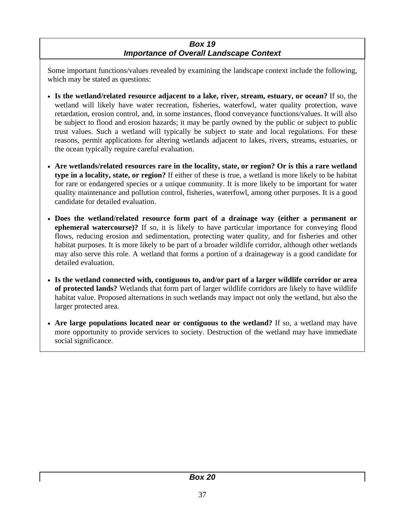#### *Box 19 Importance of Overall Landscape Context*

Some important functions/values revealed by examining the landscape context include the following, which may be stated as questions:

- **Is the wetland/related resource adjacent to a lake, river, stream, estuary, or ocean?** If so, the wetland will likely have water recreation, fisheries, waterfowl, water quality protection, wave retardation, erosion control, and, in some instances, flood conveyance functions/values. It will also be subject to flood and erosion hazards; it may be partly owned by the public or subject to public trust values. Such a wetland will typically be subject to state and local regulations. For these reasons, permit applications for altering wetlands adjacent to lakes, rivers, streams, estuaries, or the ocean typically require careful evaluation.
- **Are wetlands/related resources rare in the locality, state, or region? Or is this a rare wetland type in a locality, state, or region?** If either of these is true, a wetland is more likely to be habitat for rare or endangered species or a unique community. It is more likely to be important for water quality maintenance and pollution control, fisheries, waterfowl, among other purposes. It is a good candidate for detailed evaluation.
- **Does the wetland/related resource form part of a drainage way (either a permanent or ephemeral watercourse)?** If so, it is likely to have particular importance for conveying flood flows, reducing erosion and sedimentation, protecting water quality, and for fisheries and other habitat purposes. It is more likely to be part of a broader wildlife corridor, although other wetlands may also serve this role. A wetland that forms a portion of a drainageway is a good candidate for detailed evaluation.
- **Is the wetland connected with, contiguous to, and/or part of a larger wildlife corridor or area of protected lands?** Wetlands that form part of larger wildlife corridors are likely to have wildlife habitat value. Proposed alternations in such wetlands may impact not only the wetland, but also the larger protected area.
- **Are large populations located near or contiguous to the wetland?** If so, a wetland may have more opportunity to provide services to society. Destruction of the wetland may have immediate social significance.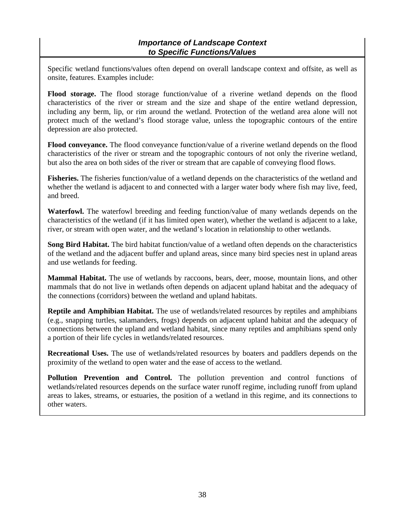#### *Importance of Landscape Context to Specific Functions/Values*

Specific wetland functions/values often depend on overall landscape context and offsite, as well as onsite, features. Examples include:

**Flood storage.** The flood storage function/value of a riverine wetland depends on the flood characteristics of the river or stream and the size and shape of the entire wetland depression, including any berm, lip, or rim around the wetland. Protection of the wetland area alone will not protect much of the wetland's flood storage value, unless the topographic contours of the entire depression are also protected.

**Flood conveyance.** The flood conveyance function/value of a riverine wetland depends on the flood characteristics of the river or stream and the topographic contours of not only the riverine wetland, but also the area on both sides of the river or stream that are capable of conveying flood flows.

**Fisheries.** The fisheries function/value of a wetland depends on the characteristics of the wetland and whether the wetland is adjacent to and connected with a larger water body where fish may live, feed, and breed.

**Waterfowl.** The waterfowl breeding and feeding function/value of many wetlands depends on the characteristics of the wetland (if it has limited open water), whether the wetland is adjacent to a lake, river, or stream with open water, and the wetland's location in relationship to other wetlands.

**Song Bird Habitat.** The bird habitat function/value of a wetland often depends on the characteristics of the wetland and the adjacent buffer and upland areas, since many bird species nest in upland areas and use wetlands for feeding.

**Mammal Habitat.** The use of wetlands by raccoons, bears, deer, moose, mountain lions, and other mammals that do not live in wetlands often depends on adjacent upland habitat and the adequacy of the connections (corridors) between the wetland and upland habitats.

**Reptile and Amphibian Habitat.** The use of wetlands/related resources by reptiles and amphibians (e.g., snapping turtles, salamanders, frogs) depends on adjacent upland habitat and the adequacy of connections between the upland and wetland habitat, since many reptiles and amphibians spend only a portion of their life cycles in wetlands/related resources.

**Recreational Uses.** The use of wetlands/related resources by boaters and paddlers depends on the proximity of the wetland to open water and the ease of access to the wetland.

**Pollution Prevention and Control.** The pollution prevention and control functions of wetlands/related resources depends on the surface water runoff regime, including runoff from upland areas to lakes, streams, or estuaries, the position of a wetland in this regime, and its connections to other waters.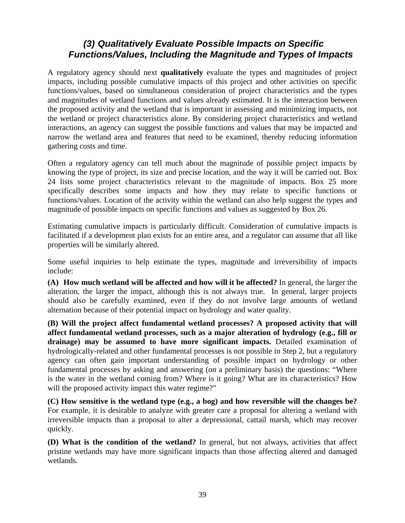### *(3) Qualitatively Evaluate Possible Impacts on Specific Functions/Values, Including the Magnitude and Types of Impacts*

A regulatory agency should next **qualitatively** evaluate the types and magnitudes of project impacts, including possible cumulative impacts of this project and other activities on specific functions/values, based on simultaneous consideration of project characteristics and the types and magnitudes of wetland functions and values already estimated. It is the interaction between the proposed activity and the wetland that is important in assessing and minimizing impacts, not the wetland or project characteristics alone. By considering project characteristics and wetland interactions, an agency can suggest the possible functions and values that may be impacted and narrow the wetland area and features that need to be examined, thereby reducing information gathering costs and time.

Often a regulatory agency can tell much about the magnitude of possible project impacts by knowing the type of project, its size and precise location, and the way it will be carried out. Box 24 lists some project characteristics relevant to the magnitude of impacts. Box 25 more specifically describes some impacts and how they may relate to specific functions or functions/values. Location of the activity within the wetland can also help suggest the types and magnitude of possible impacts on specific functions and values as suggested by Box 26.

Estimating cumulative impacts is particularly difficult. Consideration of cumulative impacts is facilitated if a development plan exists for an entire area, and a regulator can assume that all like properties will be similarly altered.

Some useful inquiries to help estimate the types, magnitude and irreversibility of impacts include:

**(A) How much wetland will be affected and how will it be affected?** In general, the larger the alteration, the larger the impact, although this is not always true. In general, larger projects should also be carefully examined, even if they do not involve large amounts of wetland alternation because of their potential impact on hydrology and water quality.

**(B) Will the project affect fundamental wetland processes? A proposed activity that will affect fundamental wetland processes, such as a major alteration of hydrology (e.g., fill or drainage) may be assumed to have more significant impacts.** Detailed examination of hydrologically-related and other fundamental processes is not possible in Step 2, but a regulatory agency can often gain important understanding of possible impact on hydrology or other fundamental processes by asking and answering (on a preliminary basis) the questions: "Where is the water in the wetland coming from? Where is it going? What are its characteristics? How will the proposed activity impact this water regime?"

**(C) How sensitive is the wetland type (e.g., a bog) and how reversible will the changes be?**  For example, it is desirable to analyze with greater care a proposal for altering a wetland with irreversible impacts than a proposal to alter a depressional, cattail marsh, which may recover quickly.

**(D) What is the condition of the wetland?** In general, but not always, activities that affect pristine wetlands may have more significant impacts than those affecting altered and damaged wetlands.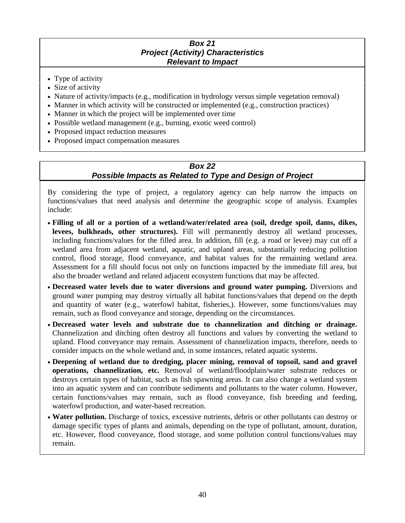#### *Box 21 Project (Activity) Characteristics Relevant to Impact*

- Type of activity
- Size of activity
- Nature of activity/impacts (e.g., modification in hydrology versus simple vegetation removal)
- Manner in which activity will be constructed or implemented (e.g., construction practices)
- Manner in which the project will be implemented over time
- Possible wetland management (e.g., burning, exotic weed control)
- Proposed impact reduction measures
- Proposed impact compensation measures

#### *Box 22 Possible Impacts as Related to Type and Design of Project*

By considering the type of project, a regulatory agency can help narrow the impacts on functions/values that need analysis and determine the geographic scope of analysis. Examples include:

- **Filling of all or a portion of a wetland/water/related area (soil, dredge spoil, dams, dikes, levees, bulkheads, other structures).** Fill will permanently destroy all wetland processes, including functions/values for the filled area. In addition, fill (e.g. a road or levee) may cut off a wetland area from adjacent wetland, aquatic, and upland areas, substantially reducing pollution control, flood storage, flood conveyance, and habitat values for the remaining wetland area. Assessment for a fill should focus not only on functions impacted by the immediate fill area, but also the broader wetland and related adjacent ecosystem functions that may be affected.
- **Decreased water levels due to water diversions and ground water pumping.** Diversions and ground water pumping may destroy virtually all habitat functions/values that depend on the depth and quantity of water (e.g., waterfowl habitat, fisheries,). However, some functions/values may remain, such as flood conveyance and storage, depending on the circumstances.
- **Decreased water levels and substrate due to channelization and ditching or drainage.** Channelization and ditching often destroy all functions and values by converting the wetland to upland. Flood conveyance may remain. Assessment of channelization impacts, therefore, needs to consider impacts on the whole wetland and, in some instances, related aquatic systems.
- **Deepening of wetland due to dredging, placer mining, removal of topsoil, sand and gravel operations, channelization, etc.** Removal of wetland/floodplain/water substrate reduces or destroys certain types of habitat, such as fish spawning areas. It can also change a wetland system into an aquatic system and can contribute sediments and pollutants to the water column. However, certain functions/values may remain, such as flood conveyance, fish breeding and feeding, waterfowl production, and water-based recreation.
- **Water pollution.** Discharge of toxics, excessive nutrients, debris or other pollutants can destroy or damage specific types of plants and animals, depending on the type of pollutant, amount, duration, etc. However, flood conveyance, flood storage, and some pollution control functions/values may remain.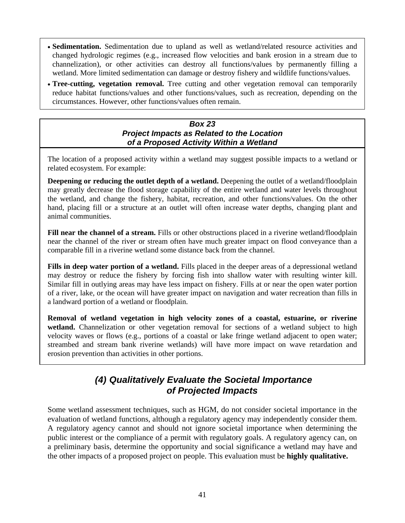- **Sedimentation.** Sedimentation due to upland as well as wetland/related resource activities and changed hydrologic regimes (e.g., increased flow velocities and bank erosion in a stream due to channelization), or other activities can destroy all functions/values by permanently filling a wetland. More limited sedimentation can damage or destroy fishery and wildlife functions/values.
- **Tree-cutting, vegetation removal.** Tree cutting and other vegetation removal can temporarily reduce habitat functions/values and other functions/values, such as recreation, depending on the circumstances. However, other functions/values often remain.

#### *Box 23 Project Impacts as Related to the Location of a Proposed Activity Within a Wetland*

The location of a proposed activity within a wetland may suggest possible impacts to a wetland or related ecosystem. For example:

**Deepening or reducing the outlet depth of a wetland.** Deepening the outlet of a wetland/floodplain may greatly decrease the flood storage capability of the entire wetland and water levels throughout the wetland, and change the fishery, habitat, recreation, and other functions/values. On the other hand, placing fill or a structure at an outlet will often increase water depths, changing plant and animal communities.

**Fill near the channel of a stream.** Fills or other obstructions placed in a riverine wetland/floodplain near the channel of the river or stream often have much greater impact on flood conveyance than a comparable fill in a riverine wetland some distance back from the channel.

**Fills in deep water portion of a wetland.** Fills placed in the deeper areas of a depressional wetland may destroy or reduce the fishery by forcing fish into shallow water with resulting winter kill. Similar fill in outlying areas may have less impact on fishery. Fills at or near the open water portion of a river, lake, or the ocean will have greater impact on navigation and water recreation than fills in a landward portion of a wetland or floodplain.

**Removal of wetland vegetation in high velocity zones of a coastal, estuarine, or riverine**  wetland. Channelization or other vegetation removal for sections of a wetland subject to high velocity waves or flows (e.g., portions of a coastal or lake fringe wetland adjacent to open water; streambed and stream bank riverine wetlands) will have more impact on wave retardation and erosion prevention than activities in other portions.

# *(4) Qualitatively Evaluate the Societal Importance of Projected Impacts*

Some wetland assessment techniques, such as HGM, do not consider societal importance in the evaluation of wetland functions, although a regulatory agency may independently consider them. A regulatory agency cannot and should not ignore societal importance when determining the public interest or the compliance of a permit with regulatory goals. A regulatory agency can, on a preliminary basis, determine the opportunity and social significance a wetland may have and the other impacts of a proposed project on people. This evaluation must be **highly qualitative.**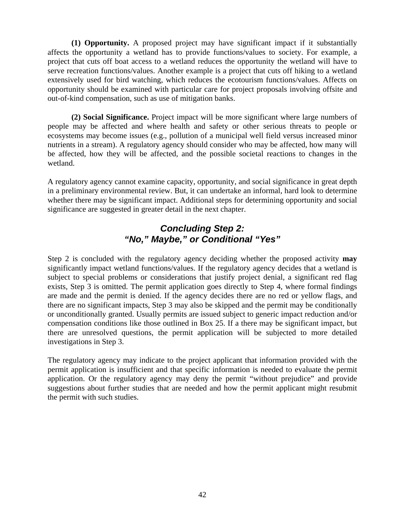**(1) Opportunity.** A proposed project may have significant impact if it substantially affects the opportunity a wetland has to provide functions/values to society. For example, a project that cuts off boat access to a wetland reduces the opportunity the wetland will have to serve recreation functions/values. Another example is a project that cuts off hiking to a wetland extensively used for bird watching, which reduces the ecotourism functions/values. Affects on opportunity should be examined with particular care for project proposals involving offsite and out-of-kind compensation, such as use of mitigation banks.

**(2) Social Significance.** Project impact will be more significant where large numbers of people may be affected and where health and safety or other serious threats to people or ecosystems may become issues (e.g., pollution of a municipal well field versus increased minor nutrients in a stream). A regulatory agency should consider who may be affected, how many will be affected, how they will be affected, and the possible societal reactions to changes in the wetland.

A regulatory agency cannot examine capacity, opportunity, and social significance in great depth in a preliminary environmental review. But, it can undertake an informal, hard look to determine whether there may be significant impact. Additional steps for determining opportunity and social significance are suggested in greater detail in the next chapter.

### *Concluding Step 2: "No," Maybe," or Conditional "Yes"*

Step 2 is concluded with the regulatory agency deciding whether the proposed activity **may**  significantly impact wetland functions/values. If the regulatory agency decides that a wetland is subject to special problems or considerations that justify project denial, a significant red flag exists, Step 3 is omitted. The permit application goes directly to Step 4, where formal findings are made and the permit is denied. If the agency decides there are no red or yellow flags, and there are no significant impacts, Step 3 may also be skipped and the permit may be conditionally or unconditionally granted. Usually permits are issued subject to generic impact reduction and/or compensation conditions like those outlined in Box 25. If a there may be significant impact, but there are unresolved questions, the permit application will be subjected to more detailed investigations in Step 3.

The regulatory agency may indicate to the project applicant that information provided with the permit application is insufficient and that specific information is needed to evaluate the permit application. Or the regulatory agency may deny the permit "without prejudice" and provide suggestions about further studies that are needed and how the permit applicant might resubmit the permit with such studies.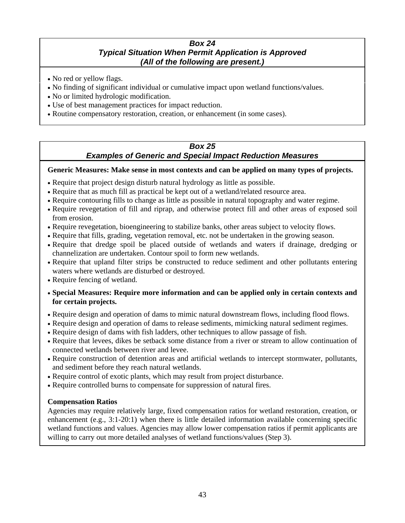#### *Box 24 Typical Situation When Permit Application is Approved (All of the following are present.)*

- No red or yellow flags.
- No finding of significant individual or cumulative impact upon wetland functions/values.
- No or limited hydrologic modification.
- Use of best management practices for impact reduction.
- Routine compensatory restoration, creation, or enhancement (in some cases).

### *Box 25*

#### *Examples of Generic and Special Impact Reduction Measures*

#### **Generic Measures: Make sense in most contexts and can be applied on many types of projects.**

- Require that project design disturb natural hydrology as little as possible.
- Require that as much fill as practical be kept out of a wetland/related resource area.
- Require contouring fills to change as little as possible in natural topography and water regime.
- Require revegetation of fill and riprap, and otherwise protect fill and other areas of exposed soil from erosion.
- Require revegetation, bioengineering to stabilize banks, other areas subject to velocity flows.
- Require that fills, grading, vegetation removal, etc. not be undertaken in the growing season.
- Require that dredge spoil be placed outside of wetlands and waters if drainage, dredging or channelization are undertaken. Contour spoil to form new wetlands.
- Require that upland filter strips be constructed to reduce sediment and other pollutants entering waters where wetlands are disturbed or destroyed.
- Require fencing of wetland.
- **Special Measures: Require more information and can be applied only in certain contexts and for certain projects.**
- Require design and operation of dams to mimic natural downstream flows, including flood flows.
- Require design and operation of dams to release sediments, mimicking natural sediment regimes.
- Require design of dams with fish ladders, other techniques to allow passage of fish.
- Require that levees, dikes be setback some distance from a river or stream to allow continuation of connected wetlands between river and levee.
- Require construction of detention areas and artificial wetlands to intercept stormwater, pollutants, and sediment before they reach natural wetlands.
- Require control of exotic plants, which may result from project disturbance.
- Require controlled burns to compensate for suppression of natural fires.

#### **Compensation Ratios**

Agencies may require relatively large, fixed compensation ratios for wetland restoration, creation, or enhancement  $(e.g., 3:1-20:1)$  when there is little detailed information available concerning specific wetland functions and values. Agencies may allow lower compensation ratios if permit applicants are willing to carry out more detailed analyses of wetland functions/values (Step 3).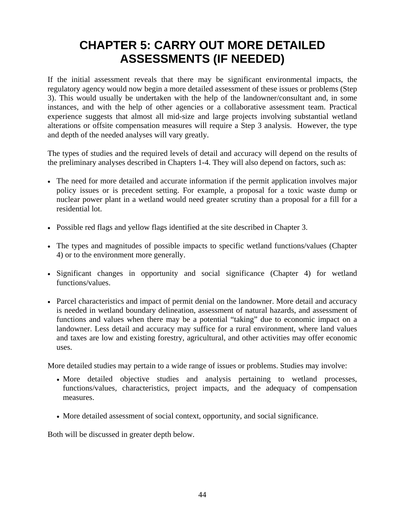# **CHAPTER 5: CARRY OUT MORE DETAILED ASSESSMENTS (IF NEEDED)**

If the initial assessment reveals that there may be significant environmental impacts, the regulatory agency would now begin a more detailed assessment of these issues or problems (Step 3). This would usually be undertaken with the help of the landowner/consultant and, in some instances, and with the help of other agencies or a collaborative assessment team. Practical experience suggests that almost all mid-size and large projects involving substantial wetland alterations or offsite compensation measures will require a Step 3 analysis. However, the type and depth of the needed analyses will vary greatly.

The types of studies and the required levels of detail and accuracy will depend on the results of the preliminary analyses described in Chapters 1-4. They will also depend on factors, such as:

- The need for more detailed and accurate information if the permit application involves major policy issues or is precedent setting. For example, a proposal for a toxic waste dump or nuclear power plant in a wetland would need greater scrutiny than a proposal for a fill for a residential lot.
- Possible red flags and yellow flags identified at the site described in Chapter 3.
- The types and magnitudes of possible impacts to specific wetland functions/values (Chapter 4) or to the environment more generally.
- Significant changes in opportunity and social significance (Chapter 4) for wetland functions/values.
- Parcel characteristics and impact of permit denial on the landowner. More detail and accuracy is needed in wetland boundary delineation, assessment of natural hazards, and assessment of functions and values when there may be a potential "taking" due to economic impact on a landowner. Less detail and accuracy may suffice for a rural environment, where land values and taxes are low and existing forestry, agricultural, and other activities may offer economic uses.

More detailed studies may pertain to a wide range of issues or problems. Studies may involve:

- More detailed objective studies and analysis pertaining to wetland processes, functions/values, characteristics, project impacts, and the adequacy of compensation measures.
- More detailed assessment of social context, opportunity, and social significance.

Both will be discussed in greater depth below.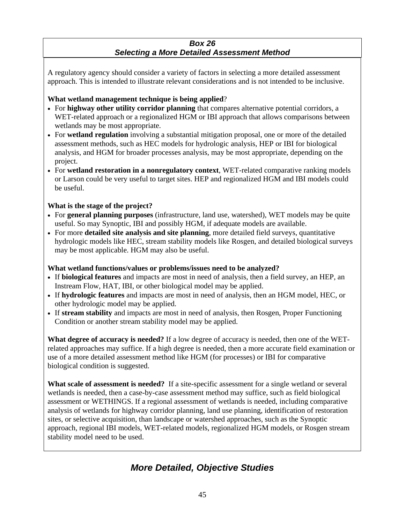#### *Box 26 Selecting a More Detailed Assessment Method*

A regulatory agency should consider a variety of factors in selecting a more detailed assessment approach. This is intended to illustrate relevant considerations and is not intended to be inclusive.

#### **What wetland management technique is being applied**?

- For **highway other utility corridor planning** that compares alternative potential corridors, a WET-related approach or a regionalized HGM or IBI approach that allows comparisons between wetlands may be most appropriate.
- For **wetland regulation** involving a substantial mitigation proposal, one or more of the detailed assessment methods, such as HEC models for hydrologic analysis, HEP or IBI for biological analysis, and HGM for broader processes analysis, may be most appropriate, depending on the project.
- For **wetland restoration in a nonregulatory context**, WET-related comparative ranking models or Larson could be very useful to target sites. HEP and regionalized HGM and IBI models could be useful.

#### **What is the stage of the project?**

- For **general planning purposes** (infrastructure, land use, watershed), WET models may be quite useful. So may Synoptic, IBI and possibly HGM, if adequate models are available.
- For more **detailed site analysis and site planning**, more detailed field surveys, quantitative hydrologic models like HEC, stream stability models like Rosgen, and detailed biological surveys may be most applicable. HGM may also be useful.

#### **What wetland functions/values or problems/issues need to be analyzed?**

- If **biological features** and impacts are most in need of analysis, then a field survey, an HEP, an Instream Flow, HAT, IBI, or other biological model may be applied.
- If **hydrologic features** and impacts are most in need of analysis, then an HGM model, HEC, or other hydrologic model may be applied.
- If **stream stability** and impacts are most in need of analysis, then Rosgen, Proper Functioning Condition or another stream stability model may be applied.

**What degree of accuracy is needed?** If a low degree of accuracy is needed, then one of the WETrelated approaches may suffice. If a high degree is needed, then a more accurate field examination or use of a more detailed assessment method like HGM (for processes) or IBI for comparative biological condition is suggested.

**What scale of assessment is needed?** If a site-specific assessment for a single wetland or several wetlands is needed, then a case-by-case assessment method may suffice, such as field biological assessment or WETHINGS. If a regional assessment of wetlands is needed, including comparative analysis of wetlands for highway corridor planning, land use planning, identification of restoration sites, or selective acquisition, than landscape or watershed approaches, such as the Synoptic approach, regional IBI models, WET-related models, regionalized HGM models, or Rosgen stream stability model need to be used.

# *More Detailed, Objective Studies*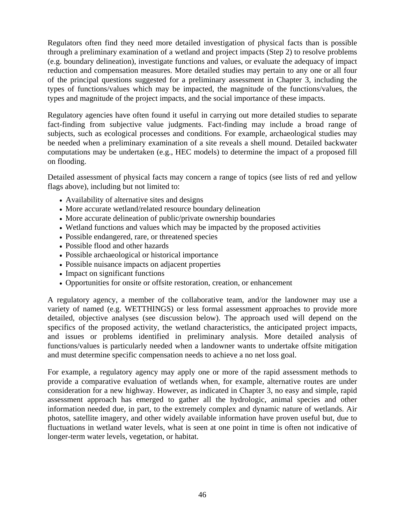Regulators often find they need more detailed investigation of physical facts than is possible through a preliminary examination of a wetland and project impacts (Step 2) to resolve problems (e.g. boundary delineation), investigate functions and values, or evaluate the adequacy of impact reduction and compensation measures. More detailed studies may pertain to any one or all four of the principal questions suggested for a preliminary assessment in Chapter 3, including the types of functions/values which may be impacted, the magnitude of the functions/values, the types and magnitude of the project impacts, and the social importance of these impacts.

Regulatory agencies have often found it useful in carrying out more detailed studies to separate fact-finding from subjective value judgments. Fact-finding may include a broad range of subjects, such as ecological processes and conditions. For example, archaeological studies may be needed when a preliminary examination of a site reveals a shell mound. Detailed backwater computations may be undertaken (e.g., HEC models) to determine the impact of a proposed fill on flooding.

Detailed assessment of physical facts may concern a range of topics (see lists of red and yellow flags above), including but not limited to:

- Availability of alternative sites and designs
- More accurate wetland/related resource boundary delineation
- More accurate delineation of public/private ownership boundaries
- Wetland functions and values which may be impacted by the proposed activities
- Possible endangered, rare, or threatened species
- Possible flood and other hazards
- Possible archaeological or historical importance
- Possible nuisance impacts on adjacent properties
- Impact on significant functions
- Opportunities for onsite or offsite restoration, creation, or enhancement

A regulatory agency, a member of the collaborative team, and/or the landowner may use a variety of named (e.g. WETTHINGS) or less formal assessment approaches to provide more detailed, objective analyses (see discussion below). The approach used will depend on the specifics of the proposed activity, the wetland characteristics, the anticipated project impacts, and issues or problems identified in preliminary analysis. More detailed analysis of functions/values is particularly needed when a landowner wants to undertake offsite mitigation and must determine specific compensation needs to achieve a no net loss goal.

For example, a regulatory agency may apply one or more of the rapid assessment methods to provide a comparative evaluation of wetlands when, for example, alternative routes are under consideration for a new highway. However, as indicated in Chapter 3, no easy and simple, rapid assessment approach has emerged to gather all the hydrologic, animal species and other information needed due, in part, to the extremely complex and dynamic nature of wetlands. Air photos, satellite imagery, and other widely available information have proven useful but, due to fluctuations in wetland water levels, what is seen at one point in time is often not indicative of longer-term water levels, vegetation, or habitat.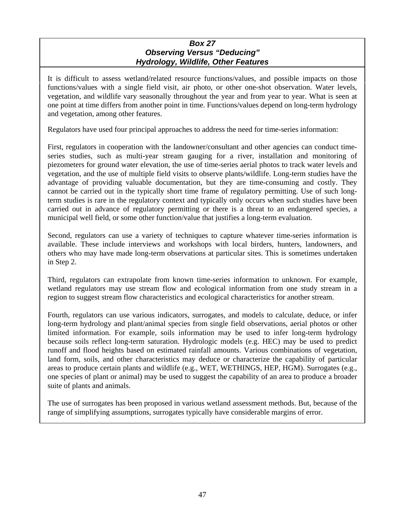#### *Box 27 Observing Versus "Deducing" Hydrology, Wildlife, Other Features*

It is difficult to assess wetland/related resource functions/values, and possible impacts on those functions/values with a single field visit, air photo, or other one-shot observation. Water levels, vegetation, and wildlife vary seasonally throughout the year and from year to year. What is seen at one point at time differs from another point in time. Functions/values depend on long-term hydrology and vegetation, among other features.

Regulators have used four principal approaches to address the need for time-series information:

First, regulators in cooperation with the landowner/consultant and other agencies can conduct timeseries studies, such as multi-year stream gauging for a river, installation and monitoring of piezometers for ground water elevation, the use of time-series aerial photos to track water levels and vegetation, and the use of multiple field visits to observe plants/wildlife. Long-term studies have the advantage of providing valuable documentation, but they are time-consuming and costly. They cannot be carried out in the typically short time frame of regulatory permitting. Use of such longterm studies is rare in the regulatory context and typically only occurs when such studies have been carried out in advance of regulatory permitting or there is a threat to an endangered species, a municipal well field, or some other function/value that justifies a long-term evaluation.

Second, regulators can use a variety of techniques to capture whatever time-series information is available. These include interviews and workshops with local birders, hunters, landowners, and others who may have made long-term observations at particular sites. This is sometimes undertaken in Step 2.

Third, regulators can extrapolate from known time-series information to unknown. For example, wetland regulators may use stream flow and ecological information from one study stream in a region to suggest stream flow characteristics and ecological characteristics for another stream.

Fourth, regulators can use various indicators, surrogates, and models to calculate, deduce, or infer long-term hydrology and plant/animal species from single field observations, aerial photos or other limited information. For example, soils information may be used to infer long-term hydrology because soils reflect long-term saturation. Hydrologic models (e.g. HEC) may be used to predict runoff and flood heights based on estimated rainfall amounts. Various combinations of vegetation, land form, soils, and other characteristics may deduce or characterize the capability of particular areas to produce certain plants and wildlife (e.g., WET, WETHINGS, HEP, HGM). Surrogates (e.g., one species of plant or animal) may be used to suggest the capability of an area to produce a broader suite of plants and animals.

The use of surrogates has been proposed in various wetland assessment methods. But, because of the range of simplifying assumptions, surrogates typically have considerable margins of error.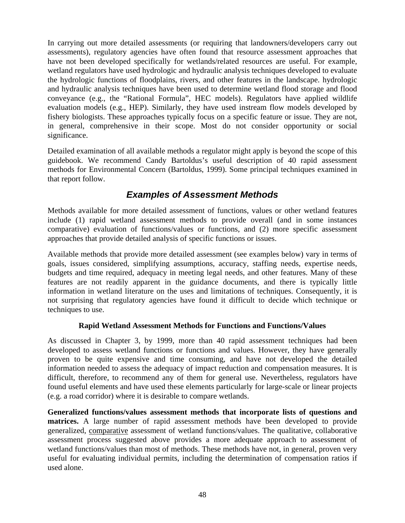In carrying out more detailed assessments (or requiring that landowners/developers carry out assessments), regulatory agencies have often found that resource assessment approaches that have not been developed specifically for wetlands/related resources are useful. For example, wetland regulators have used hydrologic and hydraulic analysis techniques developed to evaluate the hydrologic functions of floodplains, rivers, and other features in the landscape. hydrologic and hydraulic analysis techniques have been used to determine wetland flood storage and flood conveyance (e.g., the "Rational Formula", HEC models). Regulators have applied wildlife evaluation models (e.g., HEP). Similarly, they have used instream flow models developed by fishery biologists. These approaches typically focus on a specific feature or issue. They are not, in general, comprehensive in their scope. Most do not consider opportunity or social significance.

Detailed examination of all available methods a regulator might apply is beyond the scope of this guidebook. We recommend Candy Bartoldus's useful description of 40 rapid assessment methods for Environmental Concern (Bartoldus, 1999). Some principal techniques examined in that report follow.

### *Examples of Assessment Methods*

Methods available for more detailed assessment of functions, values or other wetland features include (1) rapid wetland assessment methods to provide overall (and in some instances comparative) evaluation of functions/values or functions, and (2) more specific assessment approaches that provide detailed analysis of specific functions or issues.

Available methods that provide more detailed assessment (see examples below) vary in terms of goals, issues considered, simplifying assumptions, accuracy, staffing needs, expertise needs, budgets and time required, adequacy in meeting legal needs, and other features. Many of these features are not readily apparent in the guidance documents, and there is typically little information in wetland literature on the uses and limitations of techniques. Consequently, it is not surprising that regulatory agencies have found it difficult to decide which technique or techniques to use.

#### **Rapid Wetland Assessment Methods for Functions and Functions/Values**

As discussed in Chapter 3, by 1999, more than 40 rapid assessment techniques had been developed to assess wetland functions or functions and values. However, they have generally proven to be quite expensive and time consuming, and have not developed the detailed information needed to assess the adequacy of impact reduction and compensation measures. It is difficult, therefore, to recommend any of them for general use. Nevertheless, regulators have found useful elements and have used these elements particularly for large-scale or linear projects (e.g. a road corridor) where it is desirable to compare wetlands.

**Generalized functions/values assessment methods that incorporate lists of questions and matrices.** A large number of rapid assessment methods have been developed to provide generalized, comparative assessment of wetland functions/values. The qualitative, collaborative assessment process suggested above provides a more adequate approach to assessment of wetland functions/values than most of methods. These methods have not, in general, proven very useful for evaluating individual permits, including the determination of compensation ratios if used alone.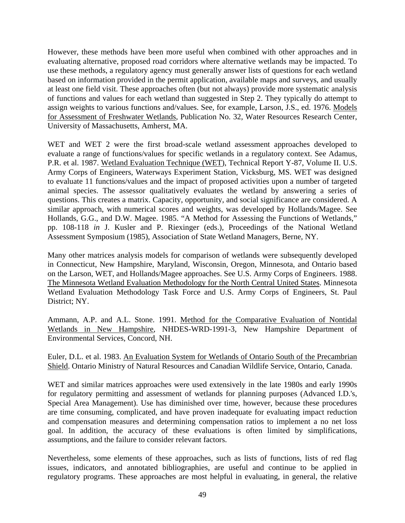However, these methods have been more useful when combined with other approaches and in evaluating alternative, proposed road corridors where alternative wetlands may be impacted. To use these methods, a regulatory agency must generally answer lists of questions for each wetland based on information provided in the permit application, available maps and surveys, and usually at least one field visit. These approaches often (but not always) provide more systematic analysis of functions and values for each wetland than suggested in Step 2. They typically do attempt to assign weights to various functions and/values. See, for example, Larson, J.S., ed. 1976. Models for Assessment of Freshwater Wetlands, Publication No. 32, Water Resources Research Center, University of Massachusetts, Amherst, MA.

WET and WET 2 were the first broad-scale wetland assessment approaches developed to evaluate a range of functions/values for specific wetlands in a regulatory context. See Adamus, P.R. et al. 1987. Wetland Evaluation Technique (WET), Technical Report Y-87, Volume II. U.S. Army Corps of Engineers, Waterways Experiment Station, Vicksburg, MS. WET was designed to evaluate 11 functions/values and the impact of proposed activities upon a number of targeted animal species. The assessor qualitatively evaluates the wetland by answering a series of questions. This creates a matrix. Capacity, opportunity, and social significance are considered. A similar approach, with numerical scores and weights, was developed by Hollands/Magee. See Hollands, G.G., and D.W. Magee. 1985. "A Method for Assessing the Functions of Wetlands," pp. 108-118 *in* J. Kusler and P. Riexinger (eds.), Proceedings of the National Wetland Assessment Symposium (1985), Association of State Wetland Managers, Berne, NY.

Many other matrices analysis models for comparison of wetlands were subsequently developed in Connecticut, New Hampshire, Maryland, Wisconsin, Oregon, Minnesota, and Ontario based on the Larson, WET, and Hollands/Magee approaches. See U.S. Army Corps of Engineers. 1988. The Minnesota Wetland Evaluation Methodology for the North Central United States. Minnesota Wetland Evaluation Methodology Task Force and U.S. Army Corps of Engineers, St. Paul District; NY.

Ammann, A.P. and A.L. Stone. 1991. Method for the Comparative Evaluation of Nontidal Wetlands in New Hampshire, NHDES-WRD-1991-3, New Hampshire Department of Environmental Services, Concord, NH.

Euler, D.L. et al. 1983. An Evaluation System for Wetlands of Ontario South of the Precambrian Shield. Ontario Ministry of Natural Resources and Canadian Wildlife Service, Ontario, Canada.

WET and similar matrices approaches were used extensively in the late 1980s and early 1990s for regulatory permitting and assessment of wetlands for planning purposes (Advanced I.D.'s, Special Area Management). Use has diminished over time, however, because these procedures are time consuming, complicated, and have proven inadequate for evaluating impact reduction and compensation measures and determining compensation ratios to implement a no net loss goal. In addition, the accuracy of these evaluations is often limited by simplifications, assumptions, and the failure to consider relevant factors.

Nevertheless, some elements of these approaches, such as lists of functions, lists of red flag issues, indicators, and annotated bibliographies, are useful and continue to be applied in regulatory programs. These approaches are most helpful in evaluating, in general, the relative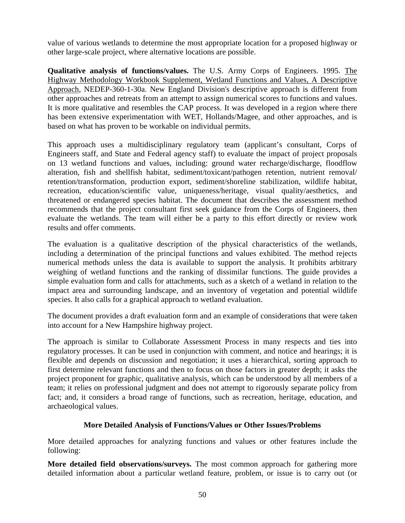value of various wetlands to determine the most appropriate location for a proposed highway or other large-scale project, where alternative locations are possible.

**Qualitative analysis of functions/values.** The U.S. Army Corps of Engineers. 1995. The Highway Methodology Workbook Supplement, Wetland Functions and Values, A Descriptive Approach, NEDEP-360-1-30a. New England Division's descriptive approach is different from other approaches and retreats from an attempt to assign numerical scores to functions and values. It is more qualitative and resembles the CAP process. It was developed in a region where there has been extensive experimentation with WET, Hollands/Magee, and other approaches, and is based on what has proven to be workable on individual permits.

This approach uses a multidisciplinary regulatory team (applicant's consultant, Corps of Engineers staff, and State and Federal agency staff) to evaluate the impact of project proposals on 13 wetland functions and values, including: ground water recharge/discharge, floodflow alteration, fish and shellfish habitat, sediment/toxicant/pathogen retention, nutrient removal/ retention/transformation, production export, sediment/shoreline stabilization, wildlife habitat, recreation, education/scientific value, uniqueness/heritage, visual quality/aesthetics, and threatened or endangered species habitat. The document that describes the assessment method recommends that the project consultant first seek guidance from the Corps of Engineers, then evaluate the wetlands. The team will either be a party to this effort directly or review work results and offer comments.

The evaluation is a qualitative description of the physical characteristics of the wetlands, including a determination of the principal functions and values exhibited. The method rejects numerical methods unless the data is available to support the analysis. It prohibits arbitrary weighing of wetland functions and the ranking of dissimilar functions. The guide provides a simple evaluation form and calls for attachments, such as a sketch of a wetland in relation to the impact area and surrounding landscape, and an inventory of vegetation and potential wildlife species. It also calls for a graphical approach to wetland evaluation.

The document provides a draft evaluation form and an example of considerations that were taken into account for a New Hampshire highway project.

The approach is similar to Collaborate Assessment Process in many respects and ties into regulatory processes. It can be used in conjunction with comment, and notice and hearings; it is flexible and depends on discussion and negotiation; it uses a hierarchical, sorting approach to first determine relevant functions and then to focus on those factors in greater depth; it asks the project proponent for graphic, qualitative analysis, which can be understood by all members of a team; it relies on professional judgment and does not attempt to rigorously separate policy from fact; and, it considers a broad range of functions, such as recreation, heritage, education, and archaeological values.

#### **More Detailed Analysis of Functions/Values or Other Issues/Problems**

More detailed approaches for analyzing functions and values or other features include the following:

**More detailed field observations/surveys.** The most common approach for gathering more detailed information about a particular wetland feature, problem, or issue is to carry out (or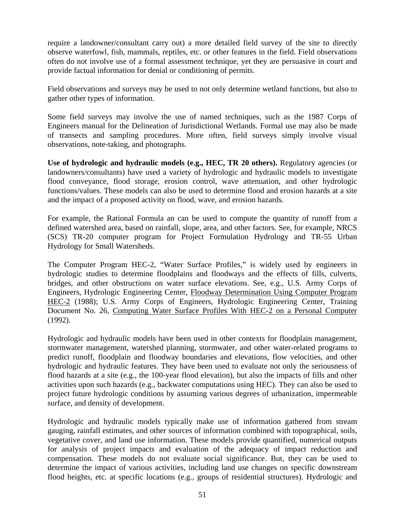require a landowner/consultant carry out) a more detailed field survey of the site to directly observe waterfowl, fish, mammals, reptiles, etc. or other features in the field. Field observations often do not involve use of a formal assessment technique, yet they are persuasive in court and provide factual information for denial or conditioning of permits.

Field observations and surveys may be used to not only determine wetland functions, but also to gather other types of information.

Some field surveys may involve the use of named techniques, such as the 1987 Corps of Engineers manual for the Delineation of Jurisdictional Wetlands. Formal use may also be made of transects and sampling procedures. More often, field surveys simply involve visual observations, note-taking, and photographs.

**Use of hydrologic and hydraulic models (e.g., HEC, TR 20 others).** Regulatory agencies (or landowners/consultants) have used a variety of hydrologic and hydraulic models to investigate flood conveyance, flood storage, erosion control, wave attenuation, and other hydrologic functions/values. These models can also be used to determine flood and erosion hazards at a site and the impact of a proposed activity on flood, wave, and erosion hazards.

For example, the Rational Formula an can be used to compute the quantity of runoff from a defined watershed area, based on rainfall, slope, area, and other factors. See, for example, NRCS (SCS) TR-20 computer program for Project Formulation Hydrology and TR-55 Urban Hydrology for Small Watersheds.

The Computer Program HEC-2, "Water Surface Profiles," is widely used by engineers in hydrologic studies to determine floodplains and floodways and the effects of fills, culverts, bridges, and other obstructions on water surface elevations. See, e.g., U.S. Army Corps of Engineers, Hydrologic Engineering Center, Floodway Determination Using Computer Program HEC-2 (1988); U.S. Army Corps of Engineers, Hydrologic Engineering Center, Training Document No. 26, Computing Water Surface Profiles With HEC-2 on a Personal Computer (1992).

Hydrologic and hydraulic models have been used in other contexts for floodplain management, stormwater management, watershed planning, stormwater, and other water-related programs to predict runoff, floodplain and floodway boundaries and elevations, flow velocities, and other hydrologic and hydraulic features. They have been used to evaluate not only the seriousness of flood hazards at a site (e.g., the 100-year flood elevation), but also the impacts of fills and other activities upon such hazards (e.g., backwater computations using HEC). They can also be used to project future hydrologic conditions by assuming various degrees of urbanization, impermeable surface, and density of development.

Hydrologic and hydraulic models typically make use of information gathered from stream gauging, rainfall estimates, and other sources of information combined with topographical, soils, vegetative cover, and land use information. These models provide quantified, numerical outputs for analysis of project impacts and evaluation of the adequacy of impact reduction and compensation. These models do not evaluate social significance. But, they can be used to determine the impact of various activities, including land use changes on specific downstream flood heights, etc. at specific locations (e.g., groups of residential structures). Hydrologic and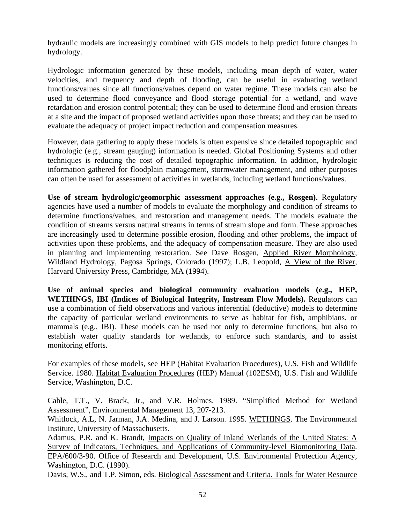hydraulic models are increasingly combined with GIS models to help predict future changes in hydrology.

Hydrologic information generated by these models, including mean depth of water, water velocities, and frequency and depth of flooding, can be useful in evaluating wetland functions/values since all functions/values depend on water regime. These models can also be used to determine flood conveyance and flood storage potential for a wetland, and wave retardation and erosion control potential; they can be used to determine flood and erosion threats at a site and the impact of proposed wetland activities upon those threats; and they can be used to evaluate the adequacy of project impact reduction and compensation measures.

However, data gathering to apply these models is often expensive since detailed topographic and hydrologic (e.g., stream gauging) information is needed. Global Positioning Systems and other techniques is reducing the cost of detailed topographic information. In addition, hydrologic information gathered for floodplain management, stormwater management, and other purposes can often be used for assessment of activities in wetlands, including wetland functions/values.

Use of stream hydrologic/geomorphic assessment approaches (e.g., Rosgen). Regulatory agencies have used a number of models to evaluate the morphology and condition of streams to determine functions/values, and restoration and management needs. The models evaluate the condition of streams versus natural streams in terms of stream slope and form. These approaches are increasingly used to determine possible erosion, flooding and other problems, the impact of activities upon these problems, and the adequacy of compensation measure. They are also used in planning and implementing restoration. See Dave Rosgen, Applied River Morphology, Wildland Hydrology, Pagosa Springs, Colorado (1997); L.B. Leopold, A View of the River, Harvard University Press, Cambridge, MA (1994).

**Use of animal species and biological community evaluation models (e.g., HEP,**  WETHINGS, IBI (Indices of Biological Integrity, Instream Flow Models). Regulators can use a combination of field observations and various inferential (deductive) models to determine the capacity of particular wetland environments to serve as habitat for fish, amphibians, or mammals (e.g., IBI). These models can be used not only to determine functions, but also to establish water quality standards for wetlands, to enforce such standards, and to assist monitoring efforts.

For examples of these models, see HEP (Habitat Evaluation Procedures), U.S. Fish and Wildlife Service. 1980. Habitat Evaluation Procedures (HEP) Manual (102ESM), U.S. Fish and Wildlife Service, Washington, D.C.

Cable, T.T., V. Brack, Jr., and V.R. Holmes. 1989. "Simplified Method for Wetland Assessment", Environmental Management 13, 207-213.

Whitlock, A.L, N. Jarman, J.A. Medina, and J. Larson. 1995. WETHINGS. The Environmental Institute, University of Massachusetts.

Adamus, P.R. and K. Brandt, Impacts on Quality of Inland Wetlands of the United States: A Survey of Indicators, Techniques, and Applications of Community-level Biomonitoring Data. EPA/600/3-90. Office of Research and Development, U.S. Environmental Protection Agency, Washington, D.C. (1990).

Davis, W.S., and T.P. Simon, eds. Biological Assessment and Criteria. Tools for Water Resource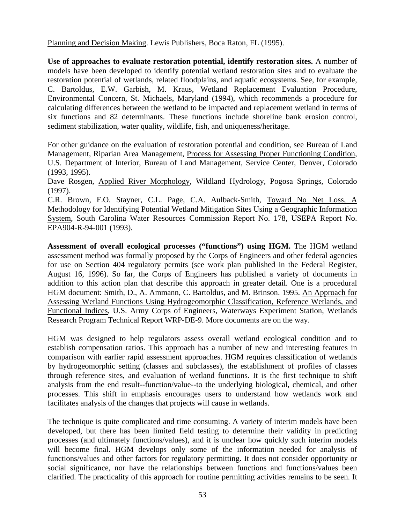Planning and Decision Making. Lewis Publishers, Boca Raton, FL (1995).

**Use of approaches to evaluate restoration potential, identify restoration sites.** A number of models have been developed to identify potential wetland restoration sites and to evaluate the restoration potential of wetlands, related floodplains, and aquatic ecosystems. See, for example, C. Bartoldus, E.W. Garbish, M. Kraus, Wetland Replacement Evaluation Procedure, Environmental Concern, St. Michaels, Maryland (1994), which recommends a procedure for calculating differences between the wetland to be impacted and replacement wetland in terms of six functions and 82 determinants. These functions include shoreline bank erosion control, sediment stabilization, water quality, wildlife, fish, and uniqueness/heritage.

For other guidance on the evaluation of restoration potential and condition, see Bureau of Land Management, Riparian Area Management, Process for Assessing Proper Functioning Condition, U.S. Department of Interior, Bureau of Land Management, Service Center, Denver, Colorado (1993, 1995).

Dave Rosgen, Applied River Morphology, Wildland Hydrology, Pogosa Springs, Colorado (1997).

C.R. Brown, F.O. Stayner, C.L. Page, C.A. Aulback-Smith, Toward No Net Loss, A Methodology for Identifying Potential Wetland Mitigation Sites Using a Geographic Information System, South Carolina Water Resources Commission Report No. 178, USEPA Report No. EPA904-R-94-001 (1993).

**Assessment of overall ecological processes ("functions") using HGM.** The HGM wetland assessment method was formally proposed by the Corps of Engineers and other federal agencies for use on Section 404 regulatory permits (see work plan published in the Federal Register, August 16, 1996). So far, the Corps of Engineers has published a variety of documents in addition to this action plan that describe this approach in greater detail. One is a procedural HGM document: Smith, D., A. Ammann, C. Bartoldus, and M. Brinson. 1995. An Approach for Assessing Wetland Functions Using Hydrogeomorphic Classification, Reference Wetlands, and Functional Indices, U.S. Army Corps of Engineers, Waterways Experiment Station, Wetlands Research Program Technical Report WRP-DE-9. More documents are on the way.

HGM was designed to help regulators assess overall wetland ecological condition and to establish compensation ratios. This approach has a number of new and interesting features in comparison with earlier rapid assessment approaches. HGM requires classification of wetlands by hydrogeomorphic setting (classes and subclasses), the establishment of profiles of classes through reference sites, and evaluation of wetland functions. It is the first technique to shift analysis from the end result--function/value--to the underlying biological, chemical, and other processes. This shift in emphasis encourages users to understand how wetlands work and facilitates analysis of the changes that projects will cause in wetlands.

The technique is quite complicated and time consuming. A variety of interim models have been developed, but there has been limited field testing to determine their validity in predicting processes (and ultimately functions/values), and it is unclear how quickly such interim models will become final. HGM develops only some of the information needed for analysis of functions/values and other factors for regulatory permitting. It does not consider opportunity or social significance, nor have the relationships between functions and functions/values been clarified. The practicality of this approach for routine permitting activities remains to be seen. It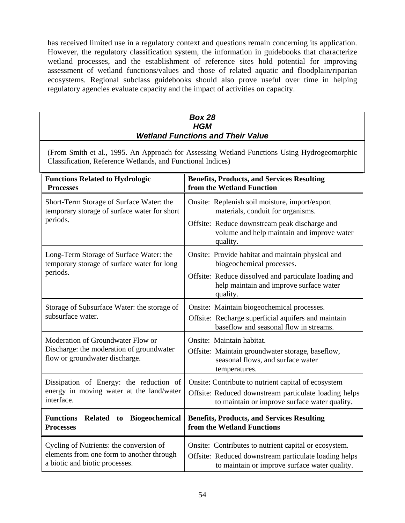has received limited use in a regulatory context and questions remain concerning its application. However, the regulatory classification system, the information in guidebooks that characterize wetland processes, and the establishment of reference sites hold potential for improving assessment of wetland functions/values and those of related aquatic and floodplain/riparian ecosystems. Regional subclass guidebooks should also prove useful over time in helping regulatory agencies evaluate capacity and the impact of activities on capacity.

| <b>Box 28</b><br><b>HGM</b><br><b>Wetland Functions and Their Value</b>                                                                                    |                                                                                                                                                                 |  |  |
|------------------------------------------------------------------------------------------------------------------------------------------------------------|-----------------------------------------------------------------------------------------------------------------------------------------------------------------|--|--|
| (From Smith et al., 1995. An Approach for Assessing Wetland Functions Using Hydrogeomorphic<br>Classification, Reference Wetlands, and Functional Indices) |                                                                                                                                                                 |  |  |
| <b>Functions Related to Hydrologic</b><br><b>Processes</b>                                                                                                 | <b>Benefits, Products, and Services Resulting</b><br>from the Wetland Function                                                                                  |  |  |
| Short-Term Storage of Surface Water: the<br>temporary storage of surface water for short<br>periods.                                                       | Onsite: Replenish soil moisture, import/export<br>materials, conduit for organisms.                                                                             |  |  |
|                                                                                                                                                            | Offsite: Reduce downstream peak discharge and<br>volume and help maintain and improve water<br>quality.                                                         |  |  |
| Long-Term Storage of Surface Water: the<br>temporary storage of surface water for long<br>periods.                                                         | Onsite: Provide habitat and maintain physical and<br>biogeochemical processes.                                                                                  |  |  |
|                                                                                                                                                            | Offsite: Reduce dissolved and particulate loading and<br>help maintain and improve surface water<br>quality.                                                    |  |  |
| Storage of Subsurface Water: the storage of<br>subsurface water.                                                                                           | Onsite: Maintain biogeochemical processes.<br>Offsite: Recharge superficial aquifers and maintain<br>baseflow and seasonal flow in streams.                     |  |  |
| Moderation of Groundwater Flow or<br>Discharge: the moderation of groundwater<br>flow or groundwater discharge.                                            | Onsite: Maintain habitat.<br>Offsite: Maintain groundwater storage, baseflow,<br>seasonal flows, and surface water<br>temperatures.                             |  |  |
| Dissipation of Energy: the reduction of<br>energy in moving water at the land/water<br>interface.                                                          | Onsite: Contribute to nutrient capital of ecosystem<br>Offsite: Reduced downstream particulate loading helps<br>to maintain or improve surface water quality.   |  |  |
| <b>Functions</b><br><b>Related</b><br>Biogeochemical<br>to<br><b>Processes</b>                                                                             | <b>Benefits, Products, and Services Resulting</b><br>from the Wetland Functions                                                                                 |  |  |
| Cycling of Nutrients: the conversion of<br>elements from one form to another through<br>a biotic and biotic processes.                                     | Onsite: Contributes to nutrient capital or ecosystem.<br>Offsite: Reduced downstream particulate loading helps<br>to maintain or improve surface water quality. |  |  |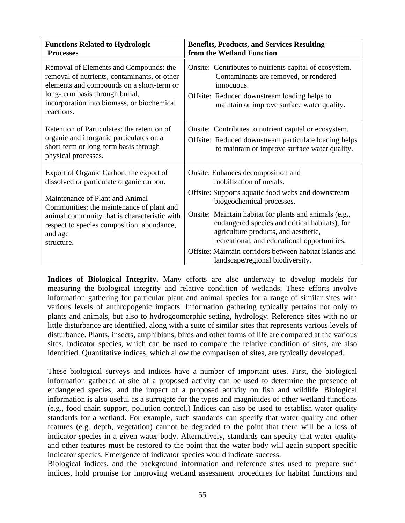| <b>Functions Related to Hydrologic</b><br><b>Processes</b>                                                                                                                                                                                                                                 | <b>Benefits, Products, and Services Resulting</b><br>from the Wetland Function                                                                                                                                                                                                                                                                       |
|--------------------------------------------------------------------------------------------------------------------------------------------------------------------------------------------------------------------------------------------------------------------------------------------|------------------------------------------------------------------------------------------------------------------------------------------------------------------------------------------------------------------------------------------------------------------------------------------------------------------------------------------------------|
| Removal of Elements and Compounds: the<br>removal of nutrients, contaminants, or other<br>elements and compounds on a short-term or<br>long-term basis through burial,<br>incorporation into biomass, or biochemical<br>reactions.                                                         | Onsite: Contributes to nutrients capital of ecosystem.<br>Contaminants are removed, or rendered<br>innocuous.<br>Offsite: Reduced downstream loading helps to<br>maintain or improve surface water quality.                                                                                                                                          |
| Retention of Particulates: the retention of<br>organic and inorganic particulates on a<br>short-term or long-term basis through<br>physical processes.                                                                                                                                     | Onsite: Contributes to nutrient capital or ecosystem.<br>Offsite: Reduced downstream particulate loading helps<br>to maintain or improve surface water quality.                                                                                                                                                                                      |
| Export of Organic Carbon: the export of<br>dissolved or particulate organic carbon.<br>Maintenance of Plant and Animal<br>Communities: the maintenance of plant and<br>animal community that is characteristic with<br>respect to species composition, abundance,<br>and age<br>structure. | Onsite: Enhances decomposition and<br>mobilization of metals.<br>Offsite: Supports aquatic food webs and downstream<br>biogeochemical processes.<br>Onsite: Maintain habitat for plants and animals (e.g.,<br>endangered species and critical habitats), for<br>agriculture products, and aesthetic,<br>recreational, and educational opportunities. |
|                                                                                                                                                                                                                                                                                            | Offsite: Maintain corridors between habitat islands and<br>landscape/regional biodiversity.                                                                                                                                                                                                                                                          |

**Indices of Biological Integrity.** Many efforts are also underway to develop models for measuring the biological integrity and relative condition of wetlands. These efforts involve information gathering for particular plant and animal species for a range of similar sites with various levels of anthropogenic impacts. Information gathering typically pertains not only to plants and animals, but also to hydrogeomorphic setting, hydrology. Reference sites with no or little disturbance are identified, along with a suite of similar sites that represents various levels of disturbance. Plants, insects, amphibians, birds and other forms of life are compared at the various sites. Indicator species, which can be used to compare the relative condition of sites, are also identified. Quantitative indices, which allow the comparison of sites, are typically developed.

These biological surveys and indices have a number of important uses. First, the biological information gathered at site of a proposed activity can be used to determine the presence of endangered species, and the impact of a proposed activity on fish and wildlife. Biological information is also useful as a surrogate for the types and magnitudes of other wetland functions (e.g., food chain support, pollution control.) Indices can also be used to establish water quality standards for a wetland. For example, such standards can specify that water quality and other features (e.g. depth, vegetation) cannot be degraded to the point that there will be a loss of indicator species in a given water body. Alternatively, standards can specify that water quality and other features must be restored to the point that the water body will again support specific indicator species. Emergence of indicator species would indicate success.

Biological indices, and the background information and reference sites used to prepare such indices, hold promise for improving wetland assessment procedures for habitat functions and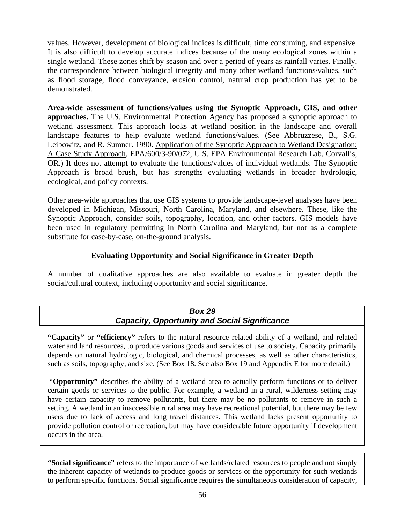values. However, development of biological indices is difficult, time consuming, and expensive. It is also difficult to develop accurate indices because of the many ecological zones within a single wetland. These zones shift by season and over a period of years as rainfall varies. Finally, the correspondence between biological integrity and many other wetland functions/values, such as flood storage, flood conveyance, erosion control, natural crop production has yet to be demonstrated.

**Area-wide assessment of functions/values using the Synoptic Approach, GIS, and other approaches.** The U.S. Environmental Protection Agency has proposed a synoptic approach to wetland assessment. This approach looks at wetland position in the landscape and overall landscape features to help evaluate wetland functions/values. (See Abbruzzese, B., S.G. Leibowitz, and R. Sumner. 1990. Application of the Synoptic Approach to Wetland Designation: A Case Study Approach, EPA/600/3-90/072, U.S. EPA Environmental Research Lab, Corvallis, OR.) It does not attempt to evaluate the functions/values of individual wetlands. The Synoptic Approach is broad brush, but has strengths evaluating wetlands in broader hydrologic, ecological, and policy contexts.

Other area-wide approaches that use GIS systems to provide landscape-level analyses have been developed in Michigan, Missouri, North Carolina, Maryland, and elsewhere. These, like the Synoptic Approach, consider soils, topography, location, and other factors. GIS models have been used in regulatory permitting in North Carolina and Maryland, but not as a complete substitute for case-by-case, on-the-ground analysis.

#### **Evaluating Opportunity and Social Significance in Greater Depth**

A number of qualitative approaches are also available to evaluate in greater depth the social/cultural context, including opportunity and social significance.

#### *Box 29 Capacity, Opportunity and Social Significance*

**"Capacity"** or **"efficiency"** refers to the natural-resource related ability of a wetland, and related water and land resources, to produce various goods and services of use to society. Capacity primarily depends on natural hydrologic, biological, and chemical processes, as well as other characteristics, such as soils, topography, and size. (See Box 18. See also Box 19 and Appendix E for more detail.)

 "**Opportunity"** describes the ability of a wetland area to actually perform functions or to deliver certain goods or services to the public. For example, a wetland in a rural, wilderness setting may have certain capacity to remove pollutants, but there may be no pollutants to remove in such a setting. A wetland in an inaccessible rural area may have recreational potential, but there may be few users due to lack of access and long travel distances. This wetland lacks present opportunity to provide pollution control or recreation, but may have considerable future opportunity if development occurs in the area.

**"Social significance"** refers to the importance of wetlands/related resources to people and not simply the inherent capacity of wetlands to produce goods or services or the opportunity for such wetlands to perform specific functions. Social significance requires the simultaneous consideration of capacity,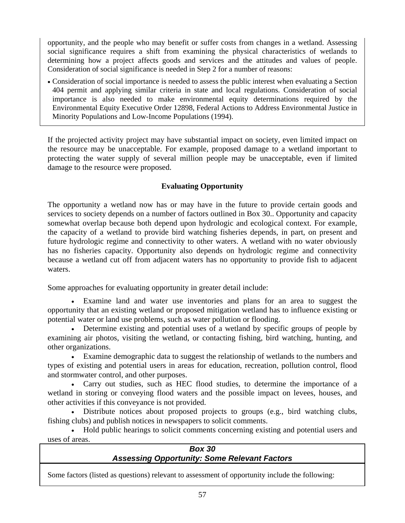opportunity, and the people who may benefit or suffer costs from changes in a wetland. Assessing social significance requires a shift from examining the physical characteristics of wetlands to determining how a project affects goods and services and the attitudes and values of people. Consideration of social significance is needed in Step 2 for a number of reasons:

• Consideration of social importance is needed to assess the public interest when evaluating a Section 404 permit and applying similar criteria in state and local regulations. Consideration of social importance is also needed to make environmental equity determinations required by the Environmental Equity Executive Order 12898, Federal Actions to Address Environmental Justice in Minority Populations and Low-Income Populations (1994).

If the projected activity project may have substantial impact on society, even limited impact on the resource may be unacceptable. For example, proposed damage to a wetland important to protecting the water supply of several million people may be unacceptable, even if limited damage to the resource were proposed.

#### **Evaluating Opportunity**

The opportunity a wetland now has or may have in the future to provide certain goods and services to society depends on a number of factors outlined in Box 30.. Opportunity and capacity somewhat overlap because both depend upon hydrologic and ecological context. For example, the capacity of a wetland to provide bird watching fisheries depends, in part, on present and future hydrologic regime and connectivity to other waters. A wetland with no water obviously has no fisheries capacity. Opportunity also depends on hydrologic regime and connectivity because a wetland cut off from adjacent waters has no opportunity to provide fish to adjacent waters.

Some approaches for evaluating opportunity in greater detail include:

• Examine land and water use inventories and plans for an area to suggest the opportunity that an existing wetland or proposed mitigation wetland has to influence existing or potential water or land use problems, such as water pollution or flooding.

• Determine existing and potential uses of a wetland by specific groups of people by examining air photos, visiting the wetland, or contacting fishing, bird watching, hunting, and other organizations.

• Examine demographic data to suggest the relationship of wetlands to the numbers and types of existing and potential users in areas for education, recreation, pollution control, flood and stormwater control, and other purposes.

• Carry out studies, such as HEC flood studies, to determine the importance of a wetland in storing or conveying flood waters and the possible impact on levees, houses, and other activities if this conveyance is not provided.

• Distribute notices about proposed projects to groups (e.g., bird watching clubs, fishing clubs) and publish notices in newspapers to solicit comments.

• Hold public hearings to solicit comments concerning existing and potential users and uses of areas.

| <b>Box 30</b>                                       |  |
|-----------------------------------------------------|--|
| <b>Assessing Opportunity: Some Relevant Factors</b> |  |
|                                                     |  |

Some factors (listed as questions) relevant to assessment of opportunity include the following: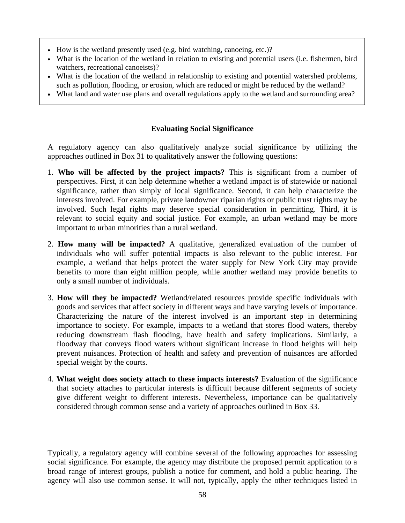- How is the wetland presently used (e.g. bird watching, canoeing, etc.)?
- What is the location of the wetland in relation to existing and potential users (i.e. fishermen, bird watchers, recreational canoeists)?
- What is the location of the wetland in relationship to existing and potential watershed problems, such as pollution, flooding, or erosion, which are reduced or might be reduced by the wetland?
- What land and water use plans and overall regulations apply to the wetland and surrounding area?

#### **Evaluating Social Significance**

A regulatory agency can also qualitatively analyze social significance by utilizing the approaches outlined in Box 31 to qualitatively answer the following questions:

- 1. **Who will be affected by the project impacts?** This is significant from a number of perspectives. First, it can help determine whether a wetland impact is of statewide or national significance, rather than simply of local significance. Second, it can help characterize the interests involved. For example, private landowner riparian rights or public trust rights may be involved. Such legal rights may deserve special consideration in permitting. Third, it is relevant to social equity and social justice. For example, an urban wetland may be more important to urban minorities than a rural wetland.
- 2. **How many will be impacted?** A qualitative, generalized evaluation of the number of individuals who will suffer potential impacts is also relevant to the public interest. For example, a wetland that helps protect the water supply for New York City may provide benefits to more than eight million people, while another wetland may provide benefits to only a small number of individuals.
- 3. **How will they be impacted?** Wetland/related resources provide specific individuals with goods and services that affect society in different ways and have varying levels of importance. Characterizing the nature of the interest involved is an important step in determining importance to society. For example, impacts to a wetland that stores flood waters, thereby reducing downstream flash flooding, have health and safety implications. Similarly, a floodway that conveys flood waters without significant increase in flood heights will help prevent nuisances. Protection of health and safety and prevention of nuisances are afforded special weight by the courts.
- 4. **What weight does society attach to these impacts interests?** Evaluation of the significance that society attaches to particular interests is difficult because different segments of society give different weight to different interests. Nevertheless, importance can be qualitatively considered through common sense and a variety of approaches outlined in Box 33.

Typically, a regulatory agency will combine several of the following approaches for assessing social significance. For example, the agency may distribute the proposed permit application to a broad range of interest groups, publish a notice for comment, and hold a public hearing. The agency will also use common sense. It will not, typically, apply the other techniques listed in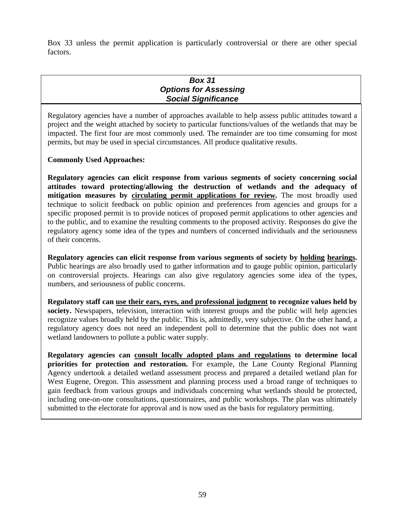Box 33 unless the permit application is particularly controversial or there are other special factors.

#### *Box 31 Options for Assessing Social Significance*

Regulatory agencies have a number of approaches available to help assess public attitudes toward a project and the weight attached by society to particular functions/values of the wetlands that may be impacted. The first four are most commonly used. The remainder are too time consuming for most permits, but may be used in special circumstances. All produce qualitative results.

#### **Commonly Used Approaches:**

**Regulatory agencies can elicit response from various segments of society concerning social attitudes toward protecting/allowing the destruction of wetlands and the adequacy of mitigation measures by circulating permit applications for review.** The most broadly used technique to solicit feedback on public opinion and preferences from agencies and groups for a specific proposed permit is to provide notices of proposed permit applications to other agencies and to the public, and to examine the resulting comments to the proposed activity. Responses do give the regulatory agency some idea of the types and numbers of concerned individuals and the seriousness of their concerns.

**Regulatory agencies can elicit response from various segments of society by holding hearings.** Public hearings are also broadly used to gather information and to gauge public opinion, particularly on controversial projects. Hearings can also give regulatory agencies some idea of the types, numbers, and seriousness of public concerns.

**Regulatory staff can use their ears, eyes, and professional judgment to recognize values held by society.** Newspapers, television, interaction with interest groups and the public will help agencies recognize values broadly held by the public. This is, admittedly, very subjective. On the other hand, a regulatory agency does not need an independent poll to determine that the public does not want wetland landowners to pollute a public water supply.

**Regulatory agencies can consult locally adopted plans and regulations to determine local priorities for protection and restoration.** For example, the Lane County Regional Planning Agency undertook a detailed wetland assessment process and prepared a detailed wetland plan for West Eugene, Oregon. This assessment and planning process used a broad range of techniques to gain feedback from various groups and individuals concerning what wetlands should be protected, including one-on-one consultations, questionnaires, and public workshops. The plan was ultimately submitted to the electorate for approval and is now used as the basis for regulatory permitting.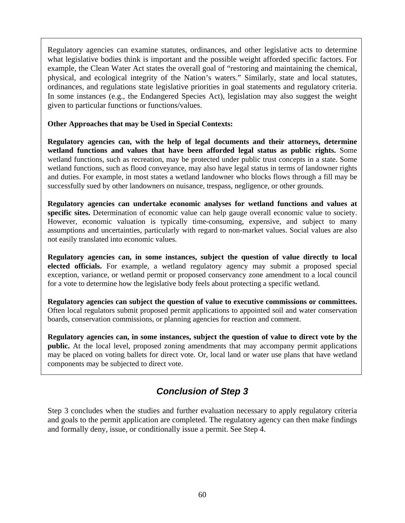Regulatory agencies can examine statutes, ordinances, and other legislative acts to determine what legislative bodies think is important and the possible weight afforded specific factors. For example, the Clean Water Act states the overall goal of "restoring and maintaining the chemical, physical, and ecological integrity of the Nation's waters." Similarly, state and local statutes, ordinances, and regulations state legislative priorities in goal statements and regulatory criteria. In some instances (e.g., the Endangered Species Act), legislation may also suggest the weight given to particular functions or functions/values.

#### **Other Approaches that may be Used in Special Contexts:**

**Regulatory agencies can, with the help of legal documents and their attorneys, determine wetland functions and values that have been afforded legal status as public rights.** Some wetland functions, such as recreation, may be protected under public trust concepts in a state. Some wetland functions, such as flood conveyance, may also have legal status in terms of landowner rights and duties. For example, in most states a wetland landowner who blocks flows through a fill may be successfully sued by other landowners on nuisance, trespass, negligence, or other grounds.

**Regulatory agencies can undertake economic analyses for wetland functions and values at specific sites.** Determination of economic value can help gauge overall economic value to society. However, economic valuation is typically time-consuming, expensive, and subject to many assumptions and uncertainties, particularly with regard to non-market values. Social values are also not easily translated into economic values.

**Regulatory agencies can, in some instances, subject the question of value directly to local elected officials.** For example, a wetland regulatory agency may submit a proposed special exception, variance, or wetland permit or proposed conservancy zone amendment to a local council for a vote to determine how the legislative body feels about protecting a specific wetland.

**Regulatory agencies can subject the question of value to executive commissions or committees.**  Often local regulators submit proposed permit applications to appointed soil and water conservation boards, conservation commissions, or planning agencies for reaction and comment.

**Regulatory agencies can, in some instances, subject the question of value to direct vote by the public.** At the local level, proposed zoning amendments that may accompany permit applications may be placed on voting ballets for direct vote. Or, local land or water use plans that have wetland components may be subjected to direct vote.

# *Conclusion of Step 3*

Step 3 concludes when the studies and further evaluation necessary to apply regulatory criteria and goals to the permit application are completed. The regulatory agency can then make findings and formally deny, issue, or conditionally issue a permit. See Step 4.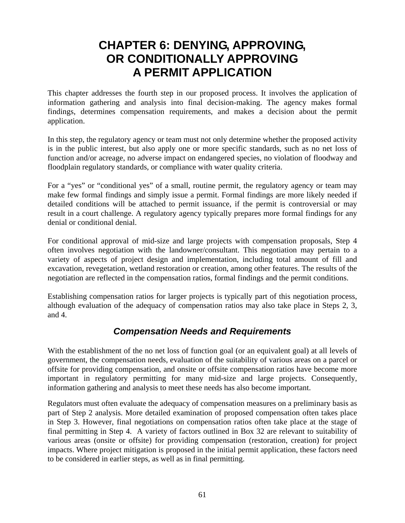# **CHAPTER 6: DENYING, APPROVING, OR CONDITIONALLY APPROVING A PERMIT APPLICATION**

This chapter addresses the fourth step in our proposed process. It involves the application of information gathering and analysis into final decision-making. The agency makes formal findings, determines compensation requirements, and makes a decision about the permit application.

In this step, the regulatory agency or team must not only determine whether the proposed activity is in the public interest, but also apply one or more specific standards, such as no net loss of function and/or acreage, no adverse impact on endangered species, no violation of floodway and floodplain regulatory standards, or compliance with water quality criteria.

For a "yes" or "conditional yes" of a small, routine permit, the regulatory agency or team may make few formal findings and simply issue a permit. Formal findings are more likely needed if detailed conditions will be attached to permit issuance, if the permit is controversial or may result in a court challenge. A regulatory agency typically prepares more formal findings for any denial or conditional denial.

For conditional approval of mid-size and large projects with compensation proposals, Step 4 often involves negotiation with the landowner/consultant. This negotiation may pertain to a variety of aspects of project design and implementation, including total amount of fill and excavation, revegetation, wetland restoration or creation, among other features. The results of the negotiation are reflected in the compensation ratios, formal findings and the permit conditions.

Establishing compensation ratios for larger projects is typically part of this negotiation process, although evaluation of the adequacy of compensation ratios may also take place in Steps 2, 3, and 4.

### *Compensation Needs and Requirements*

With the establishment of the no net loss of function goal (or an equivalent goal) at all levels of government, the compensation needs, evaluation of the suitability of various areas on a parcel or offsite for providing compensation, and onsite or offsite compensation ratios have become more important in regulatory permitting for many mid-size and large projects. Consequently, information gathering and analysis to meet these needs has also become important.

Regulators must often evaluate the adequacy of compensation measures on a preliminary basis as part of Step 2 analysis. More detailed examination of proposed compensation often takes place in Step 3. However, final negotiations on compensation ratios often take place at the stage of final permitting in Step 4. A variety of factors outlined in Box 32 are relevant to suitability of various areas (onsite or offsite) for providing compensation (restoration, creation) for project impacts. Where project mitigation is proposed in the initial permit application, these factors need to be considered in earlier steps, as well as in final permitting.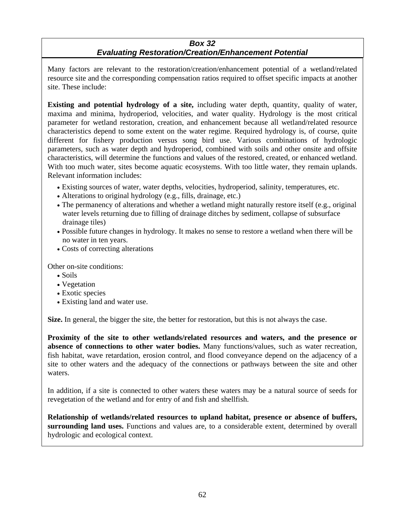#### *Box 32*

#### *Evaluating Restoration/Creation/Enhancement Potential*

Many factors are relevant to the restoration/creation/enhancement potential of a wetland/related resource site and the corresponding compensation ratios required to offset specific impacts at another site. These include:

**Existing and potential hydrology of a site,** including water depth, quantity, quality of water, maxima and minima, hydroperiod, velocities, and water quality. Hydrology is the most critical parameter for wetland restoration, creation, and enhancement because all wetland/related resource characteristics depend to some extent on the water regime. Required hydrology is, of course, quite different for fishery production versus song bird use. Various combinations of hydrologic parameters, such as water depth and hydroperiod, combined with soils and other onsite and offsite characteristics, will determine the functions and values of the restored, created, or enhanced wetland. With too much water, sites become aquatic ecosystems. With too little water, they remain uplands. Relevant information includes:

- Existing sources of water, water depths, velocities, hydroperiod, salinity, temperatures, etc.
- Alterations to original hydrology (e.g., fills, drainage, etc.)
- The permanency of alterations and whether a wetland might naturally restore itself (e.g., original water levels returning due to filling of drainage ditches by sediment, collapse of subsurface drainage tiles)
- Possible future changes in hydrology. It makes no sense to restore a wetland when there will be no water in ten years.
- Costs of correcting alterations

Other on-site conditions:

- Soils
- Vegetation
- Exotic species
- Existing land and water use.

**Size.** In general, the bigger the site, the better for restoration, but this is not always the case.

**Proximity of the site to other wetlands/related resources and waters, and the presence or absence of connections to other water bodies.** Many functions/values, such as water recreation, fish habitat, wave retardation, erosion control, and flood conveyance depend on the adjacency of a site to other waters and the adequacy of the connections or pathways between the site and other waters.

In addition, if a site is connected to other waters these waters may be a natural source of seeds for revegetation of the wetland and for entry of and fish and shellfish.

**Relationship of wetlands/related resources to upland habitat, presence or absence of buffers, surrounding land uses.** Functions and values are, to a considerable extent, determined by overall hydrologic and ecological context.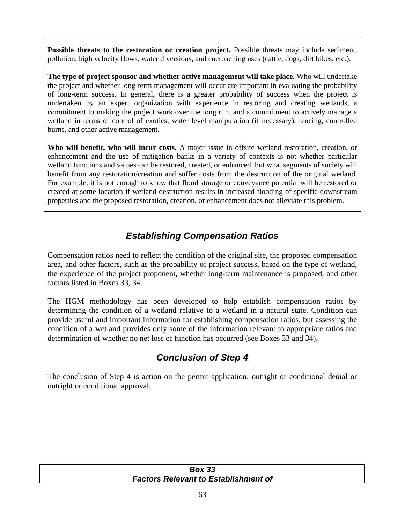**Possible threats to the restoration or creation project.** Possible threats may include sediment, pollution, high velocity flows, water diversions, and encroaching uses (cattle, dogs, dirt bikes, etc.).

**The type of project sponsor and whether active management will take place.** Who will undertake the project and whether long-term management will occur are important in evaluating the probability of long-term success. In general, there is a greater probability of success when the project is undertaken by an expert organization with experience in restoring and creating wetlands, a commitment to making the project work over the long run, and a commitment to actively manage a wetland in terms of control of exotics, water level manipulation (if necessary), fencing, controlled burns, and other active management.

**Who will benefit, who will incur costs.** A major issue in offsite wetland restoration, creation, or enhancement and the use of mitigation banks in a variety of contexts is not whether particular wetland functions and values can be restored, created, or enhanced, but what segments of society will benefit from any restoration/creation and suffer costs from the destruction of the original wetland. For example, it is not enough to know that flood storage or conveyance potential will be restored or created at some location if wetland destruction results in increased flooding of specific downstream properties and the proposed restoration, creation, or enhancement does not alleviate this problem.

# *Establishing Compensation Ratios*

Compensation ratios need to reflect the condition of the original site, the proposed compensation area, and other factors, such as the probability of project success, based on the type of wetland, the experience of the project proponent, whether long-term maintenance is proposed, and other factors listed in Boxes 33, 34.

The HGM methodology has been developed to help establish compensation ratios by determining the condition of a wetland relative to a wetland in a natural state. Condition can provide useful and important information for establishing compensation ratios, but assessing the condition of a wetland provides only some of the information relevant to appropriate ratios and determination of whether no net loss of function has occurred (see Boxes 33 and 34).

# *Conclusion of Step 4*

The conclusion of Step 4 is action on the permit application: outright or conditional denial or outright or conditional approval.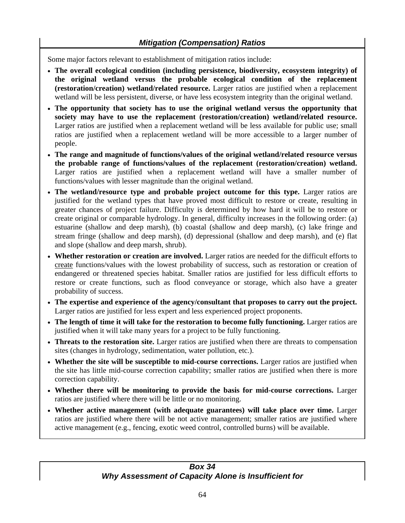Some major factors relevant to establishment of mitigation ratios include:

- **The overall ecological condition (including persistence, biodiversity, ecosystem integrity) of the original wetland versus the probable ecological condition of the replacement (restoration/creation) wetland/related resource.** Larger ratios are justified when a replacement wetland will be less persistent, diverse, or have less ecosystem integrity than the original wetland.
- **The opportunity that society has to use the original wetland versus the opportunity that society may have to use the replacement (restoration/creation) wetland/related resource.**  Larger ratios are justified when a replacement wetland will be less available for public use; small ratios are justified when a replacement wetland will be more accessible to a larger number of people.
- **The range and magnitude of functions/values of the original wetland/related resource versus the probable range of functions/values of the replacement (restoration/creation) wetland.**  Larger ratios are justified when a replacement wetland will have a smaller number of functions/values with lesser magnitude than the original wetland.
- **The wetland/resource type and probable project outcome for this type.** Larger ratios are justified for the wetland types that have proved most difficult to restore or create, resulting in greater chances of project failure. Difficulty is determined by how hard it will be to restore or create original or comparable hydrology. In general, difficulty increases in the following order: (a) estuarine (shallow and deep marsh), (b) coastal (shallow and deep marsh), (c) lake fringe and stream fringe (shallow and deep marsh), (d) depressional (shallow and deep marsh), and (e) flat and slope (shallow and deep marsh, shrub).
- **Whether restoration or creation are involved.** Larger ratios are needed for the difficult efforts to create functions/values with the lowest probability of success, such as restoration or creation of endangered or threatened species habitat. Smaller ratios are justified for less difficult efforts to restore or create functions, such as flood conveyance or storage, which also have a greater probability of success.
- **The expertise and experience of the agency/consultant that proposes to carry out the project.** Larger ratios are justified for less expert and less experienced project proponents.
- **The length of time it will take for the restoration to become fully functioning.** Larger ratios are justified when it will take many years for a project to be fully functioning.
- **Threats to the restoration site.** Larger ratios are justified when there are threats to compensation sites (changes in hydrology, sedimentation, water pollution, etc.).
- **Whether the site will be susceptible to mid-course corrections.** Larger ratios are justified when the site has little mid-course correction capability; smaller ratios are justified when there is more correction capability.
- **Whether there will be monitoring to provide the basis for mid-course corrections.** Larger ratios are justified where there will be little or no monitoring.
- **Whether active management (with adequate guarantees) will take place over time.** Larger ratios are justified where there will be not active management; smaller ratios are justified where active management (e.g., fencing, exotic weed control, controlled burns) will be available.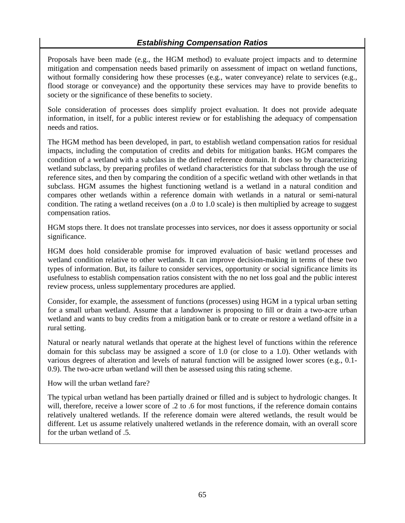Proposals have been made (e.g., the HGM method) to evaluate project impacts and to determine mitigation and compensation needs based primarily on assessment of impact on wetland functions, without formally considering how these processes (e.g., water conveyance) relate to services (e.g., flood storage or conveyance) and the opportunity these services may have to provide benefits to society or the significance of these benefits to society.

Sole consideration of processes does simplify project evaluation. It does not provide adequate information, in itself, for a public interest review or for establishing the adequacy of compensation needs and ratios.

The HGM method has been developed, in part, to establish wetland compensation ratios for residual impacts, including the computation of credits and debits for mitigation banks. HGM compares the condition of a wetland with a subclass in the defined reference domain. It does so by characterizing wetland subclass, by preparing profiles of wetland characteristics for that subclass through the use of reference sites, and then by comparing the condition of a specific wetland with other wetlands in that subclass. HGM assumes the highest functioning wetland is a wetland in a natural condition and compares other wetlands within a reference domain with wetlands in a natural or semi-natural condition. The rating a wetland receives (on a .0 to 1.0 scale) is then multiplied by acreage to suggest compensation ratios.

HGM stops there. It does not translate processes into services, nor does it assess opportunity or social significance.

HGM does hold considerable promise for improved evaluation of basic wetland processes and wetland condition relative to other wetlands. It can improve decision-making in terms of these two types of information. But, its failure to consider services, opportunity or social significance limits its usefulness to establish compensation ratios consistent with the no net loss goal and the public interest review process, unless supplementary procedures are applied.

Consider, for example, the assessment of functions (processes) using HGM in a typical urban setting for a small urban wetland. Assume that a landowner is proposing to fill or drain a two-acre urban wetland and wants to buy credits from a mitigation bank or to create or restore a wetland offsite in a rural setting.

Natural or nearly natural wetlands that operate at the highest level of functions within the reference domain for this subclass may be assigned a score of 1.0 (or close to a 1.0). Other wetlands with various degrees of alteration and levels of natural function will be assigned lower scores (e.g., 0.1- 0.9). The two-acre urban wetland will then be assessed using this rating scheme.

How will the urban wetland fare?

The typical urban wetland has been partially drained or filled and is subject to hydrologic changes. It will, therefore, receive a lower score of .2 to .6 for most functions, if the reference domain contains relatively unaltered wetlands. If the reference domain were altered wetlands, the result would be different. Let us assume relatively unaltered wetlands in the reference domain, with an overall score for the urban wetland of .5.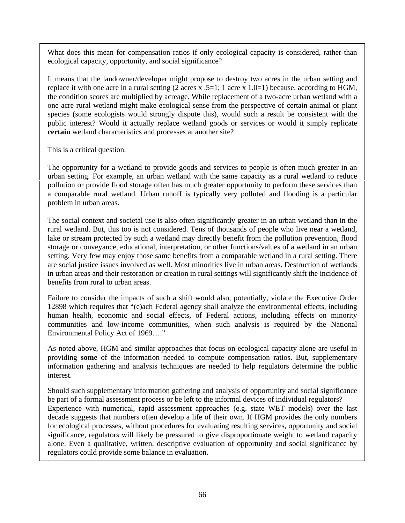What does this mean for compensation ratios if only ecological capacity is considered, rather than ecological capacity, opportunity, and social significance?

It means that the landowner/developer might propose to destroy two acres in the urban setting and replace it with one acre in a rural setting (2 acres x  $.5=1$ ; 1 acre x 1.0=1) because, according to HGM, the condition scores are multiplied by acreage. While replacement of a two-acre urban wetland with a one-acre rural wetland might make ecological sense from the perspective of certain animal or plant species (some ecologists would strongly dispute this), would such a result be consistent with the public interest? Would it actually replace wetland goods or services or would it simply replicate **certain** wetland characteristics and processes at another site?

This is a critical question.

The opportunity for a wetland to provide goods and services to people is often much greater in an urban setting. For example, an urban wetland with the same capacity as a rural wetland to reduce pollution or provide flood storage often has much greater opportunity to perform these services than a comparable rural wetland. Urban runoff is typically very polluted and flooding is a particular problem in urban areas.

The social context and societal use is also often significantly greater in an urban wetland than in the rural wetland. But, this too is not considered. Tens of thousands of people who live near a wetland, lake or stream protected by such a wetland may directly benefit from the pollution prevention, flood storage or conveyance, educational, interpretation, or other functions/values of a wetland in an urban setting. Very few may enjoy those same benefits from a comparable wetland in a rural setting. There are social justice issues involved as well. Most minorities live in urban areas. Destruction of wetlands in urban areas and their restoration or creation in rural settings will significantly shift the incidence of benefits from rural to urban areas.

Failure to consider the impacts of such a shift would also, potentially, violate the Executive Order 12898 which requires that "(e)ach Federal agency shall analyze the environmental effects, including human health, economic and social effects, of Federal actions, including effects on minority communities and low-income communities, when such analysis is required by the National Environmental Policy Act of 1969…."

As noted above, HGM and similar approaches that focus on ecological capacity alone are useful in providing **some** of the information needed to compute compensation ratios. But, supplementary information gathering and analysis techniques are needed to help regulators determine the public interest.

Should such supplementary information gathering and analysis of opportunity and social significance be part of a formal assessment process or be left to the informal devices of individual regulators? Experience with numerical, rapid assessment approaches (e.g. state WET models) over the last decade suggests that numbers often develop a life of their own. If HGM provides the only numbers for ecological processes, without procedures for evaluating resulting services, opportunity and social significance, regulators will likely be pressured to give disproportionate weight to wetland capacity alone. Even a qualitative, written, descriptive evaluation of opportunity and social significance by regulators could provide some balance in evaluation.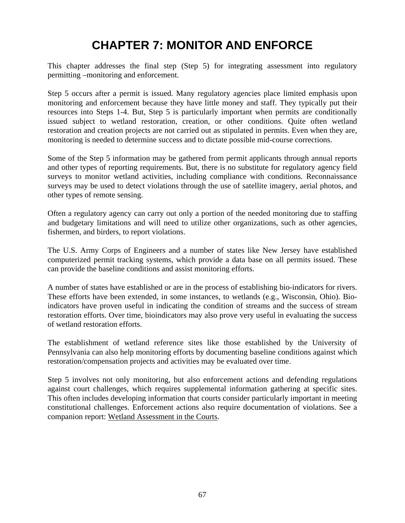# **CHAPTER 7: MONITOR AND ENFORCE**

This chapter addresses the final step (Step 5) for integrating assessment into regulatory permitting –monitoring and enforcement.

Step 5 occurs after a permit is issued. Many regulatory agencies place limited emphasis upon monitoring and enforcement because they have little money and staff. They typically put their resources into Steps 1-4. But, Step 5 is particularly important when permits are conditionally issued subject to wetland restoration, creation, or other conditions. Quite often wetland restoration and creation projects are not carried out as stipulated in permits. Even when they are, monitoring is needed to determine success and to dictate possible mid-course corrections.

Some of the Step 5 information may be gathered from permit applicants through annual reports and other types of reporting requirements. But, there is no substitute for regulatory agency field surveys to monitor wetland activities, including compliance with conditions. Reconnaissance surveys may be used to detect violations through the use of satellite imagery, aerial photos, and other types of remote sensing.

Often a regulatory agency can carry out only a portion of the needed monitoring due to staffing and budgetary limitations and will need to utilize other organizations, such as other agencies, fishermen, and birders, to report violations.

The U.S. Army Corps of Engineers and a number of states like New Jersey have established computerized permit tracking systems, which provide a data base on all permits issued. These can provide the baseline conditions and assist monitoring efforts.

A number of states have established or are in the process of establishing bio-indicators for rivers. These efforts have been extended, in some instances, to wetlands (e.g., Wisconsin, Ohio). Bioindicators have proven useful in indicating the condition of streams and the success of stream restoration efforts. Over time, bioindicators may also prove very useful in evaluating the success of wetland restoration efforts.

The establishment of wetland reference sites like those established by the University of Pennsylvania can also help monitoring efforts by documenting baseline conditions against which restoration/compensation projects and activities may be evaluated over time.

Step 5 involves not only monitoring, but also enforcement actions and defending regulations against court challenges, which requires supplemental information gathering at specific sites. This often includes developing information that courts consider particularly important in meeting constitutional challenges. Enforcement actions also require documentation of violations. See a companion report: Wetland Assessment in the Courts.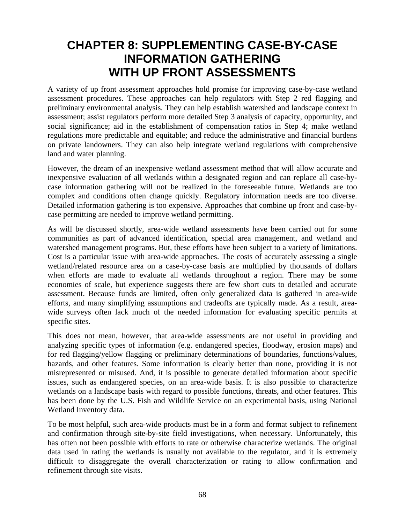## **CHAPTER 8: SUPPLEMENTING CASE-BY-CASE INFORMATION GATHERING WITH UP FRONT ASSESSMENTS**

A variety of up front assessment approaches hold promise for improving case-by-case wetland assessment procedures. These approaches can help regulators with Step 2 red flagging and preliminary environmental analysis. They can help establish watershed and landscape context in assessment; assist regulators perform more detailed Step 3 analysis of capacity, opportunity, and social significance; aid in the establishment of compensation ratios in Step 4; make wetland regulations more predictable and equitable; and reduce the administrative and financial burdens on private landowners. They can also help integrate wetland regulations with comprehensive land and water planning.

However, the dream of an inexpensive wetland assessment method that will allow accurate and inexpensive evaluation of all wetlands within a designated region and can replace all case-bycase information gathering will not be realized in the foreseeable future. Wetlands are too complex and conditions often change quickly. Regulatory information needs are too diverse. Detailed information gathering is too expensive. Approaches that combine up front and case-bycase permitting are needed to improve wetland permitting.

As will be discussed shortly, area-wide wetland assessments have been carried out for some communities as part of advanced identification, special area management, and wetland and watershed management programs. But, these efforts have been subject to a variety of limitations. Cost is a particular issue with area-wide approaches. The costs of accurately assessing a single wetland/related resource area on a case-by-case basis are multiplied by thousands of dollars when efforts are made to evaluate all wetlands throughout a region. There may be some economies of scale, but experience suggests there are few short cuts to detailed and accurate assessment. Because funds are limited, often only generalized data is gathered in area-wide efforts, and many simplifying assumptions and tradeoffs are typically made. As a result, areawide surveys often lack much of the needed information for evaluating specific permits at specific sites.

This does not mean, however, that area-wide assessments are not useful in providing and analyzing specific types of information (e.g. endangered species, floodway, erosion maps) and for red flagging/yellow flagging or preliminary determinations of boundaries, functions/values, hazards, and other features. Some information is clearly better than none, providing it is not misrepresented or misused. And, it is possible to generate detailed information about specific issues, such as endangered species, on an area-wide basis. It is also possible to characterize wetlands on a landscape basis with regard to possible functions, threats, and other features. This has been done by the U.S. Fish and Wildlife Service on an experimental basis, using National Wetland Inventory data.

To be most helpful, such area-wide products must be in a form and format subject to refinement and confirmation through site-by-site field investigations, when necessary. Unfortunately, this has often not been possible with efforts to rate or otherwise characterize wetlands. The original data used in rating the wetlands is usually not available to the regulator, and it is extremely difficult to disaggregate the overall characterization or rating to allow confirmation and refinement through site visits.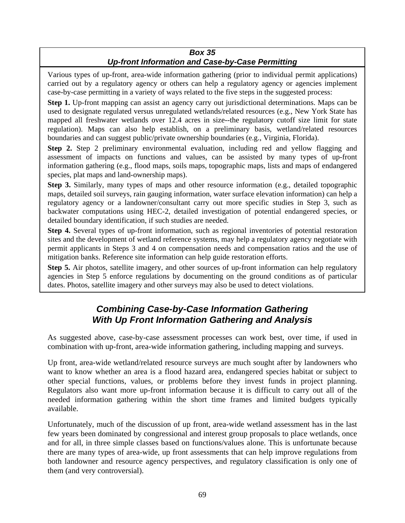#### *Box 35 Up-front Information and Case-by-Case Permitting*

Various types of up-front, area-wide information gathering (prior to individual permit applications) carried out by a regulatory agency or others can help a regulatory agency or agencies implement case-by-case permitting in a variety of ways related to the five steps in the suggested process:

**Step 1.** Up-front mapping can assist an agency carry out jurisdictional determinations. Maps can be used to designate regulated versus unregulated wetlands/related resources (e.g., New York State has mapped all freshwater wetlands over 12.4 acres in size--the regulatory cutoff size limit for state regulation). Maps can also help establish, on a preliminary basis, wetland/related resources boundaries and can suggest public/private ownership boundaries (e.g., Virginia, Florida).

**Step 2.** Step 2 preliminary environmental evaluation, including red and yellow flagging and assessment of impacts on functions and values, can be assisted by many types of up-front information gathering (e.g., flood maps, soils maps, topographic maps, lists and maps of endangered species, plat maps and land-ownership maps).

**Step 3.** Similarly, many types of maps and other resource information (e.g., detailed topographic maps, detailed soil surveys, rain gauging information, water surface elevation information) can help a regulatory agency or a landowner/consultant carry out more specific studies in Step 3, such as backwater computations using HEC-2, detailed investigation of potential endangered species, or detailed boundary identification, if such studies are needed.

**Step 4.** Several types of up-front information, such as regional inventories of potential restoration sites and the development of wetland reference systems, may help a regulatory agency negotiate with permit applicants in Steps 3 and 4 on compensation needs and compensation ratios and the use of mitigation banks. Reference site information can help guide restoration efforts.

**Step 5.** Air photos, satellite imagery, and other sources of up-front information can help regulatory agencies in Step 5 enforce regulations by documenting on the ground conditions as of particular dates. Photos, satellite imagery and other surveys may also be used to detect violations.

## *Combining Case-by-Case Information Gathering With Up Front Information Gathering and Analysis*

As suggested above, case-by-case assessment processes can work best, over time, if used in combination with up-front, area-wide information gathering, including mapping and surveys.

Up front, area-wide wetland/related resource surveys are much sought after by landowners who want to know whether an area is a flood hazard area, endangered species habitat or subject to other special functions, values, or problems before they invest funds in project planning. Regulators also want more up-front information because it is difficult to carry out all of the needed information gathering within the short time frames and limited budgets typically available.

Unfortunately, much of the discussion of up front, area-wide wetland assessment has in the last few years been dominated by congressional and interest group proposals to place wetlands, once and for all, in three simple classes based on functions/values alone. This is unfortunate because there are many types of area-wide, up front assessments that can help improve regulations from both landowner and resource agency perspectives, and regulatory classification is only one of them (and very controversial).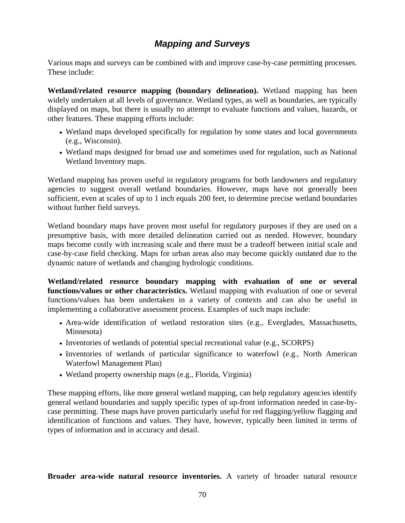### *Mapping and Surveys*

Various maps and surveys can be combined with and improve case-by-case permitting processes. These include:

**Wetland/related resource mapping (boundary delineation).** Wetland mapping has been widely undertaken at all levels of governance. Wetland types, as well as boundaries, are typically displayed on maps, but there is usually no attempt to evaluate functions and values, hazards, or other features. These mapping efforts include:

- Wetland maps developed specifically for regulation by some states and local governments (e.g., Wisconsin).
- Wetland maps designed for broad use and sometimes used for regulation, such as National Wetland Inventory maps.

Wetland mapping has proven useful in regulatory programs for both landowners and regulatory agencies to suggest overall wetland boundaries. However, maps have not generally been sufficient, even at scales of up to 1 inch equals 200 feet, to determine precise wetland boundaries without further field surveys.

Wetland boundary maps have proven most useful for regulatory purposes if they are used on a presumptive basis, with more detailed delineation carried out as needed. However, boundary maps become costly with increasing scale and there must be a tradeoff between initial scale and case-by-case field checking. Maps for urban areas also may become quickly outdated due to the dynamic nature of wetlands and changing hydrologic conditions.

**Wetland/related resource boundary mapping with evaluation of one or several functions/values or other characteristics.** Wetland mapping with evaluation of one or several functions/values has been undertaken in a variety of contexts and can also be useful in implementing a collaborative assessment process. Examples of such maps include:

- Area-wide identification of wetland restoration sites (e.g., Everglades, Massachusetts, Minnesota)
- Inventories of wetlands of potential special recreational value (e.g., SCORPS)
- Inventories of wetlands of particular significance to waterfowl (e.g., North American Waterfowl Management Plan)
- Wetland property ownership maps (e.g., Florida, Virginia)

These mapping efforts, like more general wetland mapping, can help regulatory agencies identify general wetland boundaries and supply specific types of up-front information needed in case-bycase permitting. These maps have proven particularly useful for red flagging/yellow flagging and identification of functions and values. They have, however, typically been limited in terms of types of information and in accuracy and detail.

**Broader area-wide natural resource inventories.** A variety of broader natural resource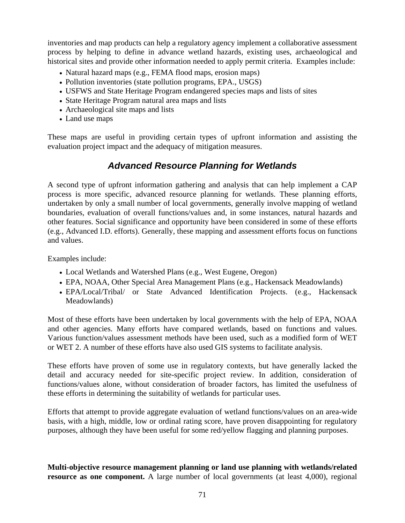inventories and map products can help a regulatory agency implement a collaborative assessment process by helping to define in advance wetland hazards, existing uses, archaeological and historical sites and provide other information needed to apply permit criteria. Examples include:

- Natural hazard maps (e.g., FEMA flood maps, erosion maps)
- Pollution inventories (state pollution programs, EPA., USGS)
- USFWS and State Heritage Program endangered species maps and lists of sites
- State Heritage Program natural area maps and lists
- Archaeological site maps and lists
- Land use maps

These maps are useful in providing certain types of upfront information and assisting the evaluation project impact and the adequacy of mitigation measures.

### *Advanced Resource Planning for Wetlands*

A second type of upfront information gathering and analysis that can help implement a CAP process is more specific, advanced resource planning for wetlands. These planning efforts, undertaken by only a small number of local governments, generally involve mapping of wetland boundaries, evaluation of overall functions/values and, in some instances, natural hazards and other features. Social significance and opportunity have been considered in some of these efforts (e.g., Advanced I.D. efforts). Generally, these mapping and assessment efforts focus on functions and values.

Examples include:

- Local Wetlands and Watershed Plans (e.g., West Eugene, Oregon)
- EPA, NOAA, Other Special Area Management Plans (e.g., Hackensack Meadowlands)
- EPA/Local/Tribal/ or State Advanced Identification Projects. (e.g., Hackensack Meadowlands)

Most of these efforts have been undertaken by local governments with the help of EPA, NOAA and other agencies. Many efforts have compared wetlands, based on functions and values. Various function/values assessment methods have been used, such as a modified form of WET or WET 2. A number of these efforts have also used GIS systems to facilitate analysis.

These efforts have proven of some use in regulatory contexts, but have generally lacked the detail and accuracy needed for site-specific project review. In addition, consideration of functions/values alone, without consideration of broader factors, has limited the usefulness of these efforts in determining the suitability of wetlands for particular uses.

Efforts that attempt to provide aggregate evaluation of wetland functions/values on an area-wide basis, with a high, middle, low or ordinal rating score, have proven disappointing for regulatory purposes, although they have been useful for some red/yellow flagging and planning purposes.

**Multi-objective resource management planning or land use planning with wetlands/related resource as one component.** A large number of local governments (at least 4,000), regional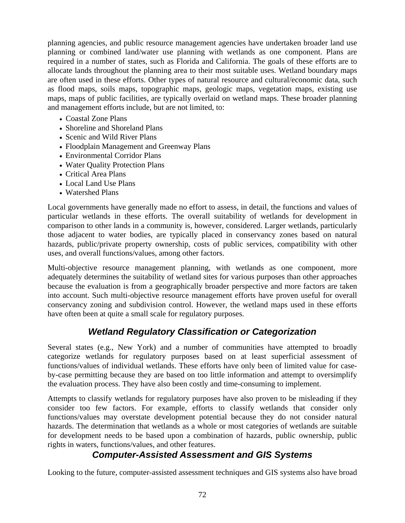planning agencies, and public resource management agencies have undertaken broader land use planning or combined land/water use planning with wetlands as one component. Plans are required in a number of states, such as Florida and California. The goals of these efforts are to allocate lands throughout the planning area to their most suitable uses. Wetland boundary maps are often used in these efforts. Other types of natural resource and cultural/economic data, such as flood maps, soils maps, topographic maps, geologic maps, vegetation maps, existing use maps, maps of public facilities, are typically overlaid on wetland maps. These broader planning and management efforts include, but are not limited, to:

- Coastal Zone Plans
- Shoreline and Shoreland Plans
- Scenic and Wild River Plans
- Floodplain Management and Greenway Plans
- Environmental Corridor Plans
- Water Quality Protection Plans
- Critical Area Plans
- Local Land Use Plans
- Watershed Plans

Local governments have generally made no effort to assess, in detail, the functions and values of particular wetlands in these efforts. The overall suitability of wetlands for development in comparison to other lands in a community is, however, considered. Larger wetlands, particularly those adjacent to water bodies, are typically placed in conservancy zones based on natural hazards, public/private property ownership, costs of public services, compatibility with other uses, and overall functions/values, among other factors.

Multi-objective resource management planning, with wetlands as one component, more adequately determines the suitability of wetland sites for various purposes than other approaches because the evaluation is from a geographically broader perspective and more factors are taken into account. Such multi-objective resource management efforts have proven useful for overall conservancy zoning and subdivision control. However, the wetland maps used in these efforts have often been at quite a small scale for regulatory purposes.

### *Wetland Regulatory Classification or Categorization*

Several states (e.g., New York) and a number of communities have attempted to broadly categorize wetlands for regulatory purposes based on at least superficial assessment of functions/values of individual wetlands. These efforts have only been of limited value for caseby-case permitting because they are based on too little information and attempt to oversimplify the evaluation process. They have also been costly and time-consuming to implement.

Attempts to classify wetlands for regulatory purposes have also proven to be misleading if they consider too few factors. For example, efforts to classify wetlands that consider only functions/values may overstate development potential because they do not consider natural hazards. The determination that wetlands as a whole or most categories of wetlands are suitable for development needs to be based upon a combination of hazards, public ownership, public rights in waters, functions/values, and other features.

### *Computer-Assisted Assessment and GIS Systems*

Looking to the future, computer-assisted assessment techniques and GIS systems also have broad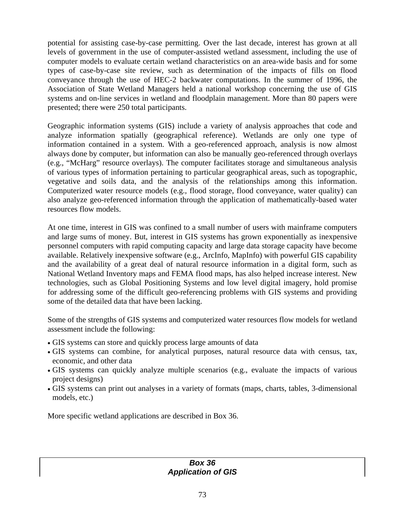potential for assisting case-by-case permitting. Over the last decade, interest has grown at all levels of government in the use of computer-assisted wetland assessment, including the use of computer models to evaluate certain wetland characteristics on an area-wide basis and for some types of case-by-case site review, such as determination of the impacts of fills on flood conveyance through the use of HEC-2 backwater computations. In the summer of 1996, the Association of State Wetland Managers held a national workshop concerning the use of GIS systems and on-line services in wetland and floodplain management. More than 80 papers were presented; there were 250 total participants.

Geographic information systems (GIS) include a variety of analysis approaches that code and analyze information spatially (geographical reference). Wetlands are only one type of information contained in a system. With a geo-referenced approach, analysis is now almost always done by computer, but information can also be manually geo-referenced through overlays (e.g., "McHarg" resource overlays). The computer facilitates storage and simultaneous analysis of various types of information pertaining to particular geographical areas, such as topographic, vegetative and soils data, and the analysis of the relationships among this information. Computerized water resource models (e.g., flood storage, flood conveyance, water quality) can also analyze geo-referenced information through the application of mathematically-based water resources flow models.

At one time, interest in GIS was confined to a small number of users with mainframe computers and large sums of money. But, interest in GIS systems has grown exponentially as inexpensive personnel computers with rapid computing capacity and large data storage capacity have become available. Relatively inexpensive software (e.g., ArcInfo, MapInfo) with powerful GIS capability and the availability of a great deal of natural resource information in a digital form, such as National Wetland Inventory maps and FEMA flood maps, has also helped increase interest. New technologies, such as Global Positioning Systems and low level digital imagery, hold promise for addressing some of the difficult geo-referencing problems with GIS systems and providing some of the detailed data that have been lacking.

Some of the strengths of GIS systems and computerized water resources flow models for wetland assessment include the following:

- GIS systems can store and quickly process large amounts of data
- GIS systems can combine, for analytical purposes, natural resource data with census, tax, economic, and other data
- GIS systems can quickly analyze multiple scenarios (e.g., evaluate the impacts of various project designs)
- GIS systems can print out analyses in a variety of formats (maps, charts, tables, 3-dimensional models, etc.)

More specific wetland applications are described in Box 36.

#### *Box 36 Application of GIS*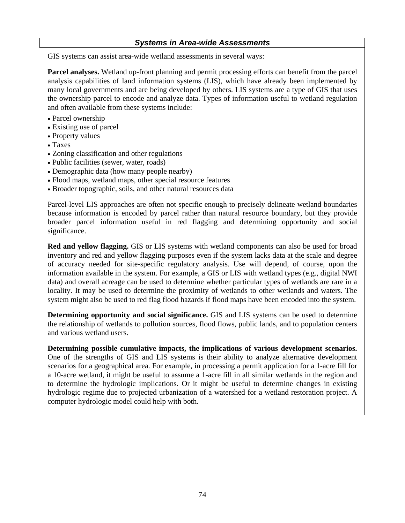#### *Systems in Area-wide Assessments*

GIS systems can assist area-wide wetland assessments in several ways:

**Parcel analyses.** Wetland up-front planning and permit processing efforts can benefit from the parcel analysis capabilities of land information systems (LIS), which have already been implemented by many local governments and are being developed by others. LIS systems are a type of GIS that uses the ownership parcel to encode and analyze data. Types of information useful to wetland regulation and often available from these systems include:

- Parcel ownership
- Existing use of parcel
- Property values
- Taxes
- Zoning classification and other regulations
- Public facilities (sewer, water, roads)
- Demographic data (how many people nearby)
- Flood maps, wetland maps, other special resource features
- Broader topographic, soils, and other natural resources data

Parcel-level LIS approaches are often not specific enough to precisely delineate wetland boundaries because information is encoded by parcel rather than natural resource boundary, but they provide broader parcel information useful in red flagging and determining opportunity and social significance.

**Red and yellow flagging.** GIS or LIS systems with wetland components can also be used for broad inventory and red and yellow flagging purposes even if the system lacks data at the scale and degree of accuracy needed for site-specific regulatory analysis. Use will depend, of course, upon the information available in the system. For example, a GIS or LIS with wetland types (e.g., digital NWI data) and overall acreage can be used to determine whether particular types of wetlands are rare in a locality. It may be used to determine the proximity of wetlands to other wetlands and waters. The system might also be used to red flag flood hazards if flood maps have been encoded into the system.

**Determining opportunity and social significance.** GIS and LIS systems can be used to determine the relationship of wetlands to pollution sources, flood flows, public lands, and to population centers and various wetland users.

**Determining possible cumulative impacts, the implications of various development scenarios.** One of the strengths of GIS and LIS systems is their ability to analyze alternative development scenarios for a geographical area. For example, in processing a permit application for a 1-acre fill for a 10-acre wetland, it might be useful to assume a 1-acre fill in all similar wetlands in the region and to determine the hydrologic implications. Or it might be useful to determine changes in existing hydrologic regime due to projected urbanization of a watershed for a wetland restoration project. A computer hydrologic model could help with both.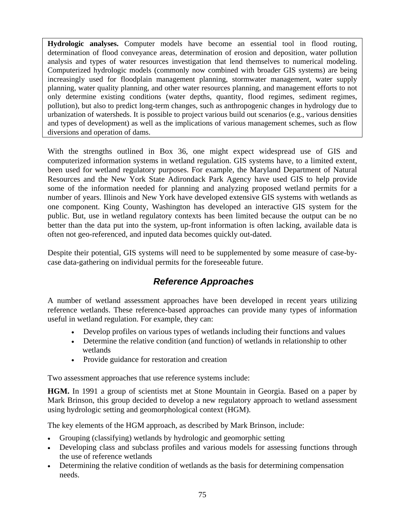**Hydrologic analyses.** Computer models have become an essential tool in flood routing, determination of flood conveyance areas, determination of erosion and deposition, water pollution analysis and types of water resources investigation that lend themselves to numerical modeling. Computerized hydrologic models (commonly now combined with broader GIS systems) are being increasingly used for floodplain management planning, stormwater management, water supply planning, water quality planning, and other water resources planning, and management efforts to not only determine existing conditions (water depths, quantity, flood regimes, sediment regimes, pollution), but also to predict long-term changes, such as anthropogenic changes in hydrology due to urbanization of watersheds. It is possible to project various build out scenarios (e.g., various densities and types of development) as well as the implications of various management schemes, such as flow diversions and operation of dams.

With the strengths outlined in Box 36, one might expect widespread use of GIS and computerized information systems in wetland regulation. GIS systems have, to a limited extent, been used for wetland regulatory purposes. For example, the Maryland Department of Natural Resources and the New York State Adirondack Park Agency have used GIS to help provide some of the information needed for planning and analyzing proposed wetland permits for a number of years. Illinois and New York have developed extensive GIS systems with wetlands as one component. King County, Washington has developed an interactive GIS system for the public. But, use in wetland regulatory contexts has been limited because the output can be no better than the data put into the system, up-front information is often lacking, available data is often not geo-referenced, and inputed data becomes quickly out-dated.

Despite their potential, GIS systems will need to be supplemented by some measure of case-bycase data-gathering on individual permits for the foreseeable future.

## *Reference Approaches*

A number of wetland assessment approaches have been developed in recent years utilizing reference wetlands. These reference-based approaches can provide many types of information useful in wetland regulation. For example, they can:

- Develop profiles on various types of wetlands including their functions and values
- Determine the relative condition (and function) of wetlands in relationship to other wetlands
- Provide guidance for restoration and creation

Two assessment approaches that use reference systems include:

**HGM.** In 1991 a group of scientists met at Stone Mountain in Georgia. Based on a paper by Mark Brinson, this group decided to develop a new regulatory approach to wetland assessment using hydrologic setting and geomorphological context (HGM).

The key elements of the HGM approach, as described by Mark Brinson, include:

- Grouping (classifying) wetlands by hydrologic and geomorphic setting
- Developing class and subclass profiles and various models for assessing functions through the use of reference wetlands
- Determining the relative condition of wetlands as the basis for determining compensation needs.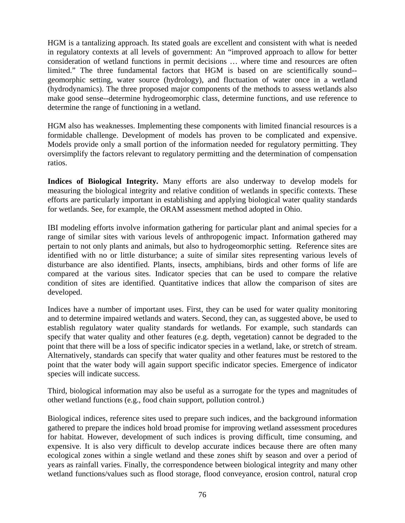HGM is a tantalizing approach. Its stated goals are excellent and consistent with what is needed in regulatory contexts at all levels of government: An "improved approach to allow for better consideration of wetland functions in permit decisions … where time and resources are often limited." The three fundamental factors that HGM is based on are scientifically sound- geomorphic setting, water source (hydrology), and fluctuation of water once in a wetland (hydrodynamics). The three proposed major components of the methods to assess wetlands also make good sense--determine hydrogeomorphic class, determine functions, and use reference to determine the range of functioning in a wetland.

HGM also has weaknesses. Implementing these components with limited financial resources is a formidable challenge. Development of models has proven to be complicated and expensive. Models provide only a small portion of the information needed for regulatory permitting. They oversimplify the factors relevant to regulatory permitting and the determination of compensation ratios.

**Indices of Biological Integrity.** Many efforts are also underway to develop models for measuring the biological integrity and relative condition of wetlands in specific contexts. These efforts are particularly important in establishing and applying biological water quality standards for wetlands. See, for example, the ORAM assessment method adopted in Ohio.

IBI modeling efforts involve information gathering for particular plant and animal species for a range of similar sites with various levels of anthropogenic impact. Information gathered may pertain to not only plants and animals, but also to hydrogeomorphic setting. Reference sites are identified with no or little disturbance; a suite of similar sites representing various levels of disturbance are also identified. Plants, insects, amphibians, birds and other forms of life are compared at the various sites. Indicator species that can be used to compare the relative condition of sites are identified. Quantitative indices that allow the comparison of sites are developed.

Indices have a number of important uses. First, they can be used for water quality monitoring and to determine impaired wetlands and waters. Second, they can, as suggested above, be used to establish regulatory water quality standards for wetlands. For example, such standards can specify that water quality and other features (e.g. depth, vegetation) cannot be degraded to the point that there will be a loss of specific indicator species in a wetland, lake, or stretch of stream. Alternatively, standards can specify that water quality and other features must be restored to the point that the water body will again support specific indicator species. Emergence of indicator species will indicate success.

Third, biological information may also be useful as a surrogate for the types and magnitudes of other wetland functions (e.g., food chain support, pollution control.)

Biological indices, reference sites used to prepare such indices, and the background information gathered to prepare the indices hold broad promise for improving wetland assessment procedures for habitat. However, development of such indices is proving difficult, time consuming, and expensive. It is also very difficult to develop accurate indices because there are often many ecological zones within a single wetland and these zones shift by season and over a period of years as rainfall varies. Finally, the correspondence between biological integrity and many other wetland functions/values such as flood storage, flood conveyance, erosion control, natural crop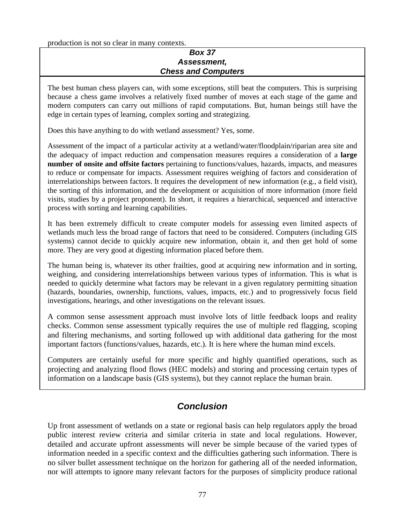production is not so clear in many contexts.

#### *Box 37 Assessment, Chess and Computers*

The best human chess players can, with some exceptions, still beat the computers. This is surprising because a chess game involves a relatively fixed number of moves at each stage of the game and modern computers can carry out millions of rapid computations. But, human beings still have the edge in certain types of learning, complex sorting and strategizing.

Does this have anything to do with wetland assessment? Yes, some.

Assessment of the impact of a particular activity at a wetland/water/floodplain/riparian area site and the adequacy of impact reduction and compensation measures requires a consideration of a **large number of onsite and offsite factors** pertaining to functions/values, hazards, impacts, and measures to reduce or compensate for impacts. Assessment requires weighing of factors and consideration of interrelationships between factors. It requires the development of new information (e.g., a field visit), the sorting of this information, and the development or acquisition of more information (more field visits, studies by a project proponent). In short, it requires a hierarchical, sequenced and interactive process with sorting and learning capabilities.

It has been extremely difficult to create computer models for assessing even limited aspects of wetlands much less the broad range of factors that need to be considered. Computers (including GIS systems) cannot decide to quickly acquire new information, obtain it, and then get hold of some more. They are very good at digesting information placed before them.

The human being is, whatever its other frailties, good at acquiring new information and in sorting, weighing, and considering interrelationships between various types of information. This is what is needed to quickly determine what factors may be relevant in a given regulatory permitting situation (hazards, boundaries, ownership, functions, values, impacts, etc.) and to progressively focus field investigations, hearings, and other investigations on the relevant issues.

A common sense assessment approach must involve lots of little feedback loops and reality checks. Common sense assessment typically requires the use of multiple red flagging, scoping and filtering mechanisms, and sorting followed up with additional data gathering for the most important factors (functions/values, hazards, etc.). It is here where the human mind excels.

Computers are certainly useful for more specific and highly quantified operations, such as projecting and analyzing flood flows (HEC models) and storing and processing certain types of information on a landscape basis (GIS systems), but they cannot replace the human brain.

## *Conclusion*

Up front assessment of wetlands on a state or regional basis can help regulators apply the broad public interest review criteria and similar criteria in state and local regulations. However, detailed and accurate upfront assessments will never be simple because of the varied types of information needed in a specific context and the difficulties gathering such information. There is no silver bullet assessment technique on the horizon for gathering all of the needed information, nor will attempts to ignore many relevant factors for the purposes of simplicity produce rational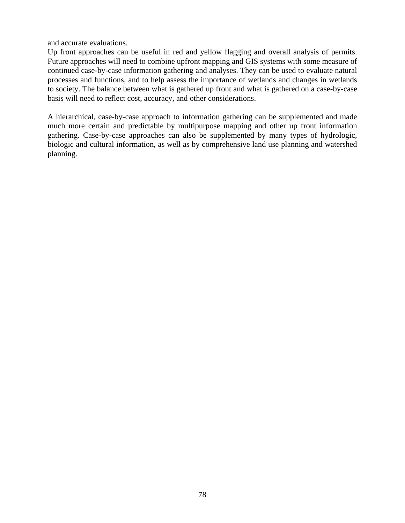and accurate evaluations.

Up front approaches can be useful in red and yellow flagging and overall analysis of permits. Future approaches will need to combine upfront mapping and GIS systems with some measure of continued case-by-case information gathering and analyses. They can be used to evaluate natural processes and functions, and to help assess the importance of wetlands and changes in wetlands to society. The balance between what is gathered up front and what is gathered on a case-by-case basis will need to reflect cost, accuracy, and other considerations.

A hierarchical, case-by-case approach to information gathering can be supplemented and made much more certain and predictable by multipurpose mapping and other up front information gathering. Case-by-case approaches can also be supplemented by many types of hydrologic, biologic and cultural information, as well as by comprehensive land use planning and watershed planning.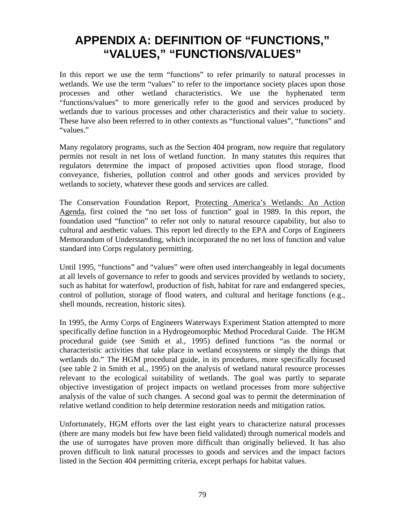## **APPENDIX A: DEFINITION OF "FUNCTIONS," "VALUES," "FUNCTIONS/VALUES"**

In this report we use the term "functions" to refer primarily to natural processes in wetlands. We use the term "values" to refer to the importance society places upon those processes and other wetland characteristics. We use the hyphenated term "functions/values" to more generically refer to the good and services produced by wetlands due to various processes and other characteristics and their value to society. These have also been referred to in other contexts as "functional values", "functions" and "values."

Many regulatory programs, such as the Section 404 program, now require that regulatory permits not result in net loss of wetland function. In many statutes this requires that regulators determine the impact of proposed activities upon flood storage, flood conveyance, fisheries, pollution control and other goods and services provided by wetlands to society, whatever these goods and services are called.

The Conservation Foundation Report, Protecting America's Wetlands: An Action Agenda, first coined the "no net loss of function" goal in 1989. In this report, the foundation used "function" to refer not only to natural resource capability, but also to cultural and aesthetic values. This report led directly to the EPA and Corps of Engineers Memorandum of Understanding, which incorporated the no net loss of function and value standard into Corps regulatory permitting.

Until 1995, "functions" and "values" were often used interchangeably in legal documents at all levels of governance to refer to goods and services provided by wetlands to society, such as habitat for waterfowl, production of fish, habitat for rare and endangered species, control of pollution, storage of flood waters, and cultural and heritage functions (e.g., shell mounds, recreation, historic sites).

In 1995, the Army Corps of Engineers Waterways Experiment Station attempted to more specifically define function in a Hydrogeomorphic Method Procedural Guide. The HGM procedural guide (see Smith et al., 1995) defined functions "as the normal or characteristic activities that take place in wetland ecosystems or simply the things that wetlands do." The HGM procedural guide, in its procedures, more specifically focused (see table 2 in Smith et al., 1995) on the analysis of wetland natural resource processes relevant to the ecological suitability of wetlands. The goal was partly to separate objective investigation of project impacts on wetland processes from more subjective analysis of the value of such changes. A second goal was to permit the determination of relative wetland condition to help determine restoration needs and mitigation ratios.

Unfortunately, HGM efforts over the last eight years to characterize natural processes (there are many models but few have been field validated) through numerical models and the use of surrogates have proven more difficult than originally believed. It has also proven difficult to link natural processes to goods and services and the impact factors listed in the Section 404 permitting criteria, except perhaps for habitat values.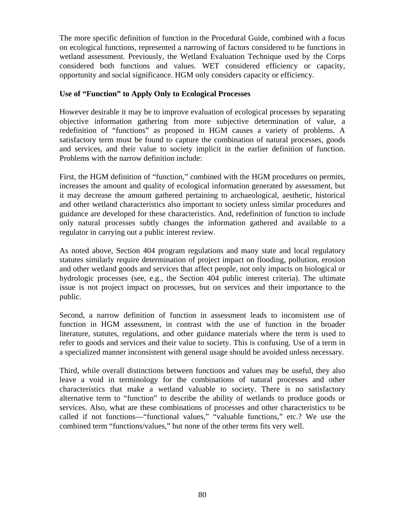The more specific definition of function in the Procedural Guide, combined with a focus on ecological functions, represented a narrowing of factors considered to be functions in wetland assessment. Previously, the Wetland Evaluation Technique used by the Corps considered both functions and values. WET considered efficiency or capacity, opportunity and social significance. HGM only considers capacity or efficiency.

#### **Use of "Function" to Apply Only to Ecological Processes**

However desirable it may be to improve evaluation of ecological processes by separating objective information gathering from more subjective determination of value, a redefinition of "functions" as proposed in HGM causes a variety of problems. A satisfactory term must be found to capture the combination of natural processes, goods and services, and their value to society implicit in the earlier definition of function. Problems with the narrow definition include:

First, the HGM definition of "function," combined with the HGM procedures on permits, increases the amount and quality of ecological information generated by assessment, but it may decrease the amount gathered pertaining to archaeological, aesthetic, historical and other wetland characteristics also important to society unless similar procedures and guidance are developed for these characteristics. And, redefinition of function to include only natural processes subtly changes the information gathered and available to a regulator in carrying out a public interest review.

As noted above, Section 404 program regulations and many state and local regulatory statutes similarly require determination of project impact on flooding, pollution, erosion and other wetland goods and services that affect people, not only impacts on biological or hydrologic processes (see, e.g., the Section 404 public interest criteria). The ultimate issue is not project impact on processes, but on services and their importance to the public.

Second, a narrow definition of function in assessment leads to inconsistent use of function in HGM assessment, in contrast with the use of function in the broader literature, statutes, regulations, and other guidance materials where the term is used to refer to goods and services and their value to society. This is confusing. Use of a term in a specialized manner inconsistent with general usage should be avoided unless necessary.

Third, while overall distinctions between functions and values may be useful, they also leave a void in terminology for the combinations of natural processes and other characteristics that make a wetland valuable to society. There is no satisfactory alternative term to "function" to describe the ability of wetlands to produce goods or services. Also, what are these combinations of processes and other characteristics to be called if not functions—"functional values," "valuable functions," etc.? We use the combined term "functions/values," but none of the other terms fits very well.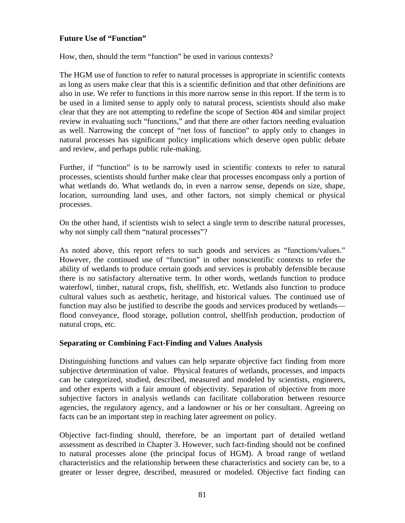#### **Future Use of "Function"**

How, then, should the term "function" be used in various contexts?

The HGM use of function to refer to natural processes is appropriate in scientific contexts as long as users make clear that this is a scientific definition and that other definitions are also in use. We refer to functions in this more narrow sense in this report. If the term is to be used in a limited sense to apply only to natural process, scientists should also make clear that they are not attempting to redefine the scope of Section 404 and similar project review in evaluating such "functions," and that there are other factors needing evaluation as well. Narrowing the concept of "net loss of function" to apply only to changes in natural processes has significant policy implications which deserve open public debate and review, and perhaps public rule-making.

Further, if "function" is to be narrowly used in scientific contexts to refer to natural processes, scientists should further make clear that processes encompass only a portion of what wetlands do. What wetlands do, in even a narrow sense, depends on size, shape, location, surrounding land uses, and other factors, not simply chemical or physical processes.

On the other hand, if scientists wish to select a single term to describe natural processes, why not simply call them "natural processes"?

As noted above, this report refers to such goods and services as "functions/values." However, the continued use of "function" in other nonscientific contexts to refer the ability of wetlands to produce certain goods and services is probably defensible because there is no satisfactory alternative term. In other words, wetlands function to produce waterfowl, timber, natural crops, fish, shellfish, etc. Wetlands also function to produce cultural values such as aesthetic, heritage, and historical values. The continued use of function may also be justified to describe the goods and services produced by wetlands flood conveyance, flood storage, pollution control, shellfish production, production of natural crops, etc.

#### **Separating or Combining Fact-Finding and Values Analysis**

Distinguishing functions and values can help separate objective fact finding from more subjective determination of value. Physical features of wetlands, processes, and impacts can be categorized, studied, described, measured and modeled by scientists, engineers, and other experts with a fair amount of objectivity. Separation of objective from more subjective factors in analysis wetlands can facilitate collaboration between resource agencies, the regulatory agency, and a landowner or his or her consultant. Agreeing on facts can be an important step in reaching later agreement on policy.

Objective fact-finding should, therefore, be an important part of detailed wetland assessment as described in Chapter 3. However, such fact-finding should not be confined to natural processes alone (the principal focus of HGM). A broad range of wetland characteristics and the relationship between these characteristics and society can be, to a greater or lesser degree, described, measured or modeled. Objective fact finding can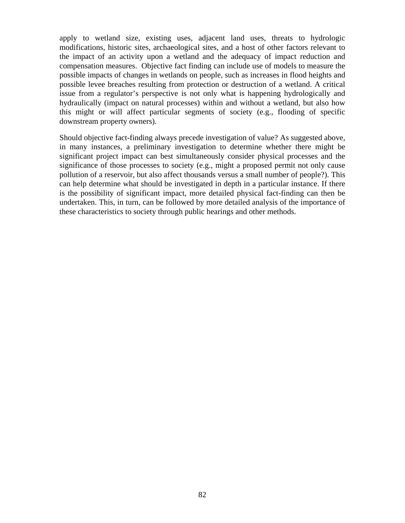apply to wetland size, existing uses, adjacent land uses, threats to hydrologic modifications, historic sites, archaeological sites, and a host of other factors relevant to the impact of an activity upon a wetland and the adequacy of impact reduction and compensation measures. Objective fact finding can include use of models to measure the possible impacts of changes in wetlands on people, such as increases in flood heights and possible levee breaches resulting from protection or destruction of a wetland. A critical issue from a regulator's perspective is not only what is happening hydrologically and hydraulically (impact on natural processes) within and without a wetland, but also how this might or will affect particular segments of society (e.g., flooding of specific downstream property owners).

Should objective fact-finding always precede investigation of value? As suggested above, in many instances, a preliminary investigation to determine whether there might be significant project impact can best simultaneously consider physical processes and the significance of those processes to society (e.g., might a proposed permit not only cause pollution of a reservoir, but also affect thousands versus a small number of people?). This can help determine what should be investigated in depth in a particular instance. If there is the possibility of significant impact, more detailed physical fact-finding can then be undertaken. This, in turn, can be followed by more detailed analysis of the importance of these characteristics to society through public hearings and other methods.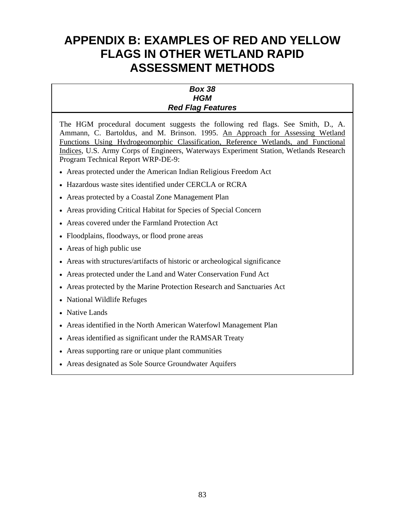## **APPENDIX B: EXAMPLES OF RED AND YELLOW FLAGS IN OTHER WETLAND RAPID ASSESSMENT METHODS**

#### *Box 38 HGM Red Flag Features*

The HGM procedural document suggests the following red flags. See Smith, D., A. Ammann, C. Bartoldus, and M. Brinson. 1995. An Approach for Assessing Wetland Functions Using Hydrogeomorphic Classification, Reference Wetlands, and Functional Indices, U.S. Army Corps of Engineers, Waterways Experiment Station, Wetlands Research Program Technical Report WRP-DE-9:

- Areas protected under the American Indian Religious Freedom Act
- Hazardous waste sites identified under CERCLA or RCRA
- Areas protected by a Coastal Zone Management Plan
- Areas providing Critical Habitat for Species of Special Concern
- Areas covered under the Farmland Protection Act
- Floodplains, floodways, or flood prone areas
- Areas of high public use
- Areas with structures/artifacts of historic or archeological significance
- Areas protected under the Land and Water Conservation Fund Act
- Areas protected by the Marine Protection Research and Sanctuaries Act
- National Wildlife Refuges
- Native Lands
- Areas identified in the North American Waterfowl Management Plan
- Areas identified as significant under the RAMSAR Treaty
- Areas supporting rare or unique plant communities
- Areas designated as Sole Source Groundwater Aquifers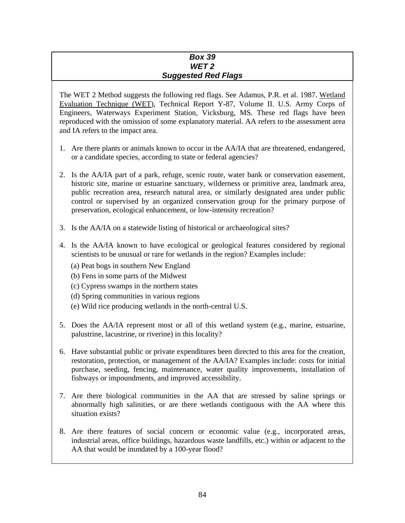#### *Box 39 WET 2 Suggested Red Flags*

The WET 2 Method suggests the following red flags. See Adamus, P.R. et al. 1987. Wetland Evaluation Technique (WET), Technical Report Y-87, Volume II. U.S. Army Corps of Engineers, Waterways Experiment Station, Vicksburg, MS. These red flags have been reproduced with the omission of some explanatory material. AA refers to the assessment area and IA refers to the impact area.

- 1. Are there plants or animals known to occur in the AA/IA that are threatened, endangered, or a candidate species, according to state or federal agencies?
- 2. Is the AA/IA part of a park, refuge, scenic route, water bank or conservation easement, historic site, marine or estuarine sanctuary, wilderness or primitive area, landmark area, public recreation area, research natural area, or similarly designated area under public control or supervised by an organized conservation group for the primary purpose of preservation, ecological enhancement, or low-intensity recreation?
- 3. Is the AA/IA on a statewide listing of historical or archaeological sites?
- 4. Is the AA/IA known to have ecological or geological features considered by regional scientists to be unusual or rare for wetlands in the region? Examples include:
	- (a) Peat bogs in southern New England
	- (b) Fens in some parts of the Midwest
	- (c) Cypress swamps in the northern states
	- (d) Spring communities in various regions
	- (e) Wild rice producing wetlands in the north-central U.S.
- 5. Does the AA/IA represent most or all of this wetland system (e.g., marine, estuarine, palustrine, lacustrine, or riverine) in this locality?
- 6. Have substantial public or private expenditures been directed to this area for the creation, restoration, protection, or management of the AA/IA? Examples include: costs for initial purchase, seeding, fencing, maintenance, water quality improvements, installation of fishways or impoundments, and improved accessibility.
- 7. Are there biological communities in the AA that are stressed by saline springs or abnormally high salinities, or are there wetlands contiguous with the AA where this situation exists?
- 8. Are there features of social concern or economic value (e.g., incorporated areas, industrial areas, office buildings, hazardous waste landfills, etc.) within or adjacent to the AA that would be inundated by a 100-year flood?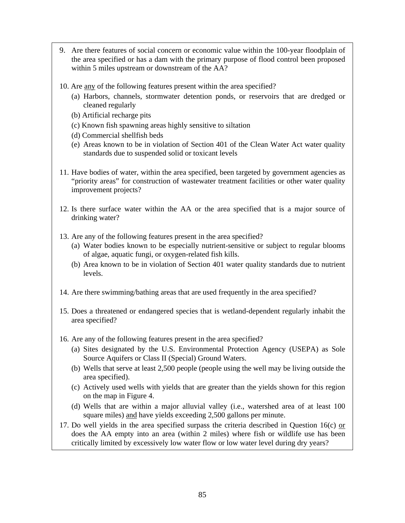- 9. Are there features of social concern or economic value within the 100-year floodplain of the area specified or has a dam with the primary purpose of flood control been proposed within 5 miles upstream or downstream of the AA?
- 10. Are any of the following features present within the area specified?
	- (a) Harbors, channels, stormwater detention ponds, or reservoirs that are dredged or cleaned regularly
	- (b) Artificial recharge pits
	- (c) Known fish spawning areas highly sensitive to siltation
	- (d) Commercial shellfish beds
	- (e) Areas known to be in violation of Section 401 of the Clean Water Act water quality standards due to suspended solid or toxicant levels
- 11. Have bodies of water, within the area specified, been targeted by government agencies as "priority areas" for construction of wastewater treatment facilities or other water quality improvement projects?
- 12. Is there surface water within the AA or the area specified that is a major source of drinking water?
- 13. Are any of the following features present in the area specified?
	- (a) Water bodies known to be especially nutrient-sensitive or subject to regular blooms of algae, aquatic fungi, or oxygen-related fish kills.
	- (b) Area known to be in violation of Section 401 water quality standards due to nutrient levels.
- 14. Are there swimming/bathing areas that are used frequently in the area specified?
- 15. Does a threatened or endangered species that is wetland-dependent regularly inhabit the area specified?
- 16. Are any of the following features present in the area specified?
	- (a) Sites designated by the U.S. Environmental Protection Agency (USEPA) as Sole Source Aquifers or Class II (Special) Ground Waters.
	- (b) Wells that serve at least 2,500 people (people using the well may be living outside the area specified).
	- (c) Actively used wells with yields that are greater than the yields shown for this region on the map in Figure 4.
	- (d) Wells that are within a major alluvial valley (i.e., watershed area of at least 100 square miles) and have yields exceeding 2,500 gallons per minute.
- 17. Do well yields in the area specified surpass the criteria described in Question 16(c) or does the AA empty into an area (within 2 miles) where fish or wildlife use has been critically limited by excessively low water flow or low water level during dry years?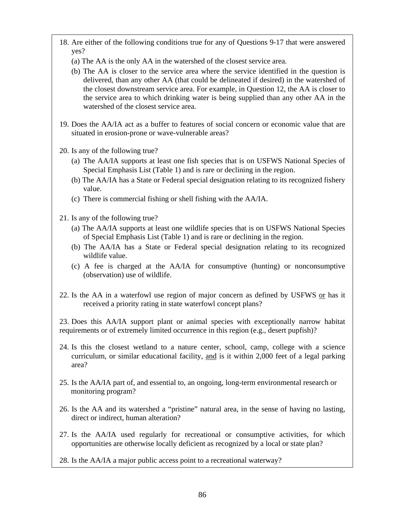- 18. Are either of the following conditions true for any of Questions 9-17 that were answered yes?
	- (a) The AA is the only AA in the watershed of the closest service area.
	- (b) The AA is closer to the service area where the service identified in the question is delivered, than any other AA (that could be delineated if desired) in the watershed of the closest downstream service area. For example, in Question 12, the AA is closer to the service area to which drinking water is being supplied than any other AA in the watershed of the closest service area.
- 19. Does the AA/IA act as a buffer to features of social concern or economic value that are situated in erosion-prone or wave-vulnerable areas?
- 20. Is any of the following true?
	- (a) The AA/IA supports at least one fish species that is on USFWS National Species of Special Emphasis List (Table 1) and is rare or declining in the region.
	- (b) The AA/IA has a State or Federal special designation relating to its recognized fishery value.
	- (c) There is commercial fishing or shell fishing with the AA/IA.
- 21. Is any of the following true?
	- (a) The AA/IA supports at least one wildlife species that is on USFWS National Species of Special Emphasis List (Table 1) and is rare or declining in the region.
	- (b) The AA/IA has a State or Federal special designation relating to its recognized wildlife value.
	- (c) A fee is charged at the AA/IA for consumptive (hunting) or nonconsumptive (observation) use of wildlife.
- 22. Is the AA in a waterfowl use region of major concern as defined by USFWS or has it received a priority rating in state waterfowl concept plans?

23. Does this AA/IA support plant or animal species with exceptionally narrow habitat requirements or of extremely limited occurrence in this region (e.g., desert pupfish)?

- 24. Is this the closest wetland to a nature center, school, camp, college with a science curriculum, or similar educational facility, and is it within 2,000 feet of a legal parking area?
- 25. Is the AA/IA part of, and essential to, an ongoing, long-term environmental research or monitoring program?
- 26. Is the AA and its watershed a "pristine" natural area, in the sense of having no lasting, direct or indirect, human alteration?
- 27. Is the AA/IA used regularly for recreational or consumptive activities, for which opportunities are otherwise locally deficient as recognized by a local or state plan?

28. Is the AA/IA a major public access point to a recreational waterway?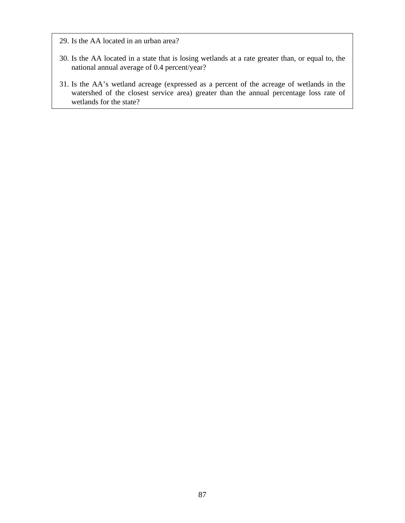29. Is the AA located in an urban area?

- 30. Is the AA located in a state that is losing wetlands at a rate greater than, or equal to, the national annual average of 0.4 percent/year?
- 31. Is the AA's wetland acreage (expressed as a percent of the acreage of wetlands in the watershed of the closest service area) greater than the annual percentage loss rate of wetlands for the state?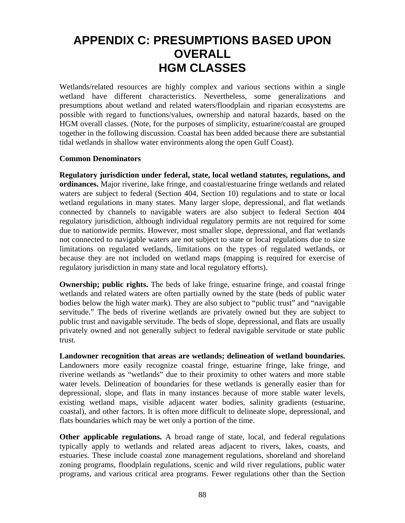## **APPENDIX C: PRESUMPTIONS BASED UPON OVERALL HGM CLASSES**

Wetlands/related resources are highly complex and various sections within a single wetland have different characteristics. Nevertheless, some generalizations and presumptions about wetland and related waters/floodplain and riparian ecosystems are possible with regard to functions/values, ownership and natural hazards, based on the HGM overall classes. (Note, for the purposes of simplicity, estuarine/coastal are grouped together in the following discussion. Coastal has been added because there are substantial tidal wetlands in shallow water environments along the open Gulf Coast).

#### **Common Denominators**

**Regulatory jurisdiction under federal, state, local wetland statutes, regulations, and ordinances.** Major riverine, lake fringe, and coastal/estuarine fringe wetlands and related waters are subject to federal (Section 404, Section 10) regulations and to state or local wetland regulations in many states. Many larger slope, depressional, and flat wetlands connected by channels to navigable waters are also subject to federal Section 404 regulatory jurisdiction, although individual regulatory permits are not required for some due to nationwide permits. However, most smaller slope, depressional, and flat wetlands not connected to navigable waters are not subject to state or local regulations due to size limitations on regulated wetlands, limitations on the types of regulated wetlands, or because they are not included on wetland maps (mapping is required for exercise of regulatory jurisdiction in many state and local regulatory efforts).

**Ownership; public rights.** The beds of lake fringe, estuarine fringe, and coastal fringe wetlands and related waters are often partially owned by the state (beds of public water bodies below the high water mark). They are also subject to "public trust" and "navigable servitude." The beds of riverine wetlands are privately owned but they are subject to public trust and navigable servitude. The beds of slope, depressional, and flats are usually privately owned and not generally subject to federal navigable servitude or state public trust.

**Landowner recognition that areas are wetlands; delineation of wetland boundaries.**  Landowners more easily recognize coastal fringe, estuarine fringe, lake fringe, and riverine wetlands as "wetlands" due to their proximity to other waters and more stable water levels. Delineation of boundaries for these wetlands is generally easier than for depressional, slope, and flats in many instances because of more stable water levels, existing wetland maps, visible adjacent water bodies, salinity gradients (estuarine, coastal), and other factors. It is often more difficult to delineate slope, depressional, and flats boundaries which may be wet only a portion of the time.

**Other applicable regulations.** A broad range of state, local, and federal regulations typically apply to wetlands and related areas adjacent to rivers, lakes, coasts, and estuaries. These include coastal zone management regulations, shoreland and shoreland zoning programs, floodplain regulations, scenic and wild river regulations, public water programs, and various critical area programs. Fewer regulations other than the Section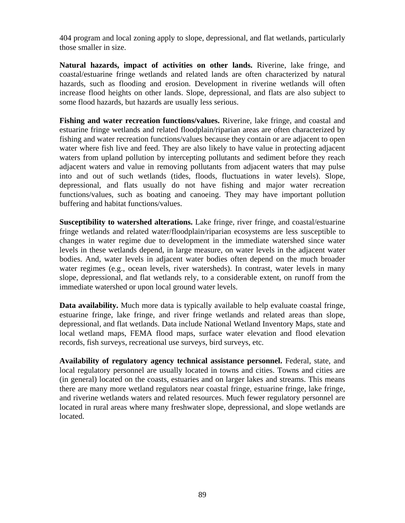404 program and local zoning apply to slope, depressional, and flat wetlands, particularly those smaller in size.

**Natural hazards, impact of activities on other lands.** Riverine, lake fringe, and coastal/estuarine fringe wetlands and related lands are often characterized by natural hazards, such as flooding and erosion. Development in riverine wetlands will often increase flood heights on other lands. Slope, depressional, and flats are also subject to some flood hazards, but hazards are usually less serious.

**Fishing and water recreation functions/values.** Riverine, lake fringe, and coastal and estuarine fringe wetlands and related floodplain/riparian areas are often characterized by fishing and water recreation functions/values because they contain or are adjacent to open water where fish live and feed. They are also likely to have value in protecting adjacent waters from upland pollution by intercepting pollutants and sediment before they reach adjacent waters and value in removing pollutants from adjacent waters that may pulse into and out of such wetlands (tides, floods, fluctuations in water levels). Slope, depressional, and flats usually do not have fishing and major water recreation functions/values, such as boating and canoeing. They may have important pollution buffering and habitat functions/values.

**Susceptibility to watershed alterations.** Lake fringe, river fringe, and coastal/estuarine fringe wetlands and related water/floodplain/riparian ecosystems are less susceptible to changes in water regime due to development in the immediate watershed since water levels in these wetlands depend, in large measure, on water levels in the adjacent water bodies. And, water levels in adjacent water bodies often depend on the much broader water regimes (e.g., ocean levels, river watersheds). In contrast, water levels in many slope, depressional, and flat wetlands rely, to a considerable extent, on runoff from the immediate watershed or upon local ground water levels.

**Data availability.** Much more data is typically available to help evaluate coastal fringe, estuarine fringe, lake fringe, and river fringe wetlands and related areas than slope, depressional, and flat wetlands. Data include National Wetland Inventory Maps, state and local wetland maps, FEMA flood maps, surface water elevation and flood elevation records, fish surveys, recreational use surveys, bird surveys, etc.

**Availability of regulatory agency technical assistance personnel.** Federal, state, and local regulatory personnel are usually located in towns and cities. Towns and cities are (in general) located on the coasts, estuaries and on larger lakes and streams. This means there are many more wetland regulators near coastal fringe, estuarine fringe, lake fringe, and riverine wetlands waters and related resources. Much fewer regulatory personnel are located in rural areas where many freshwater slope, depressional, and slope wetlands are located.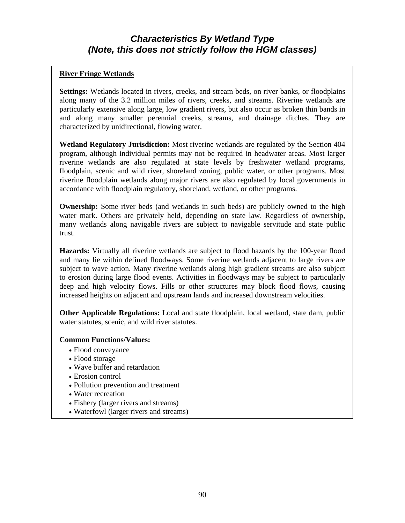## *Characteristics By Wetland Type (Note, this does not strictly follow the HGM classes)*

#### **River Fringe Wetlands**

**Settings:** Wetlands located in rivers, creeks, and stream beds, on river banks, or floodplains along many of the 3.2 million miles of rivers, creeks, and streams. Riverine wetlands are particularly extensive along large, low gradient rivers, but also occur as broken thin bands in and along many smaller perennial creeks, streams, and drainage ditches. They are characterized by unidirectional, flowing water.

**Wetland Regulatory Jurisdiction:** Most riverine wetlands are regulated by the Section 404 program, although individual permits may not be required in headwater areas. Most larger riverine wetlands are also regulated at state levels by freshwater wetland programs, floodplain, scenic and wild river, shoreland zoning, public water, or other programs. Most riverine floodplain wetlands along major rivers are also regulated by local governments in accordance with floodplain regulatory, shoreland, wetland, or other programs.

**Ownership:** Some river beds (and wetlands in such beds) are publicly owned to the high water mark. Others are privately held, depending on state law. Regardless of ownership, many wetlands along navigable rivers are subject to navigable servitude and state public trust.

**Hazards:** Virtually all riverine wetlands are subject to flood hazards by the 100-year flood and many lie within defined floodways. Some riverine wetlands adjacent to large rivers are subject to wave action. Many riverine wetlands along high gradient streams are also subject to erosion during large flood events. Activities in floodways may be subject to particularly deep and high velocity flows. Fills or other structures may block flood flows, causing increased heights on adjacent and upstream lands and increased downstream velocities.

**Other Applicable Regulations:** Local and state floodplain, local wetland, state dam, public water statutes, scenic, and wild river statutes.

#### **Common Functions/Values:**

- Flood conveyance
- Flood storage
- Wave buffer and retardation
- Erosion control
- Pollution prevention and treatment
- Water recreation
- Fishery (larger rivers and streams)
- Waterfowl (larger rivers and streams)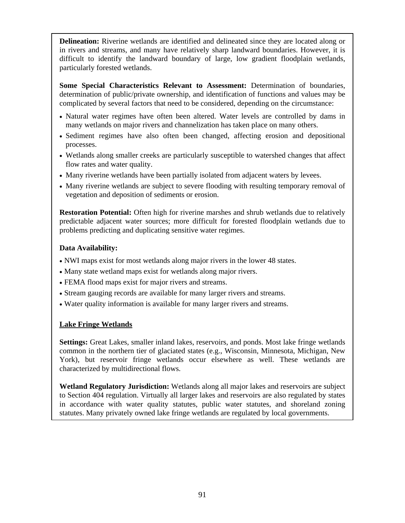**Delineation:** Riverine wetlands are identified and delineated since they are located along or in rivers and streams, and many have relatively sharp landward boundaries. However, it is difficult to identify the landward boundary of large, low gradient floodplain wetlands, particularly forested wetlands.

**Some Special Characteristics Relevant to Assessment:** Determination of boundaries, determination of public/private ownership, and identification of functions and values may be complicated by several factors that need to be considered, depending on the circumstance:

- Natural water regimes have often been altered. Water levels are controlled by dams in many wetlands on major rivers and channelization has taken place on many others.
- Sediment regimes have also often been changed, affecting erosion and depositional processes.
- Wetlands along smaller creeks are particularly susceptible to watershed changes that affect flow rates and water quality.
- Many riverine wetlands have been partially isolated from adjacent waters by levees.
- Many riverine wetlands are subject to severe flooding with resulting temporary removal of vegetation and deposition of sediments or erosion.

**Restoration Potential:** Often high for riverine marshes and shrub wetlands due to relatively predictable adjacent water sources; more difficult for forested floodplain wetlands due to problems predicting and duplicating sensitive water regimes.

#### **Data Availability:**

- NWI maps exist for most wetlands along major rivers in the lower 48 states.
- Many state wetland maps exist for wetlands along major rivers.
- FEMA flood maps exist for major rivers and streams.
- Stream gauging records are available for many larger rivers and streams.
- Water quality information is available for many larger rivers and streams.

#### **Lake Fringe Wetlands**

**Settings:** Great Lakes, smaller inland lakes, reservoirs, and ponds. Most lake fringe wetlands common in the northern tier of glaciated states (e.g., Wisconsin, Minnesota, Michigan, New York), but reservoir fringe wetlands occur elsewhere as well. These wetlands are characterized by multidirectional flows.

**Wetland Regulatory Jurisdiction:** Wetlands along all major lakes and reservoirs are subject to Section 404 regulation. Virtually all larger lakes and reservoirs are also regulated by states in accordance with water quality statutes, public water statutes, and shoreland zoning statutes. Many privately owned lake fringe wetlands are regulated by local governments.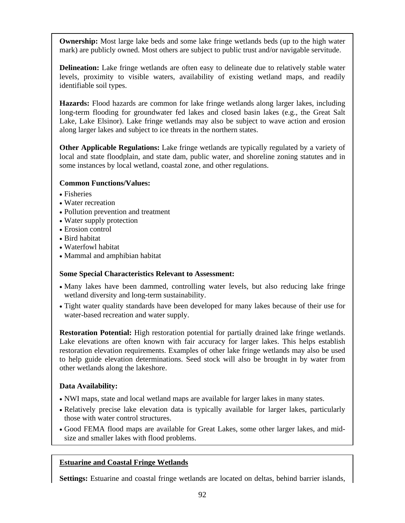**Ownership:** Most large lake beds and some lake fringe wetlands beds (up to the high water mark) are publicly owned. Most others are subject to public trust and/or navigable servitude.

**Delineation:** Lake fringe wetlands are often easy to delineate due to relatively stable water levels, proximity to visible waters, availability of existing wetland maps, and readily identifiable soil types.

**Hazards:** Flood hazards are common for lake fringe wetlands along larger lakes, including long-term flooding for groundwater fed lakes and closed basin lakes (e.g., the Great Salt Lake, Lake Elsinor). Lake fringe wetlands may also be subject to wave action and erosion along larger lakes and subject to ice threats in the northern states.

**Other Applicable Regulations:** Lake fringe wetlands are typically regulated by a variety of local and state floodplain, and state dam, public water, and shoreline zoning statutes and in some instances by local wetland, coastal zone, and other regulations.

#### **Common Functions/Values:**

- Fisheries
- Water recreation
- Pollution prevention and treatment
- Water supply protection
- Erosion control
- Bird habitat
- Waterfowl habitat
- Mammal and amphibian habitat

#### **Some Special Characteristics Relevant to Assessment:**

- Many lakes have been dammed, controlling water levels, but also reducing lake fringe wetland diversity and long-term sustainability.
- Tight water quality standards have been developed for many lakes because of their use for water-based recreation and water supply.

**Restoration Potential:** High restoration potential for partially drained lake fringe wetlands. Lake elevations are often known with fair accuracy for larger lakes. This helps establish restoration elevation requirements. Examples of other lake fringe wetlands may also be used to help guide elevation determinations. Seed stock will also be brought in by water from other wetlands along the lakeshore.

#### **Data Availability:**

- NWI maps, state and local wetland maps are available for larger lakes in many states.
- Relatively precise lake elevation data is typically available for larger lakes, particularly those with water control structures.
- Good FEMA flood maps are available for Great Lakes, some other larger lakes, and midsize and smaller lakes with flood problems.

#### **Estuarine and Coastal Fringe Wetlands**

**Settings:** Estuarine and coastal fringe wetlands are located on deltas, behind barrier islands,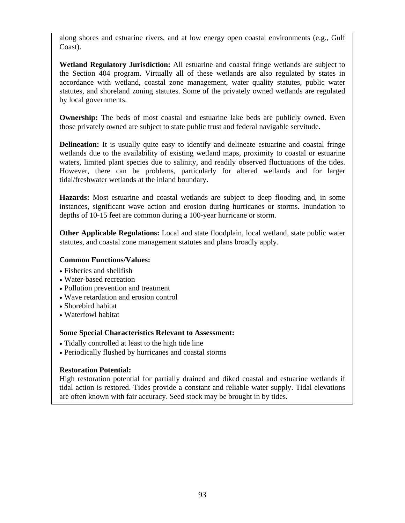along shores and estuarine rivers, and at low energy open coastal environments (e.g., Gulf Coast).

**Wetland Regulatory Jurisdiction:** All estuarine and coastal fringe wetlands are subject to the Section 404 program. Virtually all of these wetlands are also regulated by states in accordance with wetland, coastal zone management, water quality statutes, public water statutes, and shoreland zoning statutes. Some of the privately owned wetlands are regulated by local governments.

**Ownership:** The beds of most coastal and estuarine lake beds are publicly owned. Even those privately owned are subject to state public trust and federal navigable servitude.

**Delineation:** It is usually quite easy to identify and delineate estuarine and coastal fringe wetlands due to the availability of existing wetland maps, proximity to coastal or estuarine waters, limited plant species due to salinity, and readily observed fluctuations of the tides. However, there can be problems, particularly for altered wetlands and for larger tidal/freshwater wetlands at the inland boundary.

**Hazards:** Most estuarine and coastal wetlands are subject to deep flooding and, in some instances, significant wave action and erosion during hurricanes or storms. Inundation to depths of 10-15 feet are common during a 100-year hurricane or storm.

**Other Applicable Regulations:** Local and state floodplain, local wetland, state public water statutes, and coastal zone management statutes and plans broadly apply.

#### **Common Functions/Values:**

- Fisheries and shellfish
- Water-based recreation
- Pollution prevention and treatment
- Wave retardation and erosion control
- Shorebird habitat
- Waterfowl habitat

#### **Some Special Characteristics Relevant to Assessment:**

- Tidally controlled at least to the high tide line
- Periodically flushed by hurricanes and coastal storms

#### **Restoration Potential:**

High restoration potential for partially drained and diked coastal and estuarine wetlands if tidal action is restored. Tides provide a constant and reliable water supply. Tidal elevations are often known with fair accuracy. Seed stock may be brought in by tides.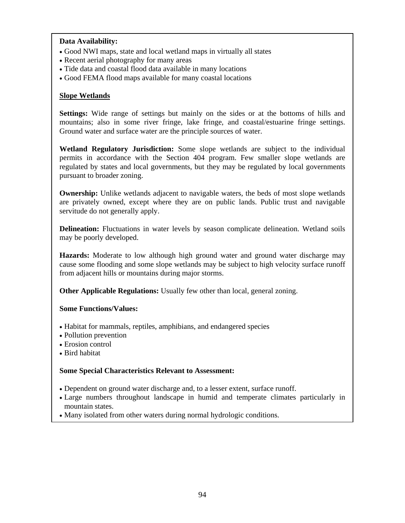#### **Data Availability:**

- Good NWI maps, state and local wetland maps in virtually all states
- Recent aerial photography for many areas
- Tide data and coastal flood data available in many locations
- Good FEMA flood maps available for many coastal locations

#### **Slope Wetlands**

**Settings:** Wide range of settings but mainly on the sides or at the bottoms of hills and mountains; also in some river fringe, lake fringe, and coastal/estuarine fringe settings. Ground water and surface water are the principle sources of water.

**Wetland Regulatory Jurisdiction:** Some slope wetlands are subject to the individual permits in accordance with the Section 404 program. Few smaller slope wetlands are regulated by states and local governments, but they may be regulated by local governments pursuant to broader zoning.

**Ownership:** Unlike wetlands adjacent to navigable waters, the beds of most slope wetlands are privately owned, except where they are on public lands. Public trust and navigable servitude do not generally apply.

**Delineation:** Fluctuations in water levels by season complicate delineation. Wetland soils may be poorly developed.

**Hazards:** Moderate to low although high ground water and ground water discharge may cause some flooding and some slope wetlands may be subject to high velocity surface runoff from adjacent hills or mountains during major storms.

**Other Applicable Regulations:** Usually few other than local, general zoning.

#### **Some Functions/Values:**

- Habitat for mammals, reptiles, amphibians, and endangered species
- Pollution prevention
- Erosion control
- Bird habitat

#### **Some Special Characteristics Relevant to Assessment:**

- Dependent on ground water discharge and, to a lesser extent, surface runoff.
- Large numbers throughout landscape in humid and temperate climates particularly in mountain states.
- Many isolated from other waters during normal hydrologic conditions.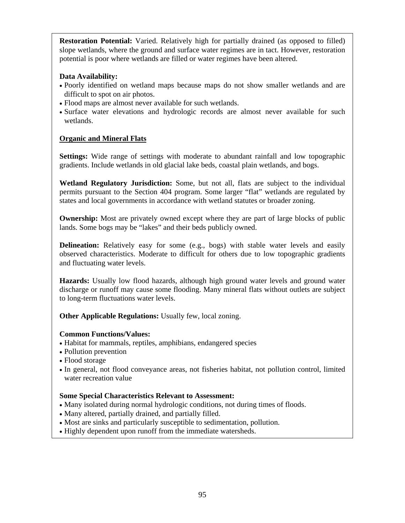**Restoration Potential:** Varied. Relatively high for partially drained (as opposed to filled) slope wetlands, where the ground and surface water regimes are in tact. However, restoration potential is poor where wetlands are filled or water regimes have been altered.

#### **Data Availability:**

- Poorly identified on wetland maps because maps do not show smaller wetlands and are difficult to spot on air photos.
- Flood maps are almost never available for such wetlands.
- Surface water elevations and hydrologic records are almost never available for such wetlands.

#### **Organic and Mineral Flats**

**Settings:** Wide range of settings with moderate to abundant rainfall and low topographic gradients. Include wetlands in old glacial lake beds, coastal plain wetlands, and bogs.

**Wetland Regulatory Jurisdiction:** Some, but not all, flats are subject to the individual permits pursuant to the Section 404 program. Some larger "flat" wetlands are regulated by states and local governments in accordance with wetland statutes or broader zoning.

**Ownership:** Most are privately owned except where they are part of large blocks of public lands. Some bogs may be "lakes" and their beds publicly owned.

**Delineation:** Relatively easy for some (e.g., bogs) with stable water levels and easily observed characteristics. Moderate to difficult for others due to low topographic gradients and fluctuating water levels.

**Hazards:** Usually low flood hazards, although high ground water levels and ground water discharge or runoff may cause some flooding. Many mineral flats without outlets are subject to long-term fluctuations water levels.

**Other Applicable Regulations:** Usually few, local zoning.

#### **Common Functions/Values:**

- Habitat for mammals, reptiles, amphibians, endangered species
- Pollution prevention
- Flood storage
- In general, not flood conveyance areas, not fisheries habitat, not pollution control, limited water recreation value

#### **Some Special Characteristics Relevant to Assessment:**

- Many isolated during normal hydrologic conditions, not during times of floods.
- Many altered, partially drained, and partially filled.
- Most are sinks and particularly susceptible to sedimentation, pollution.
- Highly dependent upon runoff from the immediate watersheds.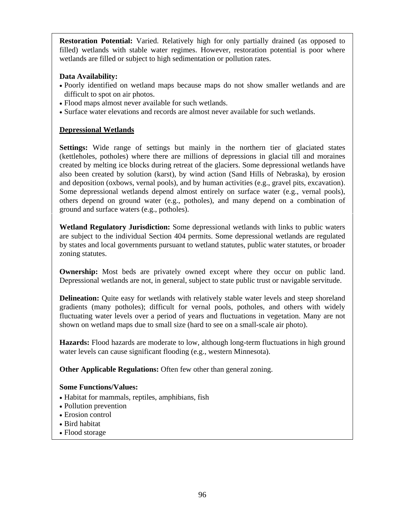**Restoration Potential:** Varied. Relatively high for only partially drained (as opposed to filled) wetlands with stable water regimes. However, restoration potential is poor where wetlands are filled or subject to high sedimentation or pollution rates.

#### **Data Availability:**

- Poorly identified on wetland maps because maps do not show smaller wetlands and are difficult to spot on air photos.
- Flood maps almost never available for such wetlands.
- Surface water elevations and records are almost never available for such wetlands.

#### **Depressional Wetlands**

**Settings:** Wide range of settings but mainly in the northern tier of glaciated states (kettleholes, potholes) where there are millions of depressions in glacial till and moraines created by melting ice blocks during retreat of the glaciers. Some depressional wetlands have also been created by solution (karst), by wind action (Sand Hills of Nebraska), by erosion and deposition (oxbows, vernal pools), and by human activities (e.g., gravel pits, excavation). Some depressional wetlands depend almost entirely on surface water (e.g., vernal pools), others depend on ground water (e.g., potholes), and many depend on a combination of ground and surface waters (e.g., potholes).

**Wetland Regulatory Jurisdiction:** Some depressional wetlands with links to public waters are subject to the individual Section 404 permits. Some depressional wetlands are regulated by states and local governments pursuant to wetland statutes, public water statutes, or broader zoning statutes.

**Ownership:** Most beds are privately owned except where they occur on public land. Depressional wetlands are not, in general, subject to state public trust or navigable servitude.

**Delineation:** Ouite easy for wetlands with relatively stable water levels and steep shoreland gradients (many potholes); difficult for vernal pools, potholes, and others with widely fluctuating water levels over a period of years and fluctuations in vegetation. Many are not shown on wetland maps due to small size (hard to see on a small-scale air photo).

**Hazards:** Flood hazards are moderate to low, although long-term fluctuations in high ground water levels can cause significant flooding (e.g., western Minnesota).

**Other Applicable Regulations:** Often few other than general zoning.

#### **Some Functions/Values:**

- Habitat for mammals, reptiles, amphibians, fish
- Pollution prevention
- Erosion control
- Bird habitat
- Flood storage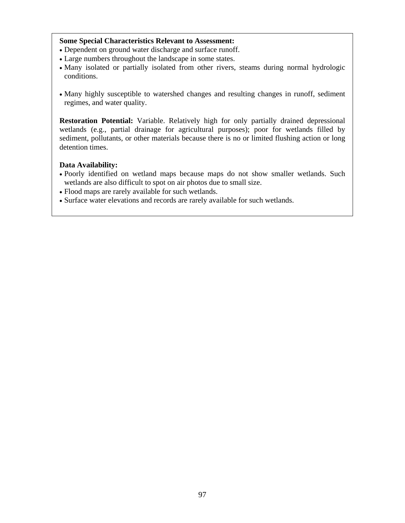#### **Some Special Characteristics Relevant to Assessment:**

- Dependent on ground water discharge and surface runoff.
- Large numbers throughout the landscape in some states.
- Many isolated or partially isolated from other rivers, steams during normal hydrologic conditions.
- Many highly susceptible to watershed changes and resulting changes in runoff, sediment regimes, and water quality.

**Restoration Potential:** Variable. Relatively high for only partially drained depressional wetlands (e.g., partial drainage for agricultural purposes); poor for wetlands filled by sediment, pollutants, or other materials because there is no or limited flushing action or long detention times.

#### **Data Availability:**

- Poorly identified on wetland maps because maps do not show smaller wetlands. Such wetlands are also difficult to spot on air photos due to small size.
- Flood maps are rarely available for such wetlands.
- Surface water elevations and records are rarely available for such wetlands.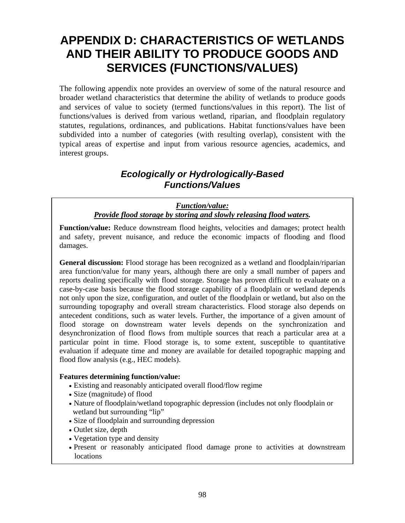## **APPENDIX D: CHARACTERISTICS OF WETLANDS AND THEIR ABILITY TO PRODUCE GOODS AND SERVICES (FUNCTIONS/VALUES)**

The following appendix note provides an overview of some of the natural resource and broader wetland characteristics that determine the ability of wetlands to produce goods and services of value to society (termed functions/values in this report). The list of functions/values is derived from various wetland, riparian, and floodplain regulatory statutes, regulations, ordinances, and publications. Habitat functions/values have been subdivided into a number of categories (with resulting overlap), consistent with the typical areas of expertise and input from various resource agencies, academics, and interest groups.

### *Ecologically or Hydrologically-Based Functions/Values*

#### *Function/value: Provide flood storage by storing and slowly releasing flood waters.*

**Function/value:** Reduce downstream flood heights, velocities and damages; protect health and safety, prevent nuisance, and reduce the economic impacts of flooding and flood damages.

**General discussion:** Flood storage has been recognized as a wetland and floodplain/riparian area function/value for many years, although there are only a small number of papers and reports dealing specifically with flood storage. Storage has proven difficult to evaluate on a case-by-case basis because the flood storage capability of a floodplain or wetland depends not only upon the size, configuration, and outlet of the floodplain or wetland, but also on the surrounding topography and overall stream characteristics. Flood storage also depends on antecedent conditions, such as water levels. Further, the importance of a given amount of flood storage on downstream water levels depends on the synchronization and desynchronization of flood flows from multiple sources that reach a particular area at a particular point in time. Flood storage is, to some extent, susceptible to quantitative evaluation if adequate time and money are available for detailed topographic mapping and flood flow analysis (e.g., HEC models).

#### **Features determining function/value:**

- Existing and reasonably anticipated overall flood/flow regime
- Size (magnitude) of flood
- Nature of floodplain/wetland topographic depression (includes not only floodplain or wetland but surrounding "lip"
- Size of floodplain and surrounding depression
- Outlet size, depth
- Vegetation type and density
- Present or reasonably anticipated flood damage prone to activities at downstream locations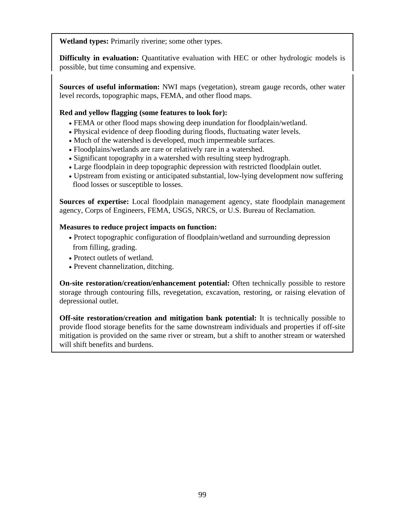**Wetland types:** Primarily riverine; some other types.

**Difficulty in evaluation:** Quantitative evaluation with HEC or other hydrologic models is possible, but time consuming and expensive.

**Sources of useful information:** NWI maps (vegetation), stream gauge records, other water level records, topographic maps, FEMA, and other flood maps.

#### **Red and yellow flagging (some features to look for):**

- FEMA or other flood maps showing deep inundation for floodplain/wetland.
- Physical evidence of deep flooding during floods, fluctuating water levels.
- Much of the watershed is developed, much impermeable surfaces.
- Floodplains/wetlands are rare or relatively rare in a watershed.
- Significant topography in a watershed with resulting steep hydrograph.
- Large floodplain in deep topographic depression with restricted floodplain outlet.
- Upstream from existing or anticipated substantial, low-lying development now suffering flood losses or susceptible to losses.

**Sources of expertise:** Local floodplain management agency, state floodplain management agency, Corps of Engineers, FEMA, USGS, NRCS, or U.S. Bureau of Reclamation.

#### **Measures to reduce project impacts on function:**

- Protect topographic configuration of floodplain/wetland and surrounding depression from filling, grading.
- Protect outlets of wetland.
- Prevent channelization, ditching.

**On-site restoration/creation/enhancement potential:** Often technically possible to restore storage through contouring fills, revegetation, excavation, restoring, or raising elevation of depressional outlet.

**Off-site restoration/creation and mitigation bank potential:** It is technically possible to provide flood storage benefits for the same downstream individuals and properties if off-site mitigation is provided on the same river or stream, but a shift to another stream or watershed will shift benefits and burdens.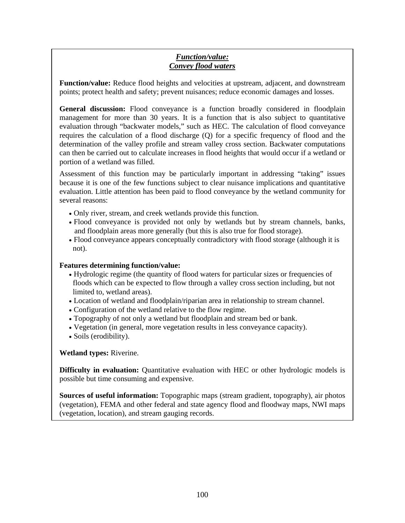### *Function/value: Convey flood waters*

**Function/value:** Reduce flood heights and velocities at upstream, adjacent, and downstream points; protect health and safety; prevent nuisances; reduce economic damages and losses.

**General discussion:** Flood conveyance is a function broadly considered in floodplain management for more than 30 years. It is a function that is also subject to quantitative evaluation through "backwater models," such as HEC. The calculation of flood conveyance requires the calculation of a flood discharge (Q) for a specific frequency of flood and the determination of the valley profile and stream valley cross section. Backwater computations can then be carried out to calculate increases in flood heights that would occur if a wetland or portion of a wetland was filled.

Assessment of this function may be particularly important in addressing "taking" issues because it is one of the few functions subject to clear nuisance implications and quantitative evaluation. Little attention has been paid to flood conveyance by the wetland community for several reasons:

- Only river, stream, and creek wetlands provide this function.
- Flood conveyance is provided not only by wetlands but by stream channels, banks, and floodplain areas more generally (but this is also true for flood storage).
- Flood conveyance appears conceptually contradictory with flood storage (although it is not).

#### **Features determining function/value:**

- Hydrologic regime (the quantity of flood waters for particular sizes or frequencies of floods which can be expected to flow through a valley cross section including, but not limited to, wetland areas).
- Location of wetland and floodplain/riparian area in relationship to stream channel.
- Configuration of the wetland relative to the flow regime.
- Topography of not only a wetland but floodplain and stream bed or bank.
- Vegetation (in general, more vegetation results in less conveyance capacity).
- Soils (erodibility).

**Wetland types:** Riverine.

**Difficulty in evaluation:** Quantitative evaluation with HEC or other hydrologic models is possible but time consuming and expensive.

**Sources of useful information:** Topographic maps (stream gradient, topography), air photos (vegetation), FEMA and other federal and state agency flood and floodway maps, NWI maps (vegetation, location), and stream gauging records.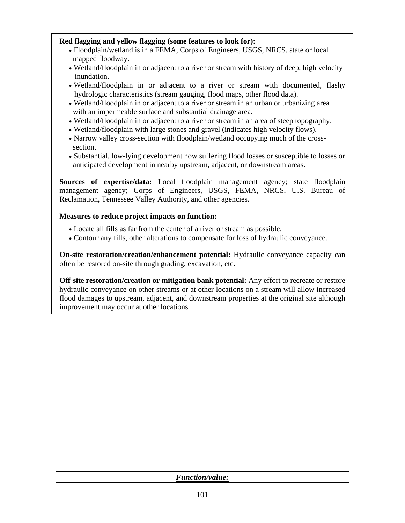# **Red flagging and yellow flagging (some features to look for):**

- Floodplain/wetland is in a FEMA, Corps of Engineers, USGS, NRCS, state or local mapped floodway.
- Wetland/floodplain in or adjacent to a river or stream with history of deep, high velocity inundation.
- Wetland/floodplain in or adjacent to a river or stream with documented, flashy hydrologic characteristics (stream gauging, flood maps, other flood data).
- Wetland/floodplain in or adjacent to a river or stream in an urban or urbanizing area with an impermeable surface and substantial drainage area.
- Wetland/floodplain in or adjacent to a river or stream in an area of steep topography.
- Wetland/floodplain with large stones and gravel (indicates high velocity flows).
- Narrow valley cross-section with floodplain/wetland occupying much of the cross section.
- Substantial, low-lying development now suffering flood losses or susceptible to losses or anticipated development in nearby upstream, adjacent, or downstream areas.

**Sources of expertise/data:** Local floodplain management agency; state floodplain management agency; Corps of Engineers, USGS, FEMA, NRCS, U.S. Bureau of Reclamation, Tennessee Valley Authority, and other agencies.

### **Measures to reduce project impacts on function:**

- Locate all fills as far from the center of a river or stream as possible.
- Contour any fills, other alterations to compensate for loss of hydraulic conveyance.

**On-site restoration/creation/enhancement potential:** Hydraulic conveyance capacity can often be restored on-site through grading, excavation, etc.

**Off-site restoration/creation or mitigation bank potential:** Any effort to recreate or restore hydraulic conveyance on other streams or at other locations on a stream will allow increased flood damages to upstream, adjacent, and downstream properties at the original site although improvement may occur at other locations.

| <i><b>Function/value:</b></i> |
|-------------------------------|
|-------------------------------|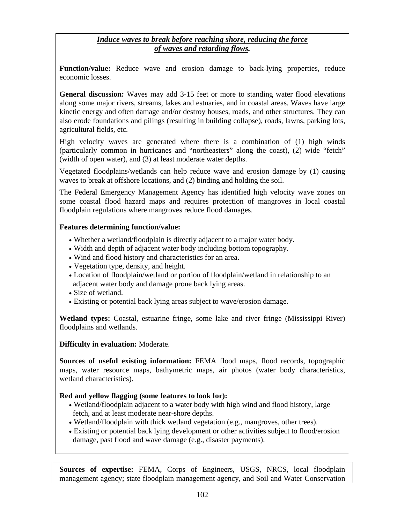# *Induce waves to break before reaching shore, reducing the force of waves and retarding flows.*

**Function/value:** Reduce wave and erosion damage to back-lying properties, reduce economic losses.

**General discussion:** Waves may add 3-15 feet or more to standing water flood elevations along some major rivers, streams, lakes and estuaries, and in coastal areas. Waves have large kinetic energy and often damage and/or destroy houses, roads, and other structures. They can also erode foundations and pilings (resulting in building collapse), roads, lawns, parking lots, agricultural fields, etc.

High velocity waves are generated where there is a combination of (1) high winds (particularly common in hurricanes and "northeasters" along the coast), (2) wide "fetch" (width of open water), and (3) at least moderate water depths.

Vegetated floodplains/wetlands can help reduce wave and erosion damage by (1) causing waves to break at offshore locations, and (2) binding and holding the soil.

The Federal Emergency Management Agency has identified high velocity wave zones on some coastal flood hazard maps and requires protection of mangroves in local coastal floodplain regulations where mangroves reduce flood damages.

## **Features determining function/value:**

- Whether a wetland/floodplain is directly adjacent to a major water body.
- Width and depth of adjacent water body including bottom topography.
- Wind and flood history and characteristics for an area.
- Vegetation type, density, and height.
- Location of floodplain/wetland or portion of floodplain/wetland in relationship to an adjacent water body and damage prone back lying areas.
- Size of wetland.
- Existing or potential back lying areas subject to wave/erosion damage.

**Wetland types:** Coastal, estuarine fringe, some lake and river fringe (Mississippi River) floodplains and wetlands.

### **Difficulty in evaluation:** Moderate.

**Sources of useful existing information:** FEMA flood maps, flood records, topographic maps, water resource maps, bathymetric maps, air photos (water body characteristics, wetland characteristics).

# **Red and yellow flagging (some features to look for):**

- Wetland/floodplain adjacent to a water body with high wind and flood history, large fetch, and at least moderate near-shore depths.
- Wetland/floodplain with thick wetland vegetation (e.g., mangroves, other trees).
- Existing or potential back lying development or other activities subject to flood/erosion damage, past flood and wave damage (e.g., disaster payments).

**Sources of expertise:** FEMA, Corps of Engineers, USGS, NRCS, local floodplain management agency; state floodplain management agency, and Soil and Water Conservation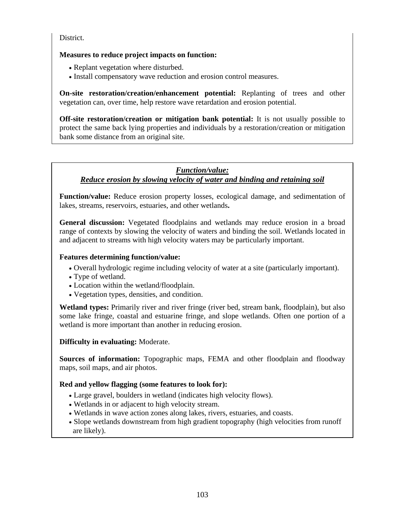District.

# **Measures to reduce project impacts on function:**

- Replant vegetation where disturbed.
- Install compensatory wave reduction and erosion control measures.

**On-site restoration/creation/enhancement potential:** Replanting of trees and other vegetation can, over time, help restore wave retardation and erosion potential.

**Off-site restoration/creation or mitigation bank potential:** It is not usually possible to protect the same back lying properties and individuals by a restoration/creation or mitigation bank some distance from an original site.

# *Function/value: Reduce erosion by slowing velocity of water and binding and retaining soil*

**Function/value:** Reduce erosion property losses, ecological damage, and sedimentation of lakes, streams, reservoirs, estuaries, and other wetlands**.** 

**General discussion:** Vegetated floodplains and wetlands may reduce erosion in a broad range of contexts by slowing the velocity of waters and binding the soil. Wetlands located in and adjacent to streams with high velocity waters may be particularly important.

### **Features determining function/value:**

- Overall hydrologic regime including velocity of water at a site (particularly important).
- Type of wetland.
- Location within the wetland/floodplain.
- Vegetation types, densities, and condition.

**Wetland types:** Primarily river and river fringe (river bed, stream bank, floodplain), but also some lake fringe, coastal and estuarine fringe, and slope wetlands. Often one portion of a wetland is more important than another in reducing erosion.

### **Difficulty in evaluating:** Moderate.

**Sources of information:** Topographic maps, FEMA and other floodplain and floodway maps, soil maps, and air photos.

### **Red and yellow flagging (some features to look for):**

- Large gravel, boulders in wetland (indicates high velocity flows).
- Wetlands in or adjacent to high velocity stream.
- Wetlands in wave action zones along lakes, rivers, estuaries, and coasts.
- Slope wetlands downstream from high gradient topography (high velocities from runoff are likely).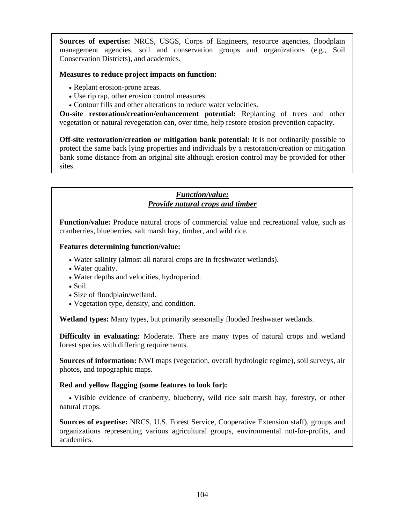**Sources of expertise:** NRCS, USGS, Corps of Engineers, resource agencies, floodplain management agencies, soil and conservation groups and organizations (e.g., Soil Conservation Districts), and academics.

# **Measures to reduce project impacts on function:**

- Replant erosion-prone areas.
- Use rip rap, other erosion control measures.
- Contour fills and other alterations to reduce water velocities.

**On-site restoration/creation/enhancement potential:** Replanting of trees and other vegetation or natural revegetation can, over time, help restore erosion prevention capacity.

**Off-site restoration/creation or mitigation bank potential:** It is not ordinarily possible to protect the same back lying properties and individuals by a restoration/creation or mitigation bank some distance from an original site although erosion control may be provided for other sites.

# *Function/value: Provide natural crops and timber*

**Function/value:** Produce natural crops of commercial value and recreational value, such as cranberries, blueberries, salt marsh hay, timber, and wild rice.

### **Features determining function/value:**

- Water salinity (almost all natural crops are in freshwater wetlands).
- Water quality.
- Water depths and velocities, hydroperiod.
- Soil.
- Size of floodplain/wetland.
- Vegetation type, density, and condition.

**Wetland types:** Many types, but primarily seasonally flooded freshwater wetlands.

**Difficulty in evaluating:** Moderate. There are many types of natural crops and wetland forest species with differing requirements.

**Sources of information:** NWI maps (vegetation, overall hydrologic regime), soil surveys, air photos, and topographic maps.

### **Red and yellow flagging (some features to look for):**

• Visible evidence of cranberry, blueberry, wild rice salt marsh hay, forestry, or other natural crops.

**Sources of expertise:** NRCS, U.S. Forest Service, Cooperative Extension staff), groups and organizations representing various agricultural groups, environmental not-for-profits, and academics.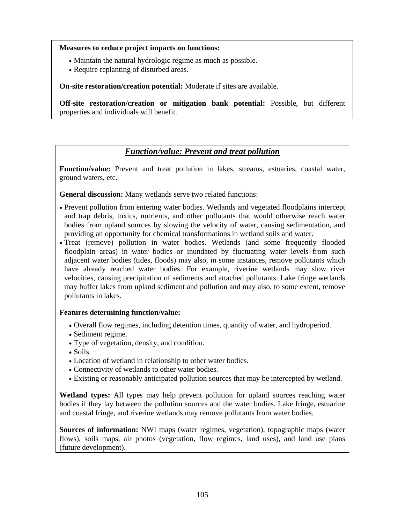#### **Measures to reduce project impacts on functions:**

- Maintain the natural hydrologic regime as much as possible.
- Require replanting of disturbed areas.

**On-site restoration/creation potential:** Moderate if sites are available.

**Off-site restoration/creation or mitigation bank potential:** Possible, but different properties and individuals will benefit.

# *Function/value: Prevent and treat pollution*

**Function/value:** Prevent and treat pollution in lakes, streams, estuaries, coastal water, ground waters, etc.

**General discussion:** Many wetlands serve two related functions:

- Prevent pollution from entering water bodies. Wetlands and vegetated floodplains intercept and trap debris, toxics, nutrients, and other pollutants that would otherwise reach water bodies from upland sources by slowing the velocity of water, causing sedimentation, and providing an opportunity for chemical transformations in wetland soils and water.
- Treat (remove) pollution in water bodies. Wetlands (and some frequently flooded floodplain areas) in water bodies or inundated by fluctuating water levels from such adjacent water bodies (tides, floods) may also, in some instances, remove pollutants which have already reached water bodies. For example, riverine wetlands may slow river velocities, causing precipitation of sediments and attached pollutants. Lake fringe wetlands may buffer lakes from upland sediment and pollution and may also, to some extent, remove pollutants in lakes.

### **Features determining function/value:**

- Overall flow regimes, including detention times, quantity of water, and hydroperiod.
- Sediment regime.
- Type of vegetation, density, and condition.
- Soils.
- Location of wetland in relationship to other water bodies.
- Connectivity of wetlands to other water bodies.
- Existing or reasonably anticipated pollution sources that may be intercepted by wetland.

**Wetland types:** All types may help prevent pollution for upland sources reaching water bodies if they lay between the pollution sources and the water bodies. Lake fringe, estuarine and coastal fringe, and riverine wetlands may remove pollutants from water bodies.

**Sources of information:** NWI maps (water regimes, vegetation), topographic maps (water flows), soils maps, air photos (vegetation, flow regimes, land uses), and land use plans (future development).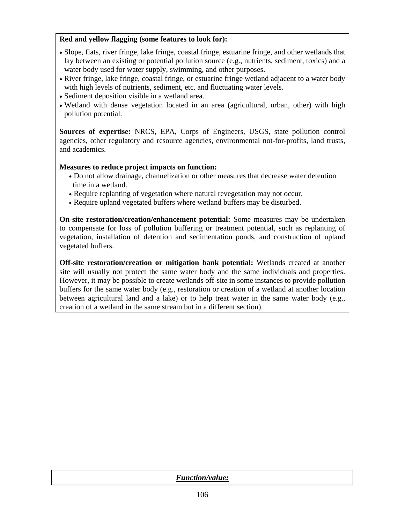### **Red and yellow flagging (some features to look for):**

- Slope, flats, river fringe, lake fringe, coastal fringe, estuarine fringe, and other wetlands that lay between an existing or potential pollution source (e.g., nutrients, sediment, toxics) and a water body used for water supply, swimming, and other purposes.
- River fringe, lake fringe, coastal fringe, or estuarine fringe wetland adjacent to a water body with high levels of nutrients, sediment, etc. and fluctuating water levels.
- Sediment deposition visible in a wetland area.
- Wetland with dense vegetation located in an area (agricultural, urban, other) with high pollution potential.

**Sources of expertise:** NRCS, EPA, Corps of Engineers, USGS, state pollution control agencies, other regulatory and resource agencies, environmental not-for-profits, land trusts, and academics.

## **Measures to reduce project impacts on function:**

- Do not allow drainage, channelization or other measures that decrease water detention time in a wetland.
- Require replanting of vegetation where natural revegetation may not occur.
- Require upland vegetated buffers where wetland buffers may be disturbed.

**On-site restoration/creation/enhancement potential:** Some measures may be undertaken to compensate for loss of pollution buffering or treatment potential, such as replanting of vegetation, installation of detention and sedimentation ponds, and construction of upland vegetated buffers.

**Off-site restoration/creation or mitigation bank potential:** Wetlands created at another site will usually not protect the same water body and the same individuals and properties. However, it may be possible to create wetlands off-site in some instances to provide pollution buffers for the same water body (e.g., restoration or creation of a wetland at another location between agricultural land and a lake) or to help treat water in the same water body (e.g., creation of a wetland in the same stream but in a different section).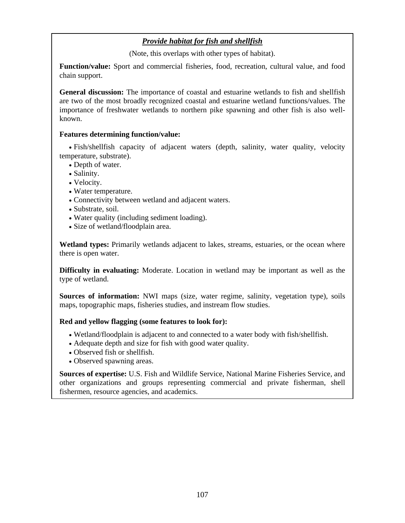# *Provide habitat for fish and shellfish*

(Note, this overlaps with other types of habitat).

**Function/value:** Sport and commercial fisheries, food, recreation, cultural value, and food chain support.

**General discussion:** The importance of coastal and estuarine wetlands to fish and shellfish are two of the most broadly recognized coastal and estuarine wetland functions/values. The importance of freshwater wetlands to northern pike spawning and other fish is also wellknown.

### **Features determining function/value:**

• Fish/shellfish capacity of adjacent waters (depth, salinity, water quality, velocity temperature, substrate).

- Depth of water.
- Salinity.
- Velocity.
- Water temperature.
- Connectivity between wetland and adjacent waters.
- Substrate, soil.
- Water quality (including sediment loading).
- Size of wetland/floodplain area.

**Wetland types:** Primarily wetlands adjacent to lakes, streams, estuaries, or the ocean where there is open water.

**Difficulty in evaluating:** Moderate. Location in wetland may be important as well as the type of wetland.

**Sources of information:** NWI maps (size, water regime, salinity, vegetation type), soils maps, topographic maps, fisheries studies, and instream flow studies.

### **Red and yellow flagging (some features to look for):**

- Wetland/floodplain is adjacent to and connected to a water body with fish/shellfish.
- Adequate depth and size for fish with good water quality.
- Observed fish or shellfish.
- Observed spawning areas.

**Sources of expertise:** U.S. Fish and Wildlife Service, National Marine Fisheries Service, and other organizations and groups representing commercial and private fisherman, shell fishermen, resource agencies, and academics.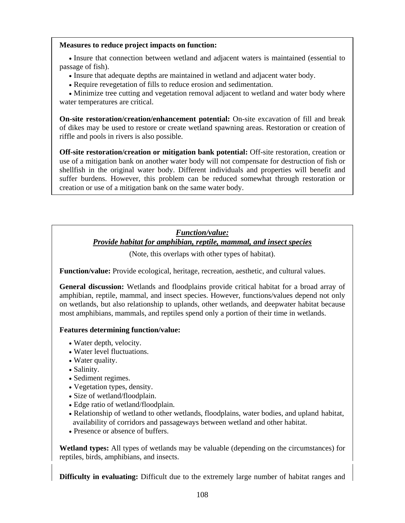#### **Measures to reduce project impacts on function:**

• Insure that connection between wetland and adjacent waters is maintained (essential to passage of fish).

- Insure that adequate depths are maintained in wetland and adjacent water body.
- Require revegetation of fills to reduce erosion and sedimentation.

• Minimize tree cutting and vegetation removal adjacent to wetland and water body where water temperatures are critical.

**On-site restoration/creation/enhancement potential:** On-site excavation of fill and break of dikes may be used to restore or create wetland spawning areas. Restoration or creation of riffle and pools in rivers is also possible.

**Off-site restoration/creation or mitigation bank potential:** Off-site restoration, creation or use of a mitigation bank on another water body will not compensate for destruction of fish or shellfish in the original water body. Different individuals and properties will benefit and suffer burdens. However, this problem can be reduced somewhat through restoration or creation or use of a mitigation bank on the same water body.

# *Function/value:*

# *Provide habitat for amphibian, reptile, mammal, and insect species*

(Note, this overlaps with other types of habitat).

**Function/value:** Provide ecological, heritage, recreation, aesthetic, and cultural values.

**General discussion:** Wetlands and floodplains provide critical habitat for a broad array of amphibian, reptile, mammal, and insect species. However, functions/values depend not only on wetlands, but also relationship to uplands, other wetlands, and deepwater habitat because most amphibians, mammals, and reptiles spend only a portion of their time in wetlands.

### **Features determining function/value:**

- Water depth, velocity.
- Water level fluctuations.
- Water quality.
- Salinity.
- Sediment regimes.
- Vegetation types, density.
- Size of wetland/floodplain.
- Edge ratio of wetland/floodplain.
- Relationship of wetland to other wetlands, floodplains, water bodies, and upland habitat, availability of corridors and passageways between wetland and other habitat.
- Presence or absence of buffers.

**Wetland types:** All types of wetlands may be valuable (depending on the circumstances) for reptiles, birds, amphibians, and insects.

**Difficulty in evaluating:** Difficult due to the extremely large number of habitat ranges and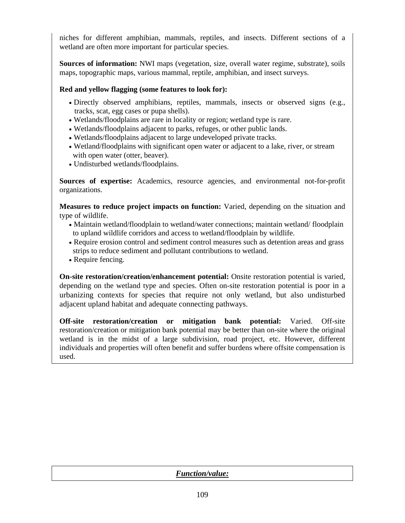niches for different amphibian, mammals, reptiles, and insects. Different sections of a wetland are often more important for particular species.

**Sources of information:** NWI maps (vegetation, size, overall water regime, substrate), soils maps, topographic maps, various mammal, reptile, amphibian, and insect surveys.

# **Red and yellow flagging (some features to look for):**

- Directly observed amphibians, reptiles, mammals, insects or observed signs (e.g., tracks, scat, egg cases or pupa shells).
- Wetlands/floodplains are rare in locality or region; wetland type is rare.
- Wetlands/floodplains adjacent to parks, refuges, or other public lands.
- Wetlands/floodplains adjacent to large undeveloped private tracks.
- Wetland/floodplains with significant open water or adjacent to a lake, river, or stream with open water (otter, beaver).
- Undisturbed wetlands/floodplains.

**Sources of expertise:** Academics, resource agencies, and environmental not-for-profit organizations.

**Measures to reduce project impacts on function:** Varied, depending on the situation and type of wildlife.

- Maintain wetland/floodplain to wetland/water connections; maintain wetland/ floodplain to upland wildlife corridors and access to wetland/floodplain by wildlife.
- Require erosion control and sediment control measures such as detention areas and grass strips to reduce sediment and pollutant contributions to wetland.
- Require fencing.

**On-site restoration/creation/enhancement potential:** Onsite restoration potential is varied, depending on the wetland type and species. Often on-site restoration potential is poor in a urbanizing contexts for species that require not only wetland, but also undisturbed adjacent upland habitat and adequate connecting pathways.

**Off-site restoration/creation or mitigation bank potential:** Varied. Off-site restoration/creation or mitigation bank potential may be better than on-site where the original wetland is in the midst of a large subdivision, road project, etc. However, different individuals and properties will often benefit and suffer burdens where offsite compensation is used.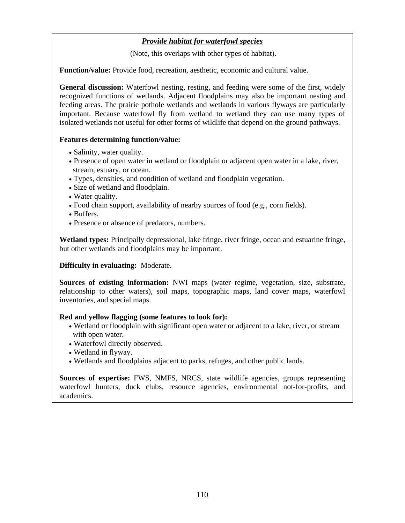# *Provide habitat for waterfowl species*

(Note, this overlaps with other types of habitat).

**Function/value:** Provide food, recreation, aesthetic, economic and cultural value.

General discussion: Waterfowl nesting, resting, and feeding were some of the first, widely recognized functions of wetlands. Adjacent floodplains may also be important nesting and feeding areas. The prairie pothole wetlands and wetlands in various flyways are particularly important. Because waterfowl fly from wetland to wetland they can use many types of isolated wetlands not useful for other forms of wildlife that depend on the ground pathways.

## **Features determining function/value:**

- Salinity, water quality.
- Presence of open water in wetland or floodplain or adjacent open water in a lake, river, stream, estuary, or ocean.
- Types, densities, and condition of wetland and floodplain vegetation.
- Size of wetland and floodplain.
- Water quality.
- Food chain support, availability of nearby sources of food (e.g., corn fields).
- Buffers.
- Presence or absence of predators, numbers.

**Wetland types:** Principally depressional, lake fringe, river fringe, ocean and estuarine fringe, but other wetlands and floodplains may be important.

### **Difficulty in evaluating:** Moderate.

**Sources of existing information:** NWI maps (water regime, vegetation, size, substrate, relationship to other waters), soil maps, topographic maps, land cover maps, waterfowl inventories, and special maps.

### **Red and yellow flagging (some features to look for):**

- Wetland or floodplain with significant open water or adjacent to a lake, river, or stream with open water.
- Waterfowl directly observed.
- Wetland in flyway.
- Wetlands and floodplains adjacent to parks, refuges, and other public lands.

**Sources of expertise:** FWS, NMFS, NRCS, state wildlife agencies, groups representing waterfowl hunters, duck clubs, resource agencies, environmental not-for-profits, and academics.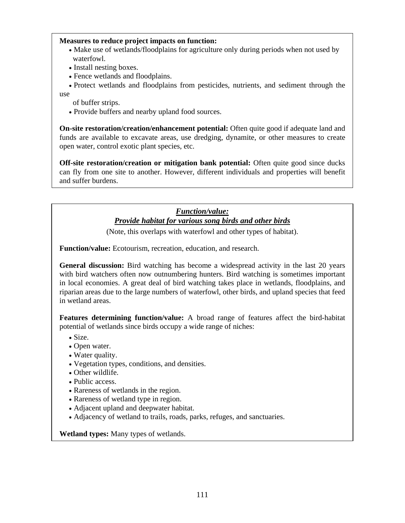### **Measures to reduce project impacts on function:**

- Make use of wetlands/floodplains for agriculture only during periods when not used by waterfowl.
- Install nesting boxes.
- Fence wetlands and floodplains.
- Protect wetlands and floodplains from pesticides, nutrients, and sediment through the use
	- of buffer strips.
	- Provide buffers and nearby upland food sources.

**On-site restoration/creation/enhancement potential:** Often quite good if adequate land and funds are available to excavate areas, use dredging, dynamite, or other measures to create open water, control exotic plant species, etc.

**Off-site restoration/creation or mitigation bank potential:** Often quite good since ducks can fly from one site to another. However, different individuals and properties will benefit and suffer burdens.

# *Function/value: Provide habitat for various song birds and other birds*

(Note, this overlaps with waterfowl and other types of habitat).

**Function/value:** Ecotourism, recreation, education, and research.

**General discussion:** Bird watching has become a widespread activity in the last 20 years with bird watchers often now outnumbering hunters. Bird watching is sometimes important in local economies. A great deal of bird watching takes place in wetlands, floodplains, and riparian areas due to the large numbers of waterfowl, other birds, and upland species that feed in wetland areas.

**Features determining function/value:** A broad range of features affect the bird-habitat potential of wetlands since birds occupy a wide range of niches:

- Size.
- Open water.
- Water quality.
- Vegetation types, conditions, and densities.
- Other wildlife.
- Public access.
- Rareness of wetlands in the region.
- Rareness of wetland type in region.
- Adjacent upland and deepwater habitat.
- Adjacency of wetland to trails, roads, parks, refuges, and sanctuaries.

**Wetland types:** Many types of wetlands.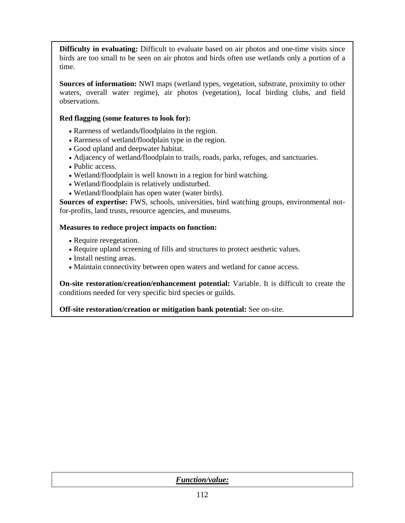**Difficulty in evaluating:** Difficult to evaluate based on air photos and one-time visits since birds are too small to be seen on air photos and birds often use wetlands only a portion of a time.

**Sources of information:** NWI maps (wetland types, vegetation, substrate, proximity to other waters, overall water regime), air photos (vegetation), local birding clubs, and field observations.

# **Red flagging (some features to look for):**

- Rareness of wetlands/floodplains in the region.
- Rareness of wetland/floodplain type in the region.
- Good upland and deepwater habitat.
- Adjacency of wetland/floodplain to trails, roads, parks, refuges, and sanctuaries.
- Public access.
- Wetland/floodplain is well known in a region for bird watching.
- Wetland/floodplain is relatively undisturbed.
- Wetland/floodplain has open water (water birds).

**Sources of expertise:** FWS, schools, universities, bird watching groups, environmental notfor-profits, land trusts, resource agencies, and museums.

# **Measures to reduce project impacts on function:**

- Require revegetation.
- Require upland screening of fills and structures to protect aesthetic values.
- Install nesting areas.
- Maintain connectivity between open waters and wetland for canoe access.

**On-site restoration/creation/enhancement potential:** Variable. It is difficult to create the conditions needed for very specific bird species or guilds.

**Off-site restoration/creation or mitigation bank potential:** See on-site.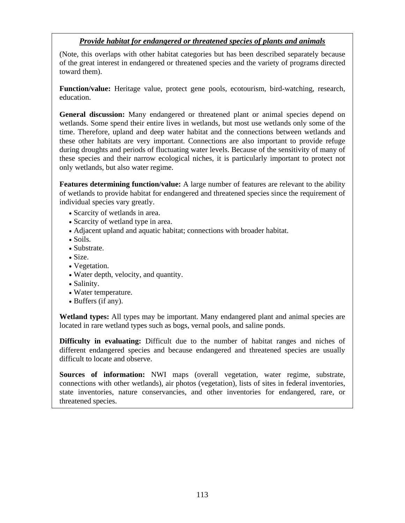# *Provide habitat for endangered or threatened species of plants and animals*

(Note, this overlaps with other habitat categories but has been described separately because of the great interest in endangered or threatened species and the variety of programs directed toward them).

**Function/value:** Heritage value, protect gene pools, ecotourism, bird-watching, research, education.

**General discussion:** Many endangered or threatened plant or animal species depend on wetlands. Some spend their entire lives in wetlands, but most use wetlands only some of the time. Therefore, upland and deep water habitat and the connections between wetlands and these other habitats are very important. Connections are also important to provide refuge during droughts and periods of fluctuating water levels. Because of the sensitivity of many of these species and their narrow ecological niches, it is particularly important to protect not only wetlands, but also water regime.

**Features determining function/value:** A large number of features are relevant to the ability of wetlands to provide habitat for endangered and threatened species since the requirement of individual species vary greatly.

- Scarcity of wetlands in area.
- Scarcity of wetland type in area.
- Adjacent upland and aquatic habitat; connections with broader habitat.
- Soils.
- Substrate.
- Size.
- Vegetation.
- Water depth, velocity, and quantity.
- Salinity.
- Water temperature.
- Buffers (if any).

**Wetland types:** All types may be important. Many endangered plant and animal species are located in rare wetland types such as bogs, vernal pools, and saline ponds.

**Difficulty in evaluating:** Difficult due to the number of habitat ranges and niches of different endangered species and because endangered and threatened species are usually difficult to locate and observe.

**Sources of information:** NWI maps (overall vegetation, water regime, substrate, connections with other wetlands), air photos (vegetation), lists of sites in federal inventories, state inventories, nature conservancies, and other inventories for endangered, rare, or threatened species.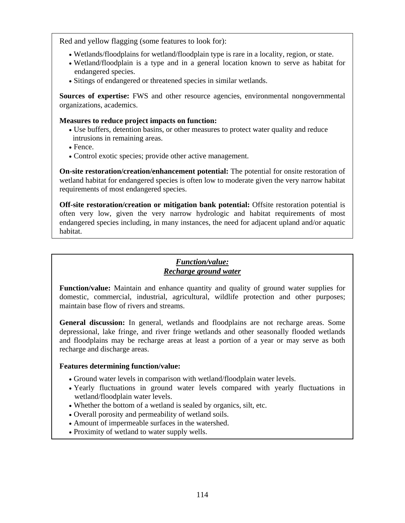Red and yellow flagging (some features to look for):

- Wetlands/floodplains for wetland/floodplain type is rare in a locality, region, or state.
- Wetland/floodplain is a type and in a general location known to serve as habitat for endangered species.
- Sitings of endangered or threatened species in similar wetlands.

**Sources of expertise:** FWS and other resource agencies, environmental nongovernmental organizations, academics.

#### **Measures to reduce project impacts on function:**

- Use buffers, detention basins, or other measures to protect water quality and reduce intrusions in remaining areas.
- Fence.
- Control exotic species; provide other active management.

**On-site restoration/creation/enhancement potential:** The potential for onsite restoration of wetland habitat for endangered species is often low to moderate given the very narrow habitat requirements of most endangered species.

**Off-site restoration/creation or mitigation bank potential:** Offsite restoration potential is often very low, given the very narrow hydrologic and habitat requirements of most endangered species including, in many instances, the need for adjacent upland and/or aquatic habitat.

# *Function/value: Recharge ground water*

**Function/value:** Maintain and enhance quantity and quality of ground water supplies for domestic, commercial, industrial, agricultural, wildlife protection and other purposes; maintain base flow of rivers and streams.

**General discussion:** In general, wetlands and floodplains are not recharge areas. Some depressional, lake fringe, and river fringe wetlands and other seasonally flooded wetlands and floodplains may be recharge areas at least a portion of a year or may serve as both recharge and discharge areas.

### **Features determining function/value:**

- Ground water levels in comparison with wetland/floodplain water levels.
- Yearly fluctuations in ground water levels compared with yearly fluctuations in wetland/floodplain water levels.
- Whether the bottom of a wetland is sealed by organics, silt, etc.
- Overall porosity and permeability of wetland soils.
- Amount of impermeable surfaces in the watershed.
- Proximity of wetland to water supply wells.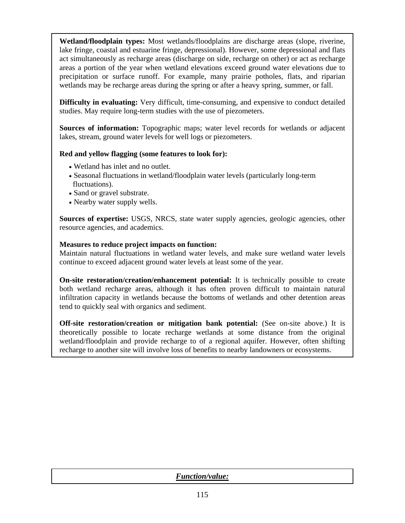**Wetland/floodplain types:** Most wetlands/floodplains are discharge areas (slope, riverine, lake fringe, coastal and estuarine fringe, depressional). However, some depressional and flats act simultaneously as recharge areas (discharge on side, recharge on other) or act as recharge areas a portion of the year when wetland elevations exceed ground water elevations due to precipitation or surface runoff. For example, many prairie potholes, flats, and riparian wetlands may be recharge areas during the spring or after a heavy spring, summer, or fall.

**Difficulty in evaluating:** Very difficult, time-consuming, and expensive to conduct detailed studies. May require long-term studies with the use of piezometers.

**Sources of information:** Topographic maps; water level records for wetlands or adjacent lakes, stream, ground water levels for well logs or piezometers.

## **Red and yellow flagging (some features to look for):**

- Wetland has inlet and no outlet.
- Seasonal fluctuations in wetland/floodplain water levels (particularly long-term fluctuations).
- Sand or gravel substrate.
- Nearby water supply wells.

**Sources of expertise:** USGS, NRCS, state water supply agencies, geologic agencies, other resource agencies, and academics.

### **Measures to reduce project impacts on function:**

Maintain natural fluctuations in wetland water levels, and make sure wetland water levels continue to exceed adjacent ground water levels at least some of the year.

**On-site restoration/creation/enhancement potential:** It is technically possible to create both wetland recharge areas, although it has often proven difficult to maintain natural infiltration capacity in wetlands because the bottoms of wetlands and other detention areas tend to quickly seal with organics and sediment.

**Off-site restoration/creation or mitigation bank potential:** (See on-site above.) It is theoretically possible to locate recharge wetlands at some distance from the original wetland/floodplain and provide recharge to of a regional aquifer. However, often shifting recharge to another site will involve loss of benefits to nearby landowners or ecosystems.

*Function/value:*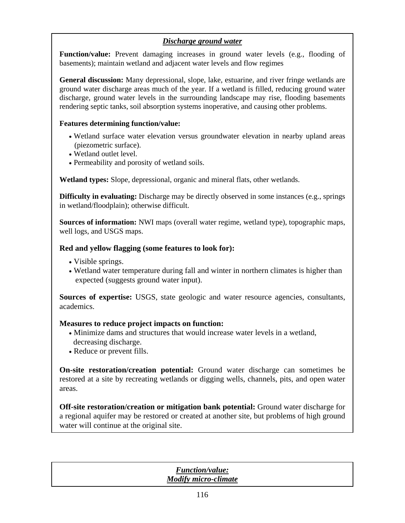# *Discharge ground water*

**Function/value:** Prevent damaging increases in ground water levels (e.g., flooding of basements); maintain wetland and adjacent water levels and flow regimes

**General discussion:** Many depressional, slope, lake, estuarine, and river fringe wetlands are ground water discharge areas much of the year. If a wetland is filled, reducing ground water discharge, ground water levels in the surrounding landscape may rise, flooding basements rendering septic tanks, soil absorption systems inoperative, and causing other problems.

## **Features determining function/value:**

- Wetland surface water elevation versus groundwater elevation in nearby upland areas (piezometric surface).
- Wetland outlet level.
- Permeability and porosity of wetland soils.

**Wetland types:** Slope, depressional, organic and mineral flats, other wetlands.

**Difficulty in evaluating:** Discharge may be directly observed in some instances (e.g., springs in wetland/floodplain); otherwise difficult.

**Sources of information:** NWI maps (overall water regime, wetland type), topographic maps, well logs, and USGS maps.

## **Red and yellow flagging (some features to look for):**

- Visible springs.
- Wetland water temperature during fall and winter in northern climates is higher than expected (suggests ground water input).

**Sources of expertise:** USGS, state geologic and water resource agencies, consultants, academics.

### **Measures to reduce project impacts on function:**

- Minimize dams and structures that would increase water levels in a wetland, decreasing discharge.
- Reduce or prevent fills.

**On-site restoration/creation potential:** Ground water discharge can sometimes be restored at a site by recreating wetlands or digging wells, channels, pits, and open water areas.

**Off-site restoration/creation or mitigation bank potential:** Ground water discharge for a regional aquifer may be restored or created at another site, but problems of high ground water will continue at the original site.

| <b>Function/value:</b>      |
|-----------------------------|
|                             |
| <b>Modify micro-climate</b> |
|                             |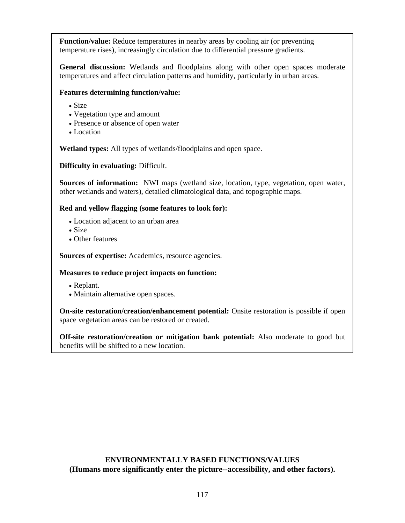**Function/value:** Reduce temperatures in nearby areas by cooling air (or preventing temperature rises), increasingly circulation due to differential pressure gradients.

**General discussion:** Wetlands and floodplains along with other open spaces moderate temperatures and affect circulation patterns and humidity, particularly in urban areas.

### **Features determining function/value:**

- Size
- Vegetation type and amount
- Presence or absence of open water
- Location

**Wetland types:** All types of wetlands/floodplains and open space.

**Difficulty in evaluating:** Difficult.

**Sources of information:** NWI maps (wetland size, location, type, vegetation, open water, other wetlands and waters), detailed climatological data, and topographic maps.

### **Red and yellow flagging (some features to look for):**

- Location adjacent to an urban area
- Size
- Other features

**Sources of expertise:** Academics, resource agencies.

### **Measures to reduce project impacts on function:**

- Replant.
- Maintain alternative open spaces.

**On-site restoration/creation/enhancement potential:** Onsite restoration is possible if open space vegetation areas can be restored or created.

**Off-site restoration/creation or mitigation bank potential:** Also moderate to good but benefits will be shifted to a new location.

## **ENVIRONMENTALLY BASED FUNCTIONS/VALUES (Humans more significantly enter the picture--accessibility, and other factors).**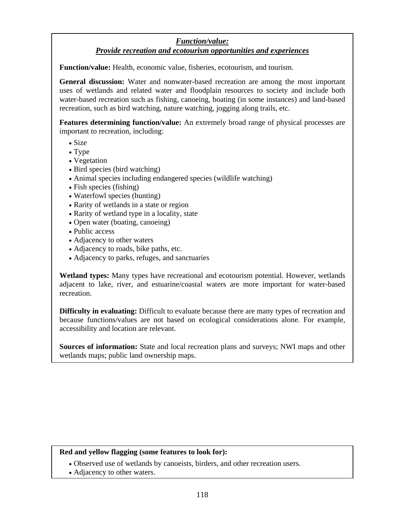# *Function/value: Provide recreation and ecotourism opportunities and experiences*

**Function/value:** Health, economic value, fisheries, ecotourism, and tourism.

**General discussion:** Water and nonwater-based recreation are among the most important uses of wetlands and related water and floodplain resources to society and include both water-based recreation such as fishing, canoeing, boating (in some instances) and land-based recreation, such as bird watching, nature watching, jogging along trails, etc.

**Features determining function/value:** An extremely broad range of physical processes are important to recreation, including:

- Size
- Type
- Vegetation
- Bird species (bird watching)
- Animal species including endangered species (wildlife watching)
- Fish species (fishing)
- Waterfowl species (hunting)
- Rarity of wetlands in a state or region
- Rarity of wetland type in a locality, state
- Open water (boating, canoeing)
- Public access
- Adjacency to other waters
- Adjacency to roads, bike paths, etc.
- Adjacency to parks, refuges, and sanctuaries

**Wetland types:** Many types have recreational and ecotourism potential. However, wetlands adjacent to lake, river, and estuarine/coastal waters are more important for water-based recreation.

**Difficulty in evaluating:** Difficult to evaluate because there are many types of recreation and because functions/values are not based on ecological considerations alone. For example, accessibility and location are relevant.

**Sources of information:** State and local recreation plans and surveys; NWI maps and other wetlands maps; public land ownership maps.

### **Red and yellow flagging (some features to look for):**

- Observed use of wetlands by canoeists, birders, and other recreation users.
- Adjacency to other waters.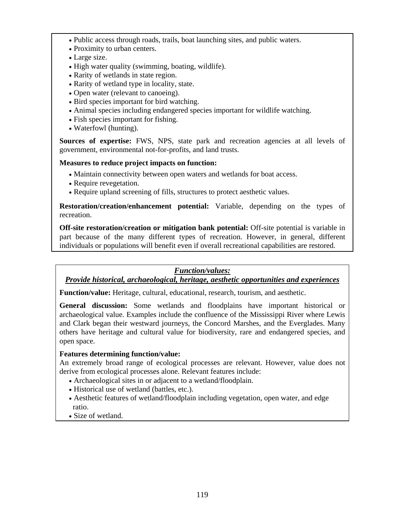- Public access through roads, trails, boat launching sites, and public waters.
- Proximity to urban centers.
- Large size.
- High water quality (swimming, boating, wildlife).
- Rarity of wetlands in state region.
- Rarity of wetland type in locality, state.
- Open water (relevant to canoeing).
- Bird species important for bird watching.
- Animal species including endangered species important for wildlife watching.
- Fish species important for fishing.
- Waterfowl (hunting).

**Sources of expertise:** FWS, NPS, state park and recreation agencies at all levels of government, environmental not-for-profits, and land trusts.

### **Measures to reduce project impacts on function:**

- Maintain connectivity between open waters and wetlands for boat access.
- Require revegetation.
- Require upland screening of fills, structures to protect aesthetic values.

**Restoration/creation/enhancement potential:** Variable, depending on the types of recreation.

**Off-site restoration/creation or mitigation bank potential:** Off-site potential is variable in part because of the many different types of recreation. However, in general, different individuals or populations will benefit even if overall recreational capabilities are restored.

# *Function/values:*

# *Provide historical, archaeological, heritage, aesthetic opportunities and experiences*

**Function/value:** Heritage, cultural, educational, research, tourism, and aesthetic.

**General discussion:** Some wetlands and floodplains have important historical or archaeological value. Examples include the confluence of the Mississippi River where Lewis and Clark began their westward journeys, the Concord Marshes, and the Everglades. Many others have heritage and cultural value for biodiversity, rare and endangered species, and open space.

# **Features determining function/value:**

An extremely broad range of ecological processes are relevant. However, value does not derive from ecological processes alone. Relevant features include:

- Archaeological sites in or adjacent to a wetland/floodplain.
- Historical use of wetland (battles, etc.).
- Aesthetic features of wetland/floodplain including vegetation, open water, and edge ratio.
- Size of wetland.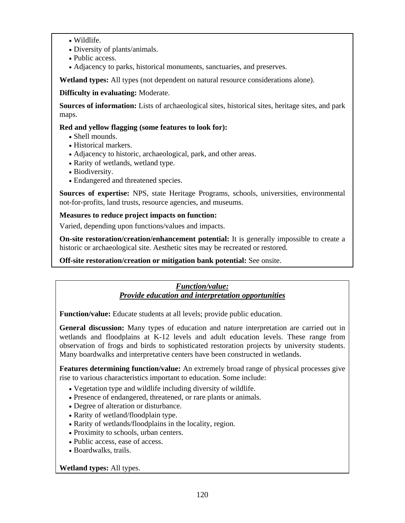- Wildlife.
- Diversity of plants/animals.
- Public access.
- Adjacency to parks, historical monuments, sanctuaries, and preserves.

**Wetland types:** All types (not dependent on natural resource considerations alone).

## **Difficulty in evaluating:** Moderate.

**Sources of information:** Lists of archaeological sites, historical sites, heritage sites, and park maps.

## **Red and yellow flagging (some features to look for):**

- Shell mounds.
- Historical markers.
- Adjacency to historic, archaeological, park, and other areas.
- Rarity of wetlands, wetland type.
- Biodiversity.
- Endangered and threatened species.

**Sources of expertise:** NPS, state Heritage Programs, schools, universities, environmental not-for-profits, land trusts, resource agencies, and museums.

## **Measures to reduce project impacts on function:**

Varied, depending upon functions/values and impacts.

**On-site restoration/creation/enhancement potential:** It is generally impossible to create a historic or archaeological site. Aesthetic sites may be recreated or restored.

**Off-site restoration/creation or mitigation bank potential:** See onsite.

## *Function/value: Provide education and interpretation opportunities*

**Function/value:** Educate students at all levels; provide public education.

**General discussion:** Many types of education and nature interpretation are carried out in wetlands and floodplains at K-12 levels and adult education levels. These range from observation of frogs and birds to sophisticated restoration projects by university students. Many boardwalks and interpretative centers have been constructed in wetlands.

**Features determining function/value:** An extremely broad range of physical processes give rise to various characteristics important to education. Some include:

- Vegetation type and wildlife including diversity of wildlife.
- Presence of endangered, threatened, or rare plants or animals.
- Degree of alteration or disturbance.
- Rarity of wetland/floodplain type.
- Rarity of wetlands/floodplains in the locality, region.
- Proximity to schools, urban centers.
- Public access, ease of access.
- Boardwalks, trails.

### **Wetland types:** All types.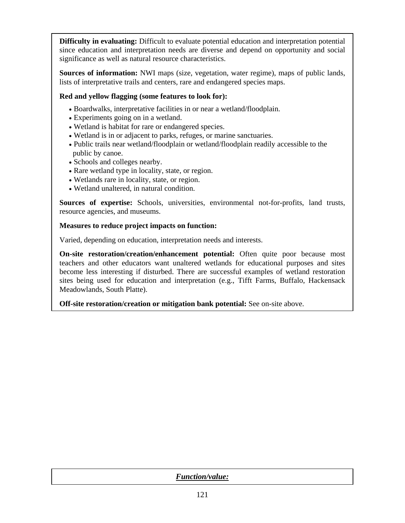**Difficulty in evaluating:** Difficult to evaluate potential education and interpretation potential since education and interpretation needs are diverse and depend on opportunity and social significance as well as natural resource characteristics.

**Sources of information:** NWI maps (size, vegetation, water regime), maps of public lands, lists of interpretative trails and centers, rare and endangered species maps.

# **Red and yellow flagging (some features to look for):**

- Boardwalks, interpretative facilities in or near a wetland/floodplain.
- Experiments going on in a wetland.
- Wetland is habitat for rare or endangered species.
- Wetland is in or adjacent to parks, refuges, or marine sanctuaries.
- Public trails near wetland/floodplain or wetland/floodplain readily accessible to the public by canoe.
- Schools and colleges nearby.
- Rare wetland type in locality, state, or region.
- Wetlands rare in locality, state, or region.
- Wetland unaltered, in natural condition.

**Sources of expertise:** Schools, universities, environmental not-for-profits, land trusts, resource agencies, and museums.

# **Measures to reduce project impacts on function:**

Varied, depending on education, interpretation needs and interests.

**On-site restoration/creation/enhancement potential:** Often quite poor because most teachers and other educators want unaltered wetlands for educational purposes and sites become less interesting if disturbed. There are successful examples of wetland restoration sites being used for education and interpretation (e.g., Tifft Farms, Buffalo, Hackensack Meadowlands, South Platte).

**Off-site restoration/creation or mitigation bank potential:** See on-site above.

| <b>Function/value:</b> |
|------------------------|
|                        |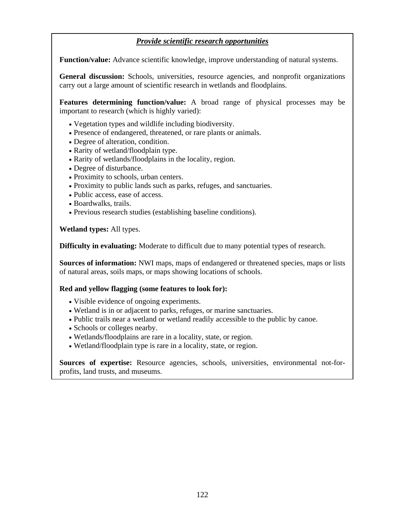# *Provide scientific research opportunities*

**Function/value:** Advance scientific knowledge, improve understanding of natural systems.

**General discussion:** Schools, universities, resource agencies, and nonprofit organizations carry out a large amount of scientific research in wetlands and floodplains.

**Features determining function/value:** A broad range of physical processes may be important to research (which is highly varied):

- Vegetation types and wildlife including biodiversity.
- Presence of endangered, threatened, or rare plants or animals.
- Degree of alteration, condition.
- Rarity of wetland/floodplain type.
- Rarity of wetlands/floodplains in the locality, region.
- Degree of disturbance.
- Proximity to schools, urban centers.
- Proximity to public lands such as parks, refuges, and sanctuaries.
- Public access, ease of access.
- Boardwalks, trails.
- Previous research studies (establishing baseline conditions).

**Wetland types:** All types.

**Difficulty in evaluating:** Moderate to difficult due to many potential types of research.

**Sources of information:** NWI maps, maps of endangered or threatened species, maps or lists of natural areas, soils maps, or maps showing locations of schools.

#### **Red and yellow flagging (some features to look for):**

- Visible evidence of ongoing experiments.
- Wetland is in or adjacent to parks, refuges, or marine sanctuaries.
- Public trails near a wetland or wetland readily accessible to the public by canoe.
- Schools or colleges nearby.
- Wetlands/floodplains are rare in a locality, state, or region.
- Wetland/floodplain type is rare in a locality, state, or region.

**Sources of expertise:** Resource agencies, schools, universities, environmental not-forprofits, land trusts, and museums.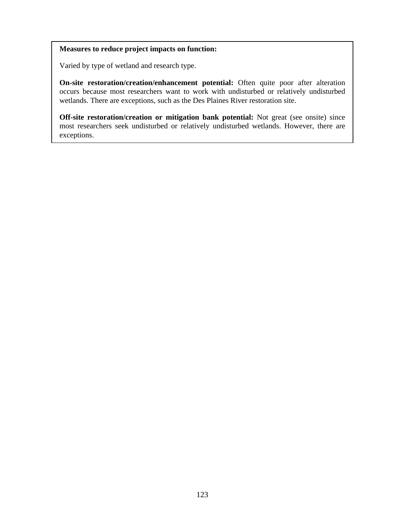# **Measures to reduce project impacts on function:**

Varied by type of wetland and research type.

**On-site restoration/creation/enhancement potential:** Often quite poor after alteration occurs because most researchers want to work with undisturbed or relatively undisturbed wetlands. There are exceptions, such as the Des Plaines River restoration site.

**Off-site restoration/creation or mitigation bank potential:** Not great (see onsite) since most researchers seek undisturbed or relatively undisturbed wetlands. However, there are exceptions.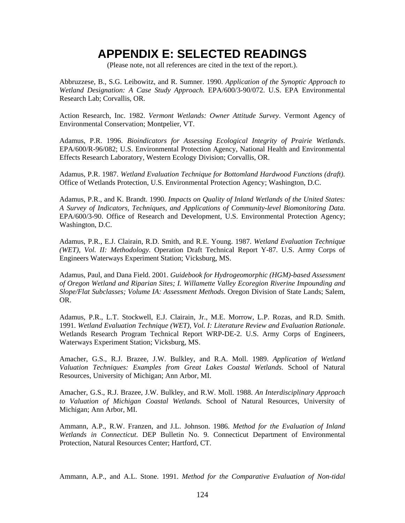# **APPENDIX E: SELECTED READINGS**

(Please note, not all references are cited in the text of the report.).

Abbruzzese, B., S.G. Leibowitz, and R. Sumner. 1990. *Application of the Synoptic Approach to Wetland Designation: A Case Study Approach.* EPA/600/3-90/072. U.S. EPA Environmental Research Lab; Corvallis, OR.

Action Research, Inc. 1982. *Vermont Wetlands: Owner Attitude Survey*. Vermont Agency of Environmental Conservation; Montpelier, VT.

Adamus, P.R. 1996. *Bioindicators for Assessing Ecological Integrity of Prairie Wetlands*. EPA/600/R-96/082; U.S. Environmental Protection Agency, National Health and Environmental Effects Research Laboratory, Western Ecology Division; Corvallis, OR.

Adamus, P.R. 1987. *Wetland Evaluation Technique for Bottomland Hardwood Functions (draft).* Office of Wetlands Protection, U.S. Environmental Protection Agency; Washington, D.C.

Adamus, P.R., and K. Brandt. 1990. *Impacts on Quality of Inland Wetlands of the United States: A Survey of Indicators, Techniques, and Applications of Community-level Biomonitoring Data*. EPA/600/3-90. Office of Research and Development, U.S. Environmental Protection Agency; Washington, D.C.

Adamus, P.R., E.J. Clairain, R.D. Smith, and R.E. Young. 1987. *Wetland Evaluation Technique (WET), Vol. II: Methodology*. Operation Draft Technical Report Y-87. U.S. Army Corps of Engineers Waterways Experiment Station; Vicksburg, MS.

Adamus, Paul, and Dana Field. 2001. *Guidebook for Hydrogeomorphic (HGM)-based Assessment of Oregon Wetland and Riparian Sites; I. Willamette Valley Ecoregion Riverine Impounding and Slope/Flat Subclasses; Volume IA: Assessment Methods*. Oregon Division of State Lands; Salem, OR.

Adamus, P.R., L.T. Stockwell, E.J. Clairain, Jr., M.E. Morrow, L.P. Rozas, and R.D. Smith. 1991. *Wetland Evaluation Technique (WET), Vol. I: Literature Review and Evaluation Rationale*. Wetlands Research Program Technical Report WRP-DE-2. U.S. Army Corps of Engineers, Waterways Experiment Station; Vicksburg, MS.

Amacher, G.S., R.J. Brazee, J.W. Bulkley, and R.A. Moll. 1989. *Application of Wetland Valuation Techniques: Examples from Great Lakes Coastal Wetlands*. School of Natural Resources, University of Michigan; Ann Arbor, MI.

Amacher, G.S., R.J. Brazee, J.W. Bulkley, and R.W. Moll. 1988. *An Interdisciplinary Approach to Valuation of Michigan Coastal Wetlands*. School of Natural Resources, University of Michigan; Ann Arbor, MI.

Ammann, A.P., R.W. Franzen, and J.L. Johnson. 1986. *Method for the Evaluation of Inland Wetlands in Connecticut*. DEP Bulletin No. 9. Connecticut Department of Environmental Protection, Natural Resources Center; Hartford, CT.

Ammann, A.P., and A.L. Stone. 1991. *Method for the Comparative Evaluation of Non-tidal*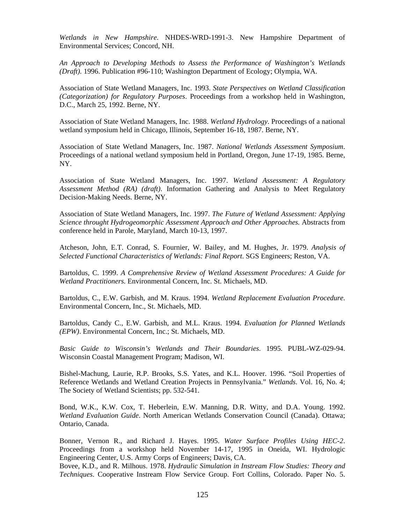*Wetlands in New Hampshire*. NHDES-WRD-1991-3. New Hampshire Department of Environmental Services; Concord, NH.

*An Approach to Developing Methods to Assess the Performance of Washington's Wetlands (Draft).* 1996. Publication #96-110; Washington Department of Ecology; Olympia, WA.

Association of State Wetland Managers, Inc. 1993. *State Perspectives on Wetland Classification (Categorization) for Regulatory Purposes*. Proceedings from a workshop held in Washington, D.C., March 25, 1992. Berne, NY.

Association of State Wetland Managers, Inc. 1988. *Wetland Hydrology*. Proceedings of a national wetland symposium held in Chicago, Illinois, September 16-18, 1987. Berne, NY.

Association of State Wetland Managers, Inc. 1987. *National Wetlands Assessment Symposium*. Proceedings of a national wetland symposium held in Portland, Oregon, June 17-19, 1985. Berne, NY.

Association of State Wetland Managers, Inc. 1997. *Wetland Assessment: A Regulatory Assessment Method (RA) (draft)*. Information Gathering and Analysis to Meet Regulatory Decision-Making Needs. Berne, NY.

Association of State Wetland Managers, Inc. 1997. *The Future of Wetland Assessment: Applying Science throught Hydrogeomorphic Assessment Approach and Other Approaches.* Abstracts from conference held in Parole, Maryland, March 10-13, 1997.

Atcheson, John, E.T. Conrad, S. Fournier, W. Bailey, and M. Hughes, Jr. 1979. *Analysis of Selected Functional Characteristics of Wetlands: Final Report*. SGS Engineers; Reston, VA.

Bartoldus, C. 1999. *A Comprehensive Review of Wetland Assessment Procedures: A Guide for Wetland Practitioners.* Environmental Concern, Inc. St. Michaels, MD.

Bartoldus, C., E.W. Garbish, and M. Kraus. 1994. *Wetland Replacement Evaluation Procedure*. Environmental Concern, Inc., St. Michaels, MD.

Bartoldus, Candy C., E.W. Garbish, and M.L. Kraus. 1994. *Evaluation for Planned Wetlands (EPW)*. Environmental Concern, Inc.; St. Michaels, MD.

*Basic Guide to Wisconsin's Wetlands and Their Boundaries*. 1995. PUBL-WZ-029-94. Wisconsin Coastal Management Program; Madison, WI.

Bishel-Machung, Laurie, R.P. Brooks, S.S. Yates, and K.L. Hoover. 1996. "Soil Properties of Reference Wetlands and Wetland Creation Projects in Pennsylvania." *Wetlands*. Vol. 16, No. 4; The Society of Wetland Scientists; pp. 532-541.

Bond, W.K., K.W. Cox, T. Heberlein, E.W. Manning, D.R. Witty, and D.A. Young. 1992. *Wetland Evaluation Guide*. North American Wetlands Conservation Council (Canada). Ottawa; Ontario, Canada.

Bonner, Vernon R., and Richard J. Hayes. 1995. *Water Surface Profiles Using HEC-2*. Proceedings from a workshop held November 14-17, 1995 in Oneida, WI. Hydrologic Engineering Center, U.S. Army Corps of Engineers; Davis, CA.

Bovee, K.D., and R. Milhous. 1978. *Hydraulic Simulation in Instream Flow Studies: Theory and Techniques*. Cooperative Instream Flow Service Group. Fort Collins, Colorado. Paper No. 5.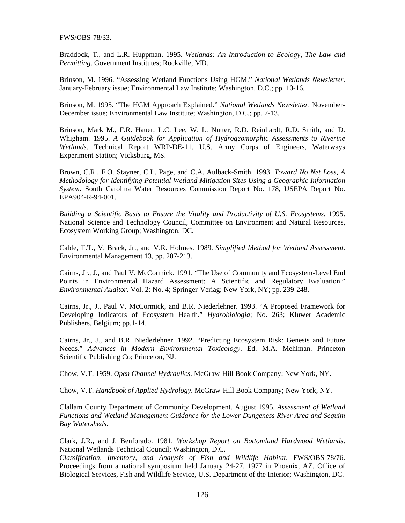FWS/OBS-78/33.

Braddock, T., and L.R. Huppman. 1995. *Wetlands: An Introduction to Ecology, The Law and Permitting*. Government Institutes; Rockville, MD.

Brinson, M. 1996. "Assessing Wetland Functions Using HGM." *National Wetlands Newsletter*. January-February issue; Environmental Law Institute; Washington, D.C.; pp. 10-16.

Brinson, M. 1995. "The HGM Approach Explained." *National Wetlands Newsletter*. November-December issue; Environmental Law Institute; Washington, D.C.; pp. 7-13.

Brinson, Mark M., F.R. Hauer, L.C. Lee, W. L. Nutter, R.D. Reinhardt, R.D. Smith, and D. Whigham. 1995. *A Guidebook for Application of Hydrogeomorphic Assessments to Riverine Wetlands*. Technical Report WRP-DE-11. U.S. Army Corps of Engineers, Waterways Experiment Station; Vicksburg, MS.

Brown, C.R., F.O. Stayner, C.L. Page, and C.A. Aulback-Smith. 1993. *Toward No Net Loss, A Methodology for Identifying Potential Wetland Mitigation Sites Using a Geographic Information System*. South Carolina Water Resources Commission Report No. 178, USEPA Report No. EPA904-R-94-001.

*Building a Scientific Basis to Ensure the Vitality and Productivity of U.S. Ecosystems*. 1995. National Science and Technology Council, Committee on Environment and Natural Resources, Ecosystem Working Group; Washington, DC.

Cable, T.T., V. Brack, Jr., and V.R. Holmes. 1989. *Simplified Method for Wetland Assessment*. Environmental Management 13, pp. 207-213.

Cairns, Jr., J., and Paul V. McCormick. 1991. "The Use of Community and Ecosystem-Level End Points in Environmental Hazard Assessment: A Scientific and Regulatory Evaluation." *Environmental Auditor*. Vol. 2: No. 4; Springer-Veriag; New York, NY; pp. 239-248.

Cairns, Jr., J., Paul V. McCormick, and B.R. Niederlehner. 1993. "A Proposed Framework for Developing Indicators of Ecosystem Health." *Hydrobiologia*; No. 263; Kluwer Academic Publishers, Belgium; pp.1-14.

Cairns, Jr., J., and B.R. Niederlehner. 1992. "Predicting Ecosystem Risk: Genesis and Future Needs." *Advances in Modern Environmental Toxicology*. Ed. M.A. Mehlman. Princeton Scientific Publishing Co; Princeton, NJ.

Chow, V.T. 1959. *Open Channel Hydraulics*. McGraw-Hill Book Company; New York, NY.

Chow, V.T. *Handbook of Applied Hydrology*. McGraw-Hill Book Company; New York, NY.

Clallam County Department of Community Development. August 1995. *Assessment of Wetland Functions and Wetland Management Guidance for the Lower Dungeness River Area and Sequim Bay Watersheds*.

Clark, J.R., and J. Benforado. 1981. *Workshop Report on Bottomland Hardwood Wetlands*. National Wetlands Technical Council; Washington, D.C.

*Classification, Inventory, and Analysis of Fish and Wildlife Habitat*. FWS/OBS-78/76. Proceedings from a national symposium held January 24-27, 1977 in Phoenix, AZ. Office of Biological Services, Fish and Wildlife Service, U.S. Department of the Interior; Washington, DC.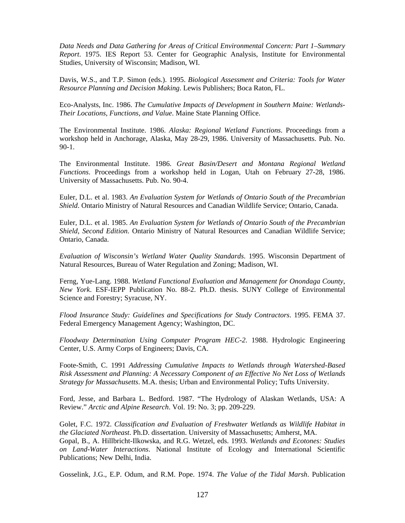*Data Needs and Data Gathering for Areas of Critical Environmental Concern: Part 1–Summary Report*. 1975. IES Report 53. Center for Geographic Analysis, Institute for Environmental Studies, University of Wisconsin; Madison, WI.

Davis, W.S., and T.P. Simon (eds.). 1995. *Biological Assessment and Criteria: Tools for Water Resource Planning and Decision Making*. Lewis Publishers; Boca Raton, FL.

Eco-Analysts, Inc. 1986. *The Cumulative Impacts of Development in Southern Maine: Wetlands-Their Locations, Functions, and Value*. Maine State Planning Office.

The Environmental Institute. 1986. *Alaska: Regional Wetland Functions*. Proceedings from a workshop held in Anchorage, Alaska, May 28-29, 1986. University of Massachusetts. Pub. No.  $90 - 1$ .

The Environmental Institute. 1986. *Great Basin/Desert and Montana Regional Wetland Functions*. Proceedings from a workshop held in Logan, Utah on February 27-28, 1986. University of Massachusetts. Pub. No. 90-4.

Euler, D.L. et al. 1983. *An Evaluation System for Wetlands of Ontario South of the Precambrian Shield*. Ontario Ministry of Natural Resources and Canadian Wildlife Service; Ontario, Canada.

Euler, D.L. et al. 1985. *An Evaluation System for Wetlands of Ontario South of the Precambrian Shield*, *Second Edition*. Ontario Ministry of Natural Resources and Canadian Wildlife Service; Ontario, Canada.

*Evaluation of Wisconsin's Wetland Water Quality Standards*. 1995. Wisconsin Department of Natural Resources, Bureau of Water Regulation and Zoning; Madison, WI.

Ferng, Yue-Lang. 1988. *Wetland Functional Evaluation and Management for Onondaga County, New York*. ESF-IEPP Publication No. 88-2. Ph.D. thesis. SUNY College of Environmental Science and Forestry; Syracuse, NY.

*Flood Insurance Study: Guidelines and Specifications for Study Contractors*. 1995. FEMA 37. Federal Emergency Management Agency; Washington, DC.

*Floodway Determination Using Computer Program HEC-2*. 1988. Hydrologic Engineering Center, U.S. Army Corps of Engineers; Davis, CA.

Foote-Smith, C. 1991 *Addressing Cumulative Impacts to Wetlands through Watershed-Based Risk Assessment and Planning: A Necessary Component of an Effective No Net Loss of Wetlands Strategy for Massachusetts*. M.A. thesis; Urban and Environmental Policy; Tufts University.

Ford, Jesse, and Barbara L. Bedford. 1987. "The Hydrology of Alaskan Wetlands, USA: A Review." *Arctic and Alpine Research*. Vol. 19: No. 3; pp. 209-229.

Golet, F.C. 1972. *Classification and Evaluation of Freshwater Wetlands as Wildlife Habitat in the Glaciated Northeast*. Ph.D. dissertation. University of Massachusetts; Amherst, MA. Gopal, B., A. Hillbricht-Ilkowska, and R.G. Wetzel, eds. 1993. *Wetlands and Ecotones: Studies on Land-Water Interactions*. National Institute of Ecology and International Scientific Publications; New Delhi, India.

Gosselink, J.G., E.P. Odum, and R.M. Pope. 1974. *The Value of the Tidal Marsh*. Publication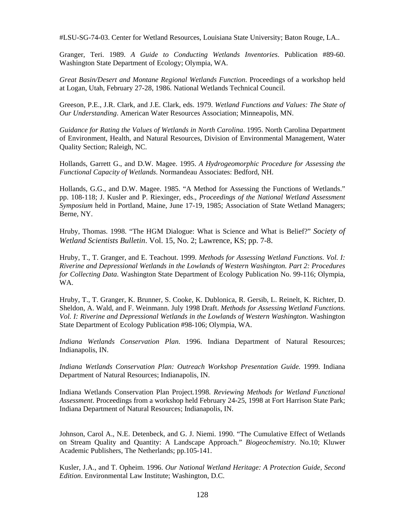#LSU-SG-74-03. Center for Wetland Resources, Louisiana State University; Baton Rouge, LA..

Granger, Teri. 1989. *A Guide to Conducting Wetlands Inventories*. Publication #89-60. Washington State Department of Ecology; Olympia, WA.

*Great Basin/Desert and Montane Regional Wetlands Function*. Proceedings of a workshop held at Logan, Utah, February 27-28, 1986. National Wetlands Technical Council.

Greeson, P.E., J.R. Clark, and J.E. Clark, eds. 1979. *Wetland Functions and Values: The State of Our Understanding*. American Water Resources Association; Minneapolis, MN.

*Guidance for Rating the Values of Wetlands in North Carolina*. 1995. North Carolina Department of Environment, Health, and Natural Resources, Division of Environmental Management, Water Quality Section; Raleigh, NC.

Hollands, Garrett G., and D.W. Magee. 1995. *A Hydrogeomorphic Procedure for Assessing the Functional Capacity of Wetlands*. Normandeau Associates: Bedford, NH.

Hollands, G.G., and D.W. Magee. 1985. "A Method for Assessing the Functions of Wetlands." pp. 108-118; J. Kusler and P. Riexinger, eds., *Proceedings of the National Wetland Assessment Symposium* held in Portland, Maine, June 17-19, 1985; Association of State Wetland Managers; Berne, NY.

Hruby, Thomas. 1998. "The HGM Dialogue: What is Science and What is Belief?" *Society of Wetland Scientists Bulletin*. Vol. 15, No. 2; Lawrence, KS; pp. 7-8.

Hruby, T., T. Granger, and E. Teachout. 1999. *Methods for Assessing Wetland Functions. Vol. I: Riverine and Depressional Wetlands in the Lowlands of Western Washington. Part 2: Procedures for Collecting Data*. Washington State Department of Ecology Publication No. 99-116; Olympia, WA.

Hruby, T., T. Granger, K. Brunner, S. Cooke, K. Dublonica, R. Gersib, L. Reinelt, K. Richter, D. Sheldon, A. Wald, and F. Weinmann. July 1998 Draft. *Methods for Assessing Wetland Functions. Vol. I: Riverine and Depressional Wetlands in the Lowlands of Western Washington*. Washington State Department of Ecology Publication #98-106; Olympia, WA.

*Indiana Wetlands Conservation Plan*. 1996. Indiana Department of Natural Resources; Indianapolis, IN.

*Indiana Wetlands Conservation Plan: Outreach Workshop Presentation Guide.* 1999. Indiana Department of Natural Resources; Indianapolis, IN.

Indiana Wetlands Conservation Plan Project*.*1998. *Reviewing Methods for Wetland Functional Assessment*. Proceedings from a workshop held February 24-25, 1998 at Fort Harrison State Park; Indiana Department of Natural Resources; Indianapolis, IN.

Johnson, Carol A., N.E. Detenbeck, and G. J. Niemi. 1990. "The Cumulative Effect of Wetlands on Stream Quality and Quantity: A Landscape Approach." *Biogeochemistry*. No.10; Kluwer Academic Publishers, The Netherlands; pp.105-141.

Kusler, J.A., and T. Opheim. 1996. *Our National Wetland Heritage: A Protection Guide, Second Edition*. Environmental Law Institute; Washington, D.C.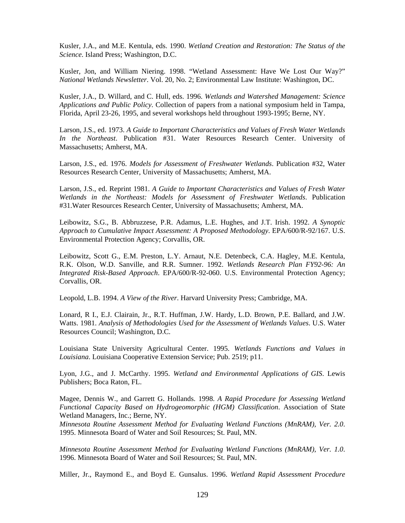Kusler, J.A., and M.E. Kentula, eds. 1990. *Wetland Creation and Restoration: The Status of the Science*. Island Press; Washington, D.C.

Kusler, Jon, and William Niering. 1998. "Wetland Assessment: Have We Lost Our Way?" *National Wetlands Newsletter*. Vol. 20, No. 2; Environmental Law Institute: Washington, DC.

Kusler, J.A., D. Willard, and C. Hull, eds. 1996. *Wetlands and Watershed Management: Science Applications and Public Policy*. Collection of papers from a national symposium held in Tampa, Florida, April 23-26, 1995, and several workshops held throughout 1993-1995; Berne, NY.

Larson, J.S., ed. 1973. *A Guide to Important Characteristics and Values of Fresh Water Wetlands In the Northeast*. Publication #31. Water Resources Research Center. University of Massachusetts; Amherst, MA.

Larson, J.S., ed. 1976. *Models for Assessment of Freshwater Wetlands*. Publication #32, Water Resources Research Center, University of Massachusetts; Amherst, MA.

Larson, J.S., ed. Reprint 1981. *A Guide to Important Characteristics and Values of Fresh Water Wetlands in the Northeast: Models for Assessment of Freshwater Wetlands*. Publication #31.Water Resources Research Center, University of Massachusetts; Amherst, MA.

Leibowitz, S.G., B. Abbruzzese, P.R. Adamus, L.E. Hughes, and J.T. Irish. 1992. *A Synoptic Approach to Cumulative Impact Assessment: A Proposed Methodology*. EPA/600/R-92/167. U.S. Environmental Protection Agency; Corvallis, OR.

Leibowitz, Scott G., E.M. Preston, L.Y. Arnaut, N.E. Detenbeck, C.A. Hagley, M.E. Kentula, R.K. Olson, W.D. Sanville, and R.R. Sumner. 1992. *Wetlands Research Plan FY92-96: An Integrated Risk-Based Approach*. EPA/600/R-92-060. U.S. Environmental Protection Agency; Corvallis, OR.

Leopold, L.B. 1994. *A View of the River*. Harvard University Press; Cambridge, MA.

Lonard, R I., E.J. Clairain, Jr., R.T. Huffman, J.W. Hardy, L.D. Brown, P.E. Ballard, and J.W. Watts. 1981. *Analysis of Methodologies Used for the Assessment of Wetlands Values*. U.S. Water Resources Council; Washington, D.C.

Louisiana State University Agricultural Center. 1995. *Wetlands Functions and Values in Louisiana*. Louisiana Cooperative Extension Service; Pub. 2519; p11.

Lyon, J.G., and J. McCarthy. 1995. *Wetland and Environmental Applications of GIS*. Lewis Publishers; Boca Raton, FL.

Magee, Dennis W., and Garrett G. Hollands. 1998. *A Rapid Procedure for Assessing Wetland Functional Capacity Based on Hydrogeomorphic (HGM) Classification*. Association of State Wetland Managers, Inc.; Berne, NY.

*Minnesota Routine Assessment Method for Evaluating Wetland Functions (MnRAM), Ver. 2.0*. 1995. Minnesota Board of Water and Soil Resources; St. Paul, MN.

*Minnesota Routine Assessment Method for Evaluating Wetland Functions (MnRAM), Ver. 1.0*. 1996. Minnesota Board of Water and Soil Resources; St. Paul, MN.

Miller, Jr., Raymond E., and Boyd E. Gunsalus. 1996. *Wetland Rapid Assessment Procedure*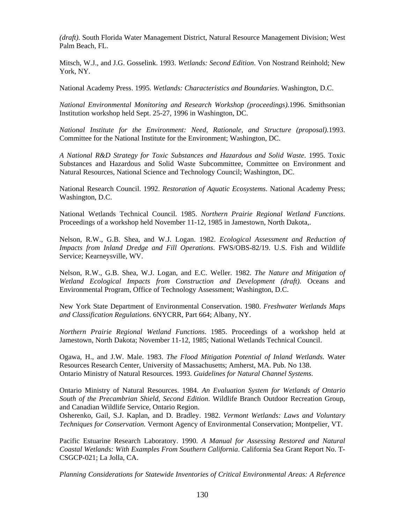*(draft).* South Florida Water Management District, Natural Resource Management Division; West Palm Beach, FL.

Mitsch, W.J., and J.G. Gosselink. 1993. *Wetlands: Second Edition*. Von Nostrand Reinhold; New York, NY.

National Academy Press. 1995. *Wetlands: Characteristics and Boundaries*. Washington, D.C.

*National Environmental Monitoring and Research Workshop (proceedings).*1996. Smithsonian Institution workshop held Sept. 25-27, 1996 in Washington, DC.

*National Institute for the Environment: Need, Rationale, and Structure (proposal).*1993. Committee for the National Institute for the Environment; Washington, DC.

*A National R&D Strategy for Toxic Substances and Hazardous and Solid Waste*. 1995. Toxic Substances and Hazardous and Solid Waste Subcommittee, Committee on Environment and Natural Resources, National Science and Technology Council; Washington, DC.

National Research Council. 1992. *Restoration of Aquatic Ecosystems*. National Academy Press; Washington, D.C.

National Wetlands Technical Council. 1985. *Northern Prairie Regional Wetland Functions*. Proceedings of a workshop held November 11-12, 1985 in Jamestown, North Dakota,.

Nelson, R.W., G.B. Shea, and W.J. Logan. 1982. *Ecological Assessment and Reduction of Impacts from Inland Dredge and Fill Operations*. FWS/OBS-82/19. U.S. Fish and Wildlife Service; Kearneysville, WV.

Nelson, R.W., G.B. Shea, W.J. Logan, and E.C. Weller. 1982. *The Nature and Mitigation of Wetland Ecological Impacts from Construction and Development (draft).* Oceans and Environmental Program, Office of Technology Assessment; Washington, D.C.

New York State Department of Environmental Conservation. 1980. *Freshwater Wetlands Maps and Classification Regulations*. 6NYCRR, Part 664; Albany, NY.

*Northern Prairie Regional Wetland Functions*. 1985. Proceedings of a workshop held at Jamestown, North Dakota; November 11-12, 1985; National Wetlands Technical Council.

Ogawa, H., and J.W. Male. 1983. *The Flood Mitigation Potential of Inland Wetlands*. Water Resources Research Center, University of Massachusetts; Amherst, MA. Pub. No 138. Ontario Ministry of Natural Resources. 1993. *Guidelines for Natural Channel Systems*.

Ontario Ministry of Natural Resources. 1984. *An Evaluation System for Wetlands of Ontario South of the Precambrian Shield, Second Edition*. Wildlife Branch Outdoor Recreation Group, and Canadian Wildlife Service, Ontario Region.

Osherenko, Gail, S.J. Kaplan, and D. Bradley. 1982. *Vermont Wetlands: Laws and Voluntary Techniques for Conservation.* Vermont Agency of Environmental Conservation; Montpelier, VT.

Pacific Estuarine Research Laboratory. 1990. *A Manual for Assessing Restored and Natural Coastal Wetlands: With Examples From Southern California*. California Sea Grant Report No. T-CSGCP-021; La Jolla, CA.

*Planning Considerations for Statewide Inventories of Critical Environmental Areas: A Reference*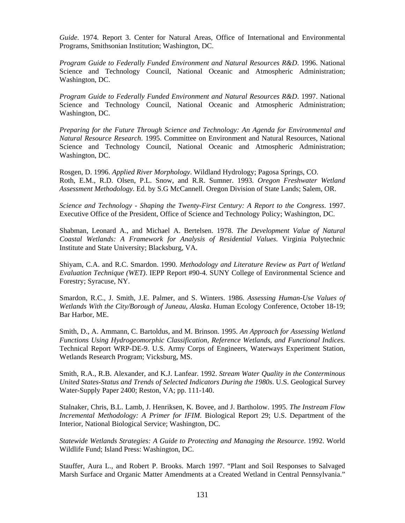*Guide*. 1974. Report 3. Center for Natural Areas, Office of International and Environmental Programs, Smithsonian Institution; Washington, DC.

*Program Guide to Federally Funded Environment and Natural Resources R&D*. 1996. National Science and Technology Council, National Oceanic and Atmospheric Administration; Washington, DC.

*Program Guide to Federally Funded Environment and Natural Resources R&D*. 1997. National Science and Technology Council, National Oceanic and Atmospheric Administration; Washington, DC.

*Preparing for the Future Through Science and Technology: An Agenda for Environmental and Natural Resource Research*. 1995. Committee on Environment and Natural Resources, National Science and Technology Council, National Oceanic and Atmospheric Administration; Washington, DC.

Rosgen, D. 1996. *Applied River Morphology*. Wildland Hydrology; Pagosa Springs, CO. Roth, E.M., R.D. Olsen, P.L. Snow, and R.R. Sumner. 1993. *Oregon Freshwater Wetland Assessment Methodology*. Ed. by S.G McCannell. Oregon Division of State Lands; Salem, OR.

*Science and Technology - Shaping the Twenty-First Century: A Report to the Congress*. 1997. Executive Office of the President, Office of Science and Technology Policy; Washington, DC.

Shabman, Leonard A., and Michael A. Bertelsen. 1978. *The Development Value of Natural Coastal Wetlands: A Framework for Analysis of Residential Values*. Virginia Polytechnic Institute and State University; Blacksburg, VA.

Shiyam, C.A. and R.C. Smardon. 1990. *Methodology and Literature Review as Part of Wetland Evaluation Technique (WET)*. IEPP Report #90-4. SUNY College of Environmental Science and Forestry; Syracuse, NY.

Smardon, R.C., J. Smith, J.E. Palmer, and S. Winters. 1986. *Assessing Human-Use Values of Wetlands With the City/Borough of Juneau, Alaska*. Human Ecology Conference, October 18-19; Bar Harbor, ME.

Smith, D., A. Ammann, C. Bartoldus, and M. Brinson. 1995. *An Approach for Assessing Wetland Functions Using Hydrogeomorphic Classification, Reference Wetlands, and Functional Indices.* Technical Report WRP-DE-9. U.S. Army Corps of Engineers, Waterways Experiment Station, Wetlands Research Program; Vicksburg, MS.

Smith, R.A., R.B. Alexander, and K.J. Lanfear. 1992. *Stream Water Quality in the Conterminous United States-Status and Trends of Selected Indicators During the 1980s*. U.S. Geological Survey Water-Supply Paper 2400; Reston, VA; pp. 111-140.

Stalnaker, Chris, B.L. Lamb, J. Henriksen, K. Bovee, and J. Bartholow. 1995. *The Instream Flow Incremental Methodology: A Primer for IFIM*. Biological Report 29; U.S. Department of the Interior, National Biological Service; Washington, DC.

*Statewide Wetlands Strategies: A Guide to Protecting and Managing the Resource*. 1992. World Wildlife Fund; Island Press: Washington, DC.

Stauffer, Aura L., and Robert P. Brooks. March 1997. "Plant and Soil Responses to Salvaged Marsh Surface and Organic Matter Amendments at a Created Wetland in Central Pennsylvania."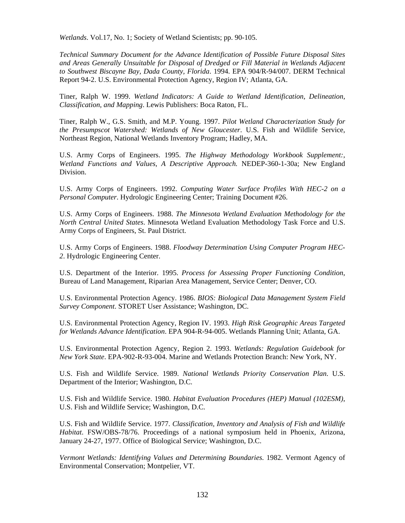*Wetlands*. Vol.17, No. 1; Society of Wetland Scientists; pp. 90-105.

*Technical Summary Document for the Advance Identification of Possible Future Disposal Sites and Areas Generally Unsuitable for Disposal of Dredged or Fill Material in Wetlands Adjacent to Southwest Biscayne Bay, Dada County, Florida*. 1994. EPA 904/R-94/007. DERM Technical Report 94-2. U.S. Environmental Protection Agency, Region IV; Atlanta, GA.

Tiner, Ralph W. 1999. *Wetland Indicators: A Guide to Wetland Identification, Delineation, Classification, and Mapping*. Lewis Publishers: Boca Raton, FL.

Tiner, Ralph W., G.S. Smith, and M.P. Young. 1997. *Pilot Wetland Characterization Study for the Presumpscot Watershed: Wetlands of New Gloucester*. U.S. Fish and Wildlife Service, Northeast Region, National Wetlands Inventory Program; Hadley, MA.

U.S. Army Corps of Engineers. 1995. *The Highway Methodology Workbook Supplement:, Wetland Functions and Values, A Descriptive Approach.* NEDEP-360-1-30a; New England Division.

U.S. Army Corps of Engineers. 1992. *Computing Water Surface Profiles With HEC-2 on a Personal Computer*. Hydrologic Engineering Center; Training Document #26.

U.S. Army Corps of Engineers. 1988. *The Minnesota Wetland Evaluation Methodology for the North Central United States*. Minnesota Wetland Evaluation Methodology Task Force and U.S. Army Corps of Engineers, St. Paul District.

U.S. Army Corps of Engineers. 1988. *Floodway Determination Using Computer Program HEC-2*. Hydrologic Engineering Center.

U.S. Department of the Interior. 1995. *Process for Assessing Proper Functioning Condition*, Bureau of Land Management, Riparian Area Management, Service Center; Denver, CO.

U.S. Environmental Protection Agency. 1986. *BIOS: Biological Data Management System Field Survey Component*. STORET User Assistance; Washington, DC.

U.S. Environmental Protection Agency, Region IV. 1993. *High Risk Geographic Areas Targeted for Wetlands Advance Identification*. EPA 904-R-94-005. Wetlands Planning Unit; Atlanta, GA.

U.S. Environmental Protection Agency, Region 2. 1993. *Wetlands: Regulation Guidebook for New York State*. EPA-902-R-93-004. Marine and Wetlands Protection Branch: New York, NY.

U.S. Fish and Wildlife Service. 1989. *National Wetlands Priority Conservation Plan*. U.S. Department of the Interior; Washington, D.C.

U.S. Fish and Wildlife Service. 1980. *Habitat Evaluation Procedures (HEP) Manual (102ESM)*, U.S. Fish and Wildlife Service; Washington, D.C.

U.S. Fish and Wildlife Service. 1977. *Classification, Inventory and Analysis of Fish and Wildlife Habitat*. FSW/OBS-78/76. Proceedings of a national symposium held in Phoenix, Arizona, January 24-27, 1977. Office of Biological Service; Washington, D.C.

*Vermont Wetlands: Identifying Values and Determining Boundaries*. 1982. Vermont Agency of Environmental Conservation; Montpelier, VT.